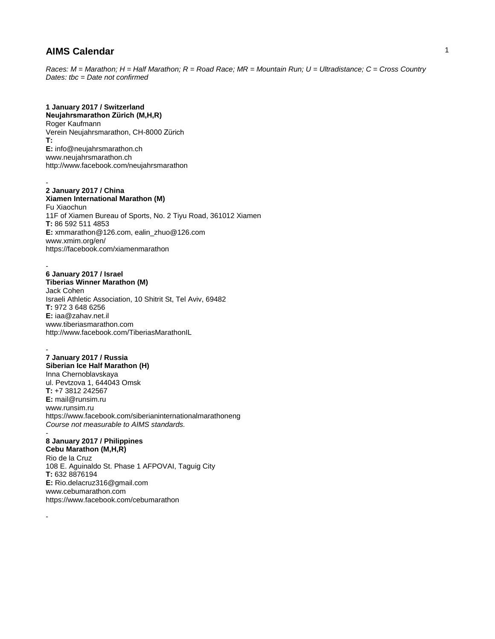*Races: M = Marathon; H = Half Marathon; R = Road Race; MR = Mountain Run; U = Ultradistance; C = Cross Country Dates: tbc = Date not confirmed*

## **1 January 2017 / Switzerland**

**Neujahrsmarathon Zürich (M,H,R)** Roger Kaufmann Verein Neujahrsmarathon, CH-8000 Zürich **T: E:** info@neujahrsmarathon.ch www.neujahrsmarathon.ch http://www.facebook.com/neujahrsmarathon

#### - **2 January 2017 / China**

**Xiamen International Marathon (M)** Fu Xiaochun 11F of Xiamen Bureau of Sports, No. 2 Tiyu Road, 361012 Xiamen **T:** 86 592 511 4853 **E:** xmmarathon@126.com, ealin\_zhuo@126.com www.xmim.org/en/ https://facebook.com/xiamenmarathon

### **6 January 2017 / Israel**

-

-

-

-

**Tiberias Winner Marathon (M)** Jack Cohen Israeli Athletic Association, 10 Shitrit St, Tel Aviv, 69482 **T:** 972 3 648 6256 **E:** iaa@zahav.net.il www.tiberiasmarathon.com http://www.facebook.com/TiberiasMarathonIL

## **7 January 2017 / Russia**

**Siberian Ice Half Marathon (H)** Inna Chernoblavskaya ul. Pevtzova 1, 644043 Omsk **T:** +7 3812 242567 **E:** mail@runsim.ru www.runsim.ru https://www.facebook.com/siberianinternationalmarathoneng *Course not measurable to AIMS standards.* 

## **8 January 2017 / Philippines**

**Cebu Marathon (M,H,R)** Rio de la Cruz 108 E. Aguinaldo St. Phase 1 AFPOVAI, Taguig City **T:** 632 8876194 **E:** Rio.delacruz316@gmail.com www.cebumarathon.com https://www.facebook.com/cebumarathon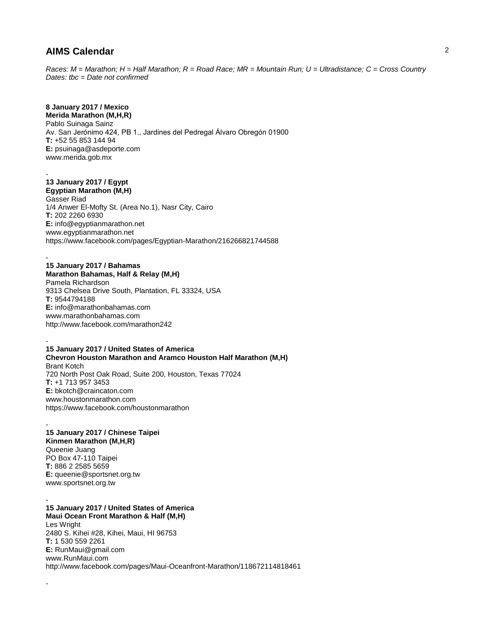*Races: M = Marathon; H = Half Marathon; R = Road Race; MR = Mountain Run; U = Ultradistance; C = Cross Country Dates: tbc = Date not confirmed*

# **8 January 2017 / Mexico**

**Merida Marathon (M,H,R)** Pablo Suinaga Sainz Av. San Jerónimo 424, PB 1., Jardines del Pedregal Álvaro Obregón 01900 **T:** +52 55 853 144 94 **E:** psuinaga@asdeporte.com www.merida.gob.mx

#### - **13 January 2017 / Egypt Egyptian Marathon (M,H)**

Gasser Riad 1/4 Anwer El-Mofty St. (Area No.1), Nasr City, Cairo **T:** 202 2260 6930 **E:** info@egyptianmarathon.net www.egyptianmarathon.net https://www.facebook.com/pages/Egyptian-Marathon/216266821744588

#### - **15 January 2017 / Bahamas**

**Marathon Bahamas, Half & Relay (M,H)** Pamela Richardson 9313 Chelsea Drive South, Plantation, FL 33324, USA **T:** 9544794188 **E:** info@marathonbahamas.com www.marathonbahamas.com http://www.facebook.com/marathon242

### - **15 January 2017 / United States of America Chevron Houston Marathon and Aramco Houston Half Marathon (M,H)** Brant Kotch 720 North Post Oak Road, Suite 200, Houston, Texas 77024 **T:** +1 713 957 3453 **E:** bkotch@craincaton.com

www.houstonmarathon.com https://www.facebook.com/houstonmarathon

### - **15 January 2017 / Chinese Taipei Kinmen Marathon (M,H,R)** Queenie Juang PO Box 47-110 Taipei **T:** 886 2 2585 5659 **E:** queenie@sportsnet.org.tw

www.sportsnet.org.tw

-

#### - **15 January 2017 / United States of America Maui Ocean Front Marathon & Half (M,H)**

Les Wright 2480 S. Kihei #28, Kihei, Maui, HI 96753 **T:** 1 530 559 2261 **E:** RunMaui@gmail.com www.RunMaui.com http://www.facebook.com/pages/Maui-Oceanfront-Marathon/118672114818461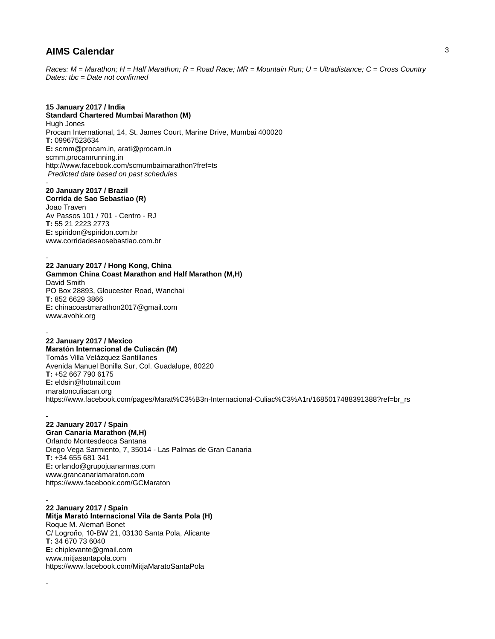*Races: M = Marathon; H = Half Marathon; R = Road Race; MR = Mountain Run; U = Ultradistance; C = Cross Country Dates: tbc = Date not confirmed*

### **15 January 2017 / India**

**Standard Chartered Mumbai Marathon (M)** Hugh Jones Procam International, 14, St. James Court, Marine Drive, Mumbai 400020 **T:** 09967523634 **E:** scmm@procam.in, arati@procam.in scmm.procamrunning.in http://www.facebook.com/scmumbaimarathon?fref=ts *Predicted date based on past schedules* -

## **20 January 2017 / Brazil**

**Corrida de Sao Sebastiao (R)** Joao Traven Av Passos 101 / 701 - Centro - RJ **T:** 55 21 2223 2773 **E:** spiridon@spiridon.com.br www.corridadesaosebastiao.com.br

#### - **22 January 2017 / Hong Kong, China**

### **Gammon China Coast Marathon and Half Marathon (M,H)** David Smith PO Box 28893, Gloucester Road, Wanchai

**T:** 852 6629 3866 **E:** chinacoastmarathon2017@gmail.com www.avohk.org

#### - **22 January 2017 / Mexico**

## **Maratón Internacional de Culiacán (M)**

Tomás Villa Velázquez Santillanes Avenida Manuel Bonilla Sur, Col. Guadalupe, 80220 **T:** +52 667 790 6175 **E:** eldsin@hotmail.com maratonculiacan.org https://www.facebook.com/pages/Marat%C3%B3n-Internacional-Culiac%C3%A1n/1685017488391388?ref=br\_rs

### - **22 January 2017 / Spain**

**Gran Canaria Marathon (M,H)** Orlando Montesdeoca Santana Diego Vega Sarmiento, 7, 35014 - Las Palmas de Gran Canaria **T:** +34 655 681 341 **E:** orlando@grupojuanarmas.com www.grancanariamaraton.com https://www.facebook.com/GCMaraton

## - **22 January 2017 / Spain**

-

**Mitja Marató Internacional Vila de Santa Pola (H)** Roque M. Alemañ Bonet C/ Logroño, 10-BW 21, 03130 Santa Pola, Alicante **T:** 34 670 73 6040 **E:** chiplevante@gmail.com www.mitjasantapola.com https://www.facebook.com/MitjaMaratoSantaPola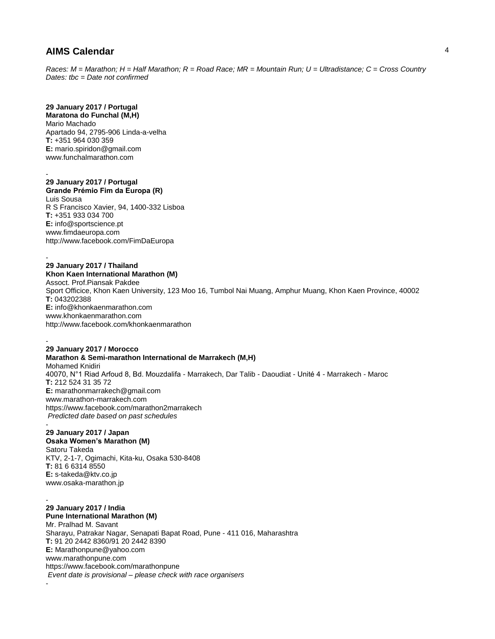*Races: M = Marathon; H = Half Marathon; R = Road Race; MR = Mountain Run; U = Ultradistance; C = Cross Country Dates: tbc = Date not confirmed*

# **29 January 2017 / Portugal**

**Maratona do Funchal (M,H)** Mario Machado Apartado 94, 2795-906 Linda-a-velha **T:** +351 964 030 359 **E:** mario.spiridon@gmail.com www.funchalmarathon.com

#### - **29 January 2017 / Portugal Grande Prémio Fim da Europa (R)** Luis Sousa

R S Francisco Xavier, 94, 1400-332 Lisboa **T:** +351 933 034 700 **E:** info@sportscience.pt www.fimdaeuropa.com http://www.facebook.com/FimDaEuropa

### - **29 January 2017 / Thailand**

**Khon Kaen International Marathon (M)** Assoct. Prof.Piansak Pakdee Sport Officice, Khon Kaen University, 123 Moo 16, Tumbol Nai Muang, Amphur Muang, Khon Kaen Province, 40002 **T:** 043202388 **E:** info@khonkaenmarathon.com www.khonkaenmarathon.com http://www.facebook.com/khonkaenmarathon

#### - **29 January 2017 / Morocco**

**Marathon & Semi-marathon International de Marrakech (M,H)** Mohamed Knidiri 40070, N°1 Riad Arfoud 8, Bd. Mouzdalifa - Marrakech, Dar Talib - Daoudiat - Unité 4 - Marrakech - Maroc **T:** 212 524 31 35 72 **E:** marathonmarrakech@gmail.com www.marathon-marrakech.com https://www.facebook.com/marathon2marrakech *Predicted date based on past schedules*

## **29 January 2017 / Japan**

-

-

**Osaka Women's Marathon (M)**

Satoru Takeda KTV, 2-1-7, Ogimachi, Kita-ku, Osaka 530-8408 **T:** 81 6 6314 8550 **E:** s-takeda@ktv.co.jp www.osaka-marathon.jp

- **29 January 2017 / India Pune International Marathon (M)** Mr. Pralhad M. Savant Sharayu, Patrakar Nagar, Senapati Bapat Road, Pune - 411 016, Maharashtra **T:** 91 20 2442 8360/91 20 2442 8390 **E:** Marathonpune@yahoo.com www.marathonpune.com https://www.facebook.com/marathonpune *Event date is provisional – please check with race organisers*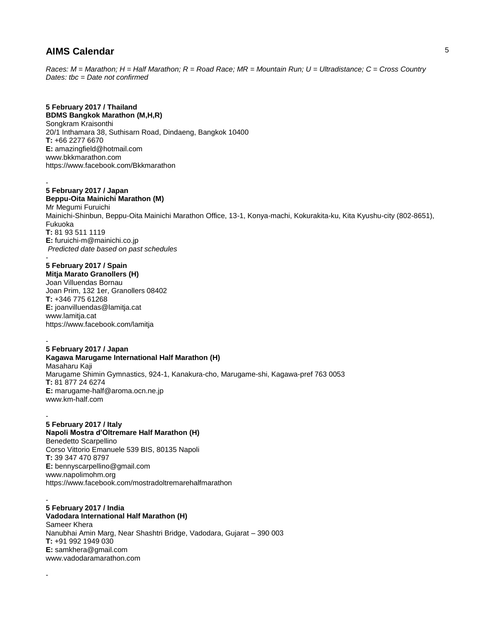*Races: M = Marathon; H = Half Marathon; R = Road Race; MR = Mountain Run; U = Ultradistance; C = Cross Country Dates: tbc = Date not confirmed*

## **5 February 2017 / Thailand**

**BDMS Bangkok Marathon (M,H,R)** Songkram Kraisonthi 20/1 Inthamara 38, Suthisarn Road, Dindaeng, Bangkok 10400 **T:** +66 2277 6670 **E:** amazingfield@hotmail.com www.bkkmarathon.com https://www.facebook.com/Bkkmarathon

#### - **5 February 2017 / Japan**

**Beppu-Oita Mainichi Marathon (M)** Mr Megumi Furuichi Mainichi-Shinbun, Beppu-Oita Mainichi Marathon Office, 13-1, Konya-machi, Kokurakita-ku, Kita Kyushu-city (802-8651), Fukuoka **T:** 81 93 511 1119 **E:** furuichi-m@mainichi.co.jp *Predicted date based on past schedules* -

# **5 February 2017 / Spain**

**Mitja Marato Granollers (H)** Joan Villuendas Bornau Joan Prim, 132 1er, Granollers 08402 **T:** +346 775 61268 **E:** joanvilluendas@lamitja.cat www.lamitja.cat https://www.facebook.com/lamitja

### - **5 February 2017 / Japan**

**Kagawa Marugame International Half Marathon (H)** Masaharu Kaji Marugame Shimin Gymnastics, 924-1, Kanakura-cho, Marugame-shi, Kagawa-pref 763 0053 **T:** 81 877 24 6274 **E:** marugame-half@aroma.ocn.ne.jp www.km-half.com

### - **5 February 2017 / Italy**

**Napoli Mostra d'Oltremare Half Marathon (H)** Benedetto Scarpellino Corso Vittorio Emanuele 539 BIS, 80135 Napoli **T:** 39 347 470 8797 **E:** bennyscarpellino@gmail.com www.napolimohm.org https://www.facebook.com/mostradoltremarehalfmarathon

#### - **5 February 2017 / India**

-

**Vadodara International Half Marathon (H)** Sameer Khera Nanubhai Amin Marg, Near Shashtri Bridge, Vadodara, Gujarat – 390 003 **T:** +91 992 1949 030 **E:** samkhera@gmail.com www.vadodaramarathon.com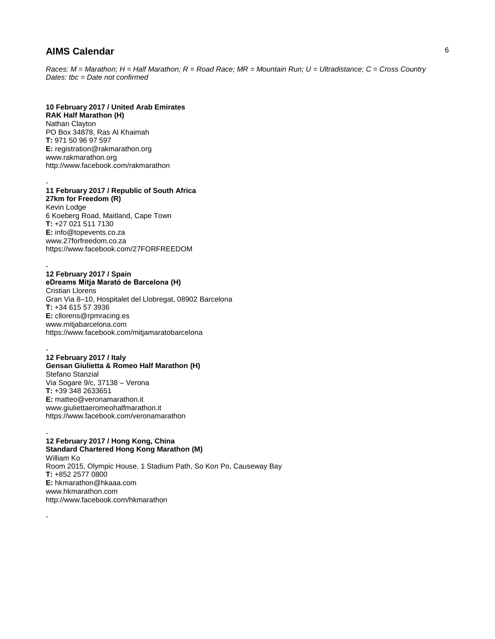*Races: M = Marathon; H = Half Marathon; R = Road Race; MR = Mountain Run; U = Ultradistance; C = Cross Country Dates: tbc = Date not confirmed*

## **10 February 2017 / United Arab Emirates**

**RAK Half Marathon (H)** Nathan Clayton PO Box 34878, Ras Al Khaimah **T:** 971 50 96 97 597 **E:** registration@rakmarathon.org www.rakmarathon.org http://www.facebook.com/rakmarathon

### - **11 February 2017 / Republic of South Africa**

**27km for Freedom (R)** Kevin Lodge 6 Koeberg Road, Maitland, Cape Town **T:** +27 021 511 7130 **E:** info@topevents.co.za www.27forfreedom.co.za https://www.facebook.com/27FORFREEDOM

#### **12 February 2017 / Spain eDreams Mitja Marató de Barcelona (H)**

-

-

-

Cristian Llorens Gran Via 8–10, Hospitalet del Llobregat, 08902 Barcelona **T:** +34 615 57 3936 **E:** cllorens@rpmracing.es www.mitjabarcelona.com https://www.facebook.com/mitjamaratobarcelona

### **12 February 2017 / Italy Gensan Giulietta & Romeo Half Marathon (H)** Stefano Stanzial Via Sogare 9/c, 37138 – Verona **T:** +39 348 2633651 **E:** matteo@veronamarathon.it www.giuliettaeromeohalfmarathon.it https://www.facebook.com/veronamarathon

#### - **12 February 2017 / Hong Kong, China Standard Chartered Hong Kong Marathon (M)**

William Ko Room 2015, Olympic House, 1 Stadium Path, So Kon Po, Causeway Bay **T:** +852 2577 0800 **E:** hkmarathon@hkaaa.com www.hkmarathon.com http://www.facebook.com/hkmarathon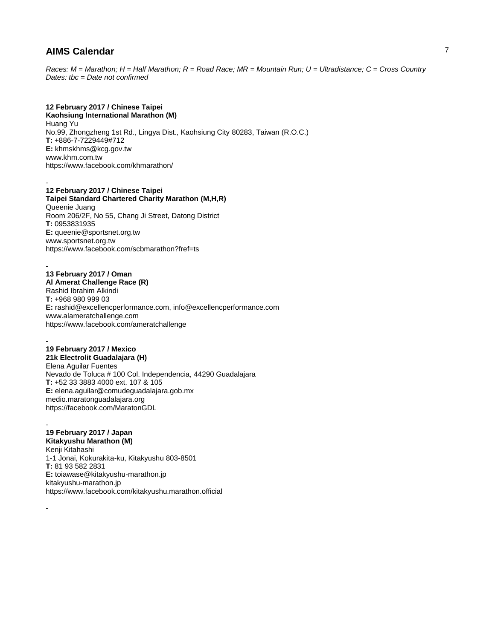*Races: M = Marathon; H = Half Marathon; R = Road Race; MR = Mountain Run; U = Ultradistance; C = Cross Country Dates: tbc = Date not confirmed*

## **12 February 2017 / Chinese Taipei**

**Kaohsiung International Marathon (M)** Huang Yu No.99, Zhongzheng 1st Rd., Lingya Dist., Kaohsiung City 80283, Taiwan (R.O.C.) **T:** +886-7-7229449#712 **E:** khmskhms@kcg.gov.tw www.khm.com.tw https://www.facebook.com/khmarathon/

#### - **12 February 2017 / Chinese Taipei**

**Taipei Standard Chartered Charity Marathon (M,H,R)** Queenie Juang Room 206/2F, No 55, Chang Ji Street, Datong District **T:** 0953831935 **E:** queenie@sportsnet.org.tw www.sportsnet.org.tw https://www.facebook.com/scbmarathon?fref=ts

# **13 February 2017 / Oman**

-

-

-

**Al Amerat Challenge Race (R)** Rashid Ibrahim Alkindi **T:** +968 980 999 03 **E:** rashid@excellencperformance.com, info@excellencperformance.com www.alameratchallenge.com https://www.facebook.com/ameratchallenge

### - **19 February 2017 / Mexico**

**21k Electrolit Guadalajara (H)** Elena Aguilar Fuentes Nevado de Toluca # 100 Col. Independencia, 44290 Guadalajara **T:** +52 33 3883 4000 ext. 107 & 105 **E:** elena.aguilar@comudeguadalajara.gob.mx medio.maratonguadalajara.org https://facebook.com/MaratonGDL

## **19 February 2017 / Japan**

**Kitakyushu Marathon (M)**

Kenji Kitahashi 1-1 Jonai, Kokurakita-ku, Kitakyushu 803-8501 **T:** 81 93 582 2831 **E:** toiawase@kitakyushu-marathon.jp kitakyushu-marathon.jp https://www.facebook.com/kitakyushu.marathon.official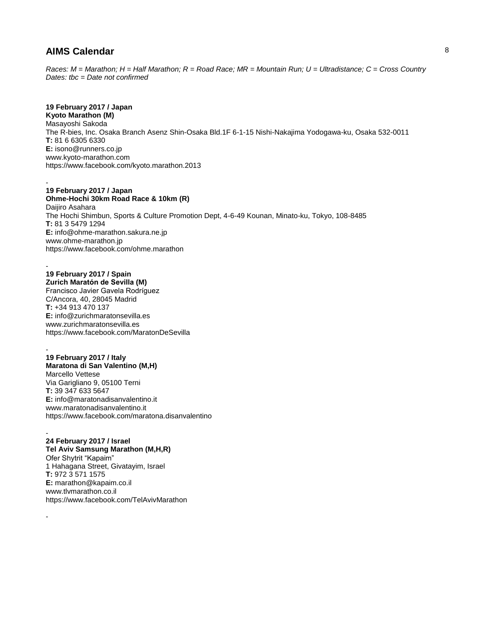*Races: M = Marathon; H = Half Marathon; R = Road Race; MR = Mountain Run; U = Ultradistance; C = Cross Country Dates: tbc = Date not confirmed*

## **19 February 2017 / Japan**

**Kyoto Marathon (M)** Masayoshi Sakoda The R-bies, Inc. Osaka Branch Asenz Shin-Osaka Bld.1F 6-1-15 Nishi-Nakajima Yodogawa-ku, Osaka 532-0011 **T:** 81 6 6305 6330 **E:** isono@runners.co.jp www.kyoto-marathon.com https://www.facebook.com/kyoto.marathon.2013

#### - **19 February 2017 / Japan**

**Ohme-Hochi 30km Road Race & 10km (R)** Daijiro Asahara The Hochi Shimbun, Sports & Culture Promotion Dept, 4-6-49 Kounan, Minato-ku, Tokyo, 108-8485 **T:** 81 3 5479 1294 **E:** info@ohme-marathon.sakura.ne.jp www.ohme-marathon.jp https://www.facebook.com/ohme.marathon

#### **19 February 2017 / Spain Zurich Maratón de Sevilla (M)**

-

-

Francisco Javier Gavela Rodríguez C/Ancora, 40, 28045 Madrid **T:** +34 913 470 137 **E:** info@zurichmaratonsevilla.es www.zurichmaratonsevilla.es https://www.facebook.com/MaratonDeSevilla

### - **19 February 2017 / Italy Maratona di San Valentino (M,H)** Marcello Vettese Via Garigliano 9, 05100 Terni **T:** 39 347 633 5647 **E:** info@maratonadisanvalentino.it www.maratonadisanvalentino.it https://www.facebook.com/maratona.disanvalentino

#### - **24 February 2017 / Israel**

**Tel Aviv Samsung Marathon (M,H,R)** Ofer Shytrit "Kapaim" 1 Hahagana Street, Givatayim, Israel **T:** 972 3 571 1575 **E:** marathon@kapaim.co.il www.tlvmarathon.co.il https://www.facebook.com/TelAvivMarathon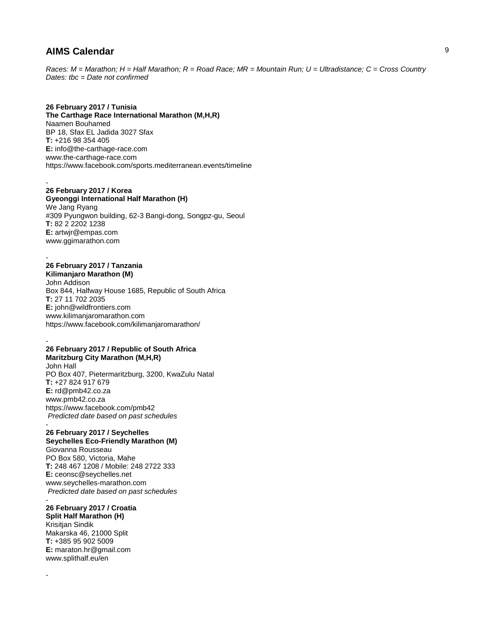*Races: M = Marathon; H = Half Marathon; R = Road Race; MR = Mountain Run; U = Ultradistance; C = Cross Country Dates: tbc = Date not confirmed*

### **26 February 2017 / Tunisia**

**The Carthage Race International Marathon (M,H,R)** Naamen Bouhamed BP 18, Sfax EL Jadida 3027 Sfax **T:** +216 98 354 405 **E:** info@the-carthage-race.com www.the-carthage-race.com https://www.facebook.com/sports.mediterranean.events/timeline

### **26 February 2017 / Korea**

-

-

-

-

**Gyeonggi International Half Marathon (H)** We Jang Ryang #309 Pyungwon building, 62-3 Bangi-dong, Songpz-gu, Seoul **T:** 82 2 2202 1238 **E:** artwjr@empas.com www.ggimarathon.com

# **26 February 2017 / Tanzania**

**Kilimanjaro Marathon (M)** John Addison Box 844, Halfway House 1685, Republic of South Africa **T:** 27 11 702 2035 **E:** john@wildfrontiers.com www.kilimanjaromarathon.com https://www.facebook.com/kilimanjaromarathon/

#### **26 February 2017 / Republic of South Africa Maritzburg City Marathon (M,H,R)**

John Hall PO Box 407, Pietermaritzburg, 3200, KwaZulu Natal **T:** +27 824 917 679 **E:** rd@pmb42.co.za www.pmb42.co.za https://www.facebook.com/pmb42 *Predicted date based on past schedules* -

#### **26 February 2017 / Seychelles Seychelles Eco-Friendly Marathon (M)**

Giovanna Rousseau PO Box 580, Victoria, Mahe **T:** 248 467 1208 / Mobile: 248 2722 333 **E:** ceonsc@seychelles.net www.seychelles-marathon.com *Predicted date based on past schedules*

#### - **26 February 2017 / Croatia**

**Split Half Marathon (H)** Krisitjan Sindik Makarska 46, 21000 Split **T:** +385 95 902 5009 **E:** maraton.hr@gmail.com www.splithalf.eu/en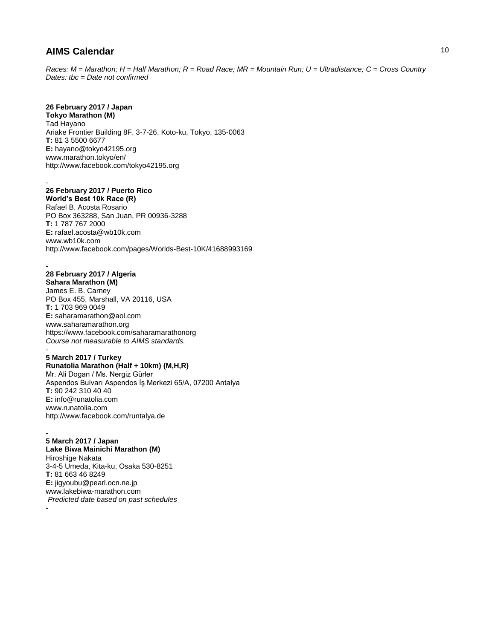*Races: M = Marathon; H = Half Marathon; R = Road Race; MR = Mountain Run; U = Ultradistance; C = Cross Country Dates: tbc = Date not confirmed*

## **26 February 2017 / Japan**

**Tokyo Marathon (M)** Tad Hayano Ariake Frontier Building 8F, 3-7-26, Koto-ku, Tokyo, 135-0063 **T:** 81 3 5500 6677 **E:** hayano@tokyo42195.org www.marathon.tokyo/en/ http://www.facebook.com/tokyo42195.org

#### - **26 February 2017 / Puerto Rico**

**World's Best 10k Race (R)** Rafael B. Acosta Rosario PO Box 363288, San Juan, PR 00936-3288 **T:** 1 787 767 2000 **E:** rafael.acosta@wb10k.com www.wb10k.com http://www.facebook.com/pages/Worlds-Best-10K/41688993169

### **28 February 2017 / Algeria**

-

**Sahara Marathon (M)** James E. B. Carney PO Box 455, Marshall, VA 20116, USA **T:** 1 703 969 0049 **E:** saharamarathon@aol.com www.saharamarathon.org https://www.facebook.com/saharamarathonorg *Course not measurable to AIMS standards.*  -

### **5 March 2017 / Turkey Runatolia Marathon (Half + 10km) (M,H,R)** Mr. Ali Dogan / Ms. Nergiz Gürler Aspendos Bulvarı Aspendos İş Merkezi 65/A, 07200 Antalya **T:** 90 242 310 40 40 **E:** info@runatolia.com www.runatolia.com http://www.facebook.com/runtalya.de

#### - **5 March 2017 / Japan Lake Biwa Mainichi Marathon (M)**

Hiroshige Nakata 3-4-5 Umeda, Kita-ku, Osaka 530-8251 **T:** 81 663 46 8249 **E:** jigyoubu@pearl.ocn.ne.jp www.lakebiwa-marathon.com *Predicted date based on past schedules* -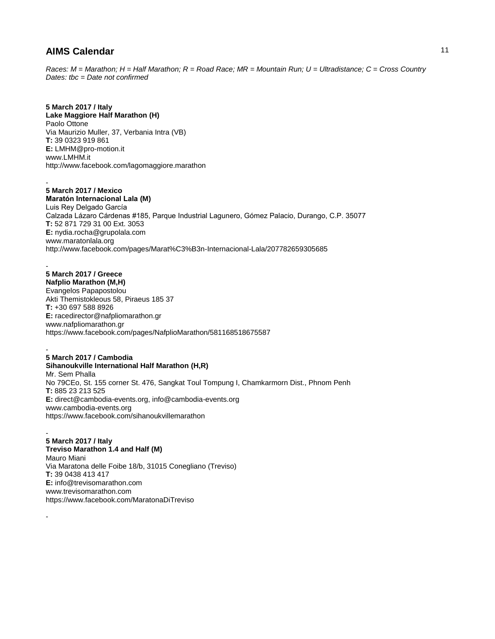*Races: M = Marathon; H = Half Marathon; R = Road Race; MR = Mountain Run; U = Ultradistance; C = Cross Country Dates: tbc = Date not confirmed*

# **5 March 2017 / Italy**

**Lake Maggiore Half Marathon (H)** Paolo Ottone Via Maurizio Muller, 37, Verbania Intra (VB) **T:** 39 0323 919 861 **E:** LMHM@pro-motion.it www.LMHM.it http://www.facebook.com/lagomaggiore.marathon

#### - **5 March 2017 / Mexico**

**Maratón Internacional Lala (M)** Luis Rey Delgado García Calzada Lázaro Cárdenas #185, Parque Industrial Lagunero, Gómez Palacio, Durango, C.P. 35077 **T:** 52 871 729 31 00 Ext. 3053 **E:** nydia.rocha@grupolala.com www.maratonlala.org http://www.facebook.com/pages/Marat%C3%B3n-Internacional-Lala/207782659305685

#### - **5 March 2017 / Greece Nafplio Marathon (M,H)**

-

Evangelos Papapostolou Akti Themistokleous 58, Piraeus 185 37 **T:** +30 697 588 8926 **E:** racedirector@nafpliomarathon.gr www.nafpliomarathon.gr https://www.facebook.com/pages/NafplioMarathon/581168518675587

#### - **5 March 2017 / Cambodia Sihanoukville International Half Marathon (H,R)** Mr. Sem Phalla No 79CEo, St. 155 corner St. 476, Sangkat Toul Tompung I, Chamkarmorn Dist., Phnom Penh **T:** 885 23 213 525 **E:** direct@cambodia-events.org, info@cambodia-events.org www.cambodia-events.org https://www.facebook.com/sihanoukvillemarathon

### - **5 March 2017 / Italy Treviso Marathon 1.4 and Half (M)** Mauro Miani Via Maratona delle Foibe 18/b, 31015 Conegliano (Treviso) **T:** 39 0438 413 417 **E:** info@trevisomarathon.com www.trevisomarathon.com https://www.facebook.com/MaratonaDiTreviso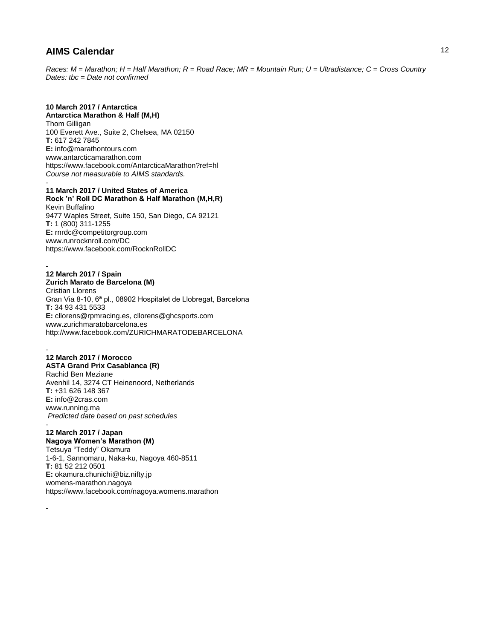*Races: M = Marathon; H = Half Marathon; R = Road Race; MR = Mountain Run; U = Ultradistance; C = Cross Country Dates: tbc = Date not confirmed*

## **10 March 2017 / Antarctica**

**Antarctica Marathon & Half (M,H)** Thom Gilligan 100 Everett Ave., Suite 2, Chelsea, MA 02150 **T:** 617 242 7845 **E:** info@marathontours.com www.antarcticamarathon.com https://www.facebook.com/AntarcticaMarathon?ref=hl *Course not measurable to AIMS standards.*  -

### **11 March 2017 / United States of America**

**Rock 'n' Roll DC Marathon & Half Marathon (M,H,R)** Kevin Buffalino 9477 Waples Street, Suite 150, San Diego, CA 92121 **T:** 1 (800) 311-1255 **E:** rnrdc@competitorgroup.com www.runrocknroll.com/DC https://www.facebook.com/RocknRollDC

#### **12 March 2017 / Spain Zurich Marato de Barcelona (M)**

-

-

-

Cristian Llorens Gran Via 8-10, 6ª pl., 08902 Hospitalet de Llobregat, Barcelona **T:** 34 93 431 5533 **E:** cllorens@rpmracing.es, cllorens@ghcsports.com www.zurichmaratobarcelona.es http://www.facebook.com/ZURICHMARATODEBARCELONA

## **12 March 2017 / Morocco**

**ASTA Grand Prix Casablanca (R)** Rachid Ben Meziane Avenhil 14, 3274 CT Heinenoord, Netherlands **T:** +31 626 148 367 **E:** info@2cras.com www.running.ma *Predicted date based on past schedules* -

# **12 March 2017 / Japan**

**Nagoya Women's Marathon (M)**

Tetsuya "Teddy" Okamura 1-6-1, Sannomaru, Naka-ku, Nagoya 460-8511 **T:** 81 52 212 0501 **E:** okamura.chunichi@biz.nifty.jp womens-marathon.nagoya https://www.facebook.com/nagoya.womens.marathon 12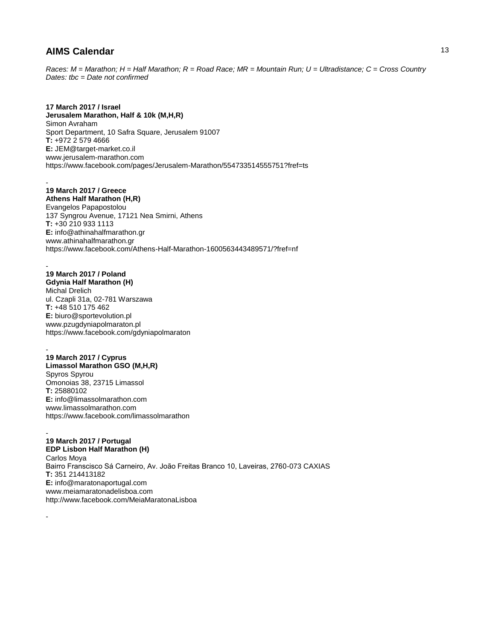*Races: M = Marathon; H = Half Marathon; R = Road Race; MR = Mountain Run; U = Ultradistance; C = Cross Country Dates: tbc = Date not confirmed*

**17 March 2017 / Israel Jerusalem Marathon, Half & 10k (M,H,R)** Simon Avraham Sport Department, 10 Safra Square, Jerusalem 91007 **T:** +972 2 579 4666 **E:** JEM@target-market.co.il www.jerusalem-marathon.com https://www.facebook.com/pages/Jerusalem-Marathon/554733514555751?fref=ts

- **19 March 2017 / Greece Athens Half Marathon (H,R)** Evangelos Papapostolou 137 Syngrou Avenue, 17121 Nea Smirni, Athens **T:** +30 210 933 1113 **E:** info@athinahalfmarathon.gr www.athinahalfmarathon.gr https://www.facebook.com/Athens-Half-Marathon-1600563443489571/?fref=nf

- **19 March 2017 / Poland Gdynia Half Marathon (H)** Michal Drelich ul. Czapli 31a, 02-781 Warszawa **T:** +48 510 175 462 **E:** biuro@sportevolution.pl www.pzugdyniapolmaraton.pl https://www.facebook.com/gdyniapolmaraton

- **19 March 2017 / Cyprus Limassol Marathon GSO (M,H,R)** Spyros Spyrou Omonoias 38, 23715 Limassol **T:** 25880102 **E:** info@limassolmarathon.com www.limassolmarathon.com https://www.facebook.com/limassolmarathon

-

-

**19 March 2017 / Portugal EDP Lisbon Half Marathon (H)** Carlos Moya Bairro Franscisco Sá Carneiro, Av. João Freitas Branco 10, Laveiras, 2760-073 CAXIAS **T:** 351 214413182 **E:** info@maratonaportugal.com www.meiamaratonadelisboa.com http://www.facebook.com/MeiaMaratonaLisboa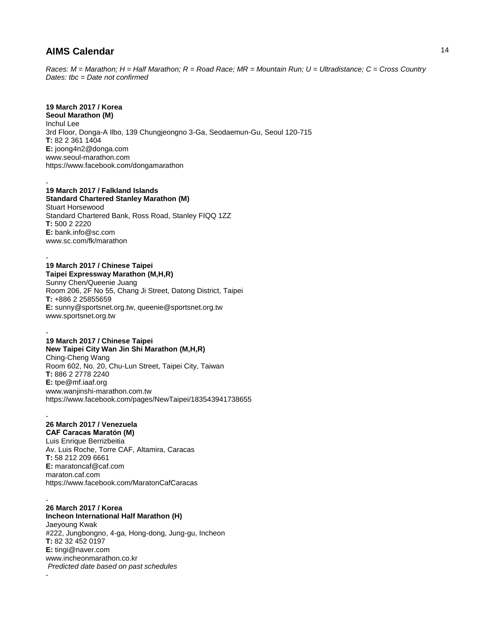*Races: M = Marathon; H = Half Marathon; R = Road Race; MR = Mountain Run; U = Ultradistance; C = Cross Country Dates: tbc = Date not confirmed*

# **19 March 2017 / Korea**

-

**Seoul Marathon (M)** Inchul Lee 3rd Floor, Donga-A Ilbo, 139 Chungjeongno 3-Ga, Seodaemun-Gu, Seoul 120-715 **T:** 82 2 361 1404 **E:** joong4n2@donga.com www.seoul-marathon.com https://www.facebook.com/dongamarathon

# **19 March 2017 / Falkland Islands**

**Standard Chartered Stanley Marathon (M)** Stuart Horsewood Standard Chartered Bank, Ross Road, Stanley FIQQ 1ZZ **T:** 500 2 2220 **E:** bank.info@sc.com www.sc.com/fk/marathon

#### - **19 March 2017 / Chinese Taipei Taipei Expressway Marathon (M,H,R)**

Sunny Chen/Queenie Juang Room 206, 2F No 55, Chang Ji Street, Datong District, Taipei **T:** +886 2 25855659 **E:** sunny@sportsnet.org.tw, queenie@sportsnet.org.tw www.sportsnet.org.tw

#### - **19 March 2017 / Chinese Taipei New Taipei City Wan Jin Shi Marathon (M,H,R)**

Ching-Cheng Wang Room 602, No. 20, Chu-Lun Street, Taipei City, Taiwan **T:** 886 2 2778 2240 **E:** tpe@mf.iaaf.org www.wanjinshi-marathon.com.tw https://www.facebook.com/pages/NewTaipei/183543941738655

#### - **26 March 2017 / Venezuela CAF Caracas Maratón (M)**

-

Luis Enrique Berrizbeitia Av. Luis Roche, Torre CAF, Altamira, Caracas **T:** 58 212 209 6661 **E:** maratoncaf@caf.com maraton.caf.com https://www.facebook.com/MaratonCafCaracas

- **26 March 2017 / Korea Incheon International Half Marathon (H)** Jaeyoung Kwak #222, Jungbongno, 4-ga, Hong-dong, Jung-gu, Incheon **T:** 82 32 452 0197 **E:** tingi@naver.com www.incheonmarathon.co.kr *Predicted date based on past schedules*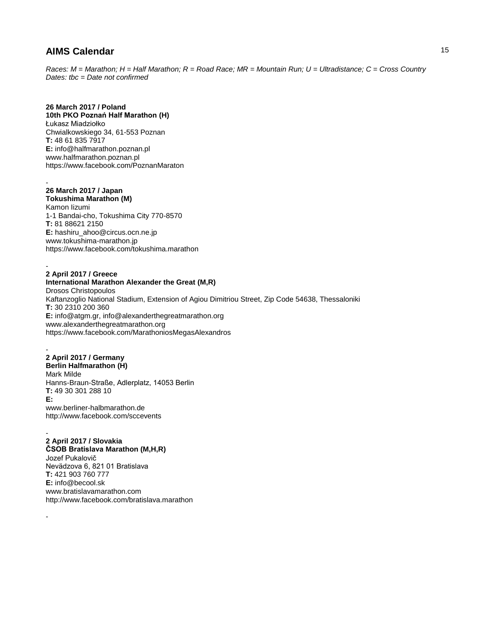*Races: M = Marathon; H = Half Marathon; R = Road Race; MR = Mountain Run; U = Ultradistance; C = Cross Country Dates: tbc = Date not confirmed*

## **26 March 2017 / Poland**

**10th PKO Poznań Half Marathon (H)** Łukasz Miadziołko Chwialkowskiego 34, 61-553 Poznan **T:** 48 61 835 7917 **E:** info@halfmarathon.poznan.pl www.halfmarathon.poznan.pl https://www.facebook.com/PoznanMaraton

### - **26 March 2017 / Japan**

**Tokushima Marathon (M)**

Kamon Iizumi 1-1 Bandai-cho, Tokushima City 770-8570 **T:** 81 88621 2150 **E:** hashiru\_ahoo@circus.ocn.ne.jp www.tokushima-marathon.jp https://www.facebook.com/tokushima.marathon

### - **2 April 2017 / Greece**

**International Marathon Alexander the Great (M,R)** Drosos Christopoulos Kaftanzoglio National Stadium, Extension of Agiou Dimitriou Street, Zip Code 54638, Thessaloniki **T:** 30 2310 200 360 **E:** info@atgm.gr, info@alexanderthegreatmarathon.org www.alexanderthegreatmarathon.org https://www.facebook.com/MarathoniosMegasAlexandros

#### - **2 April 2017 / Germany Berlin Halfmarathon (H)** Mark Milde

Hanns-Braun-Straße, Adlerplatz, 14053 Berlin **T:** 49 30 301 288 10 **E:**

www.berliner-halbmarathon.de http://www.facebook.com/sccevents

### - **2 April 2017 / Slovakia**

-

**ČSOB Bratislava Marathon (M,H,R)** Jozef Pukalovič Nevädzova 6, 821 01 Bratislava **T:** 421 903 760 777 **E:** info@becool.sk www.bratislavamarathon.com http://www.facebook.com/bratislava.marathon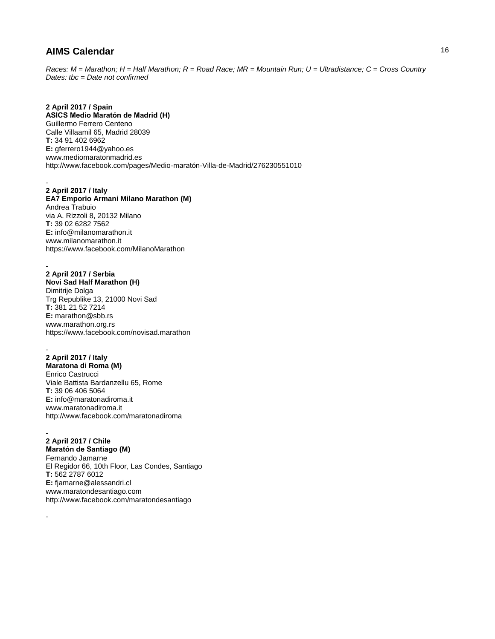*Races: M = Marathon; H = Half Marathon; R = Road Race; MR = Mountain Run; U = Ultradistance; C = Cross Country Dates: tbc = Date not confirmed*

**2 April 2017 / Spain ASICS Medio Maratón de Madrid (H)** Guillermo Ferrero Centeno Calle Villaamil 65, Madrid 28039 **T:** 34 91 402 6962 **E:** gferrero1944@yahoo.es www.mediomaratonmadrid.es http://www.facebook.com/pages/Medio-maratón-Villa-de-Madrid/276230551010

# **2 April 2017 / Italy**

-

-

-

**EA7 Emporio Armani Milano Marathon (M)** Andrea Trabuio via A. Rizzoli 8, 20132 Milano **T:** 39 02 6282 7562 **E:** info@milanomarathon.it www.milanomarathon.it https://www.facebook.com/MilanoMarathon

# **2 April 2017 / Serbia**

**Novi Sad Half Marathon (H)** Dimitrije Dolga Trg Republike 13, 21000 Novi Sad **T:** 381 21 52 7214 **E:** marathon@sbb.rs www.marathon.org.rs https://www.facebook.com/novisad.marathon

#### - **2 April 2017 / Italy Maratona di Roma (M)**

Enrico Castrucci Viale Battista Bardanzellu 65, Rome **T:** 39 06 406 5064 **E:** info@maratonadiroma.it www.maratonadiroma.it http://www.facebook.com/maratonadiroma

### - **2 April 2017 / Chile**

**Maratón de Santiago (M)** Fernando Jamarne El Regidor 66, 10th Floor, Las Condes, Santiago **T:** 562 2787 6012 **E:** fjamarne@alessandri.cl www.maratondesantiago.com http://www.facebook.com/maratondesantiago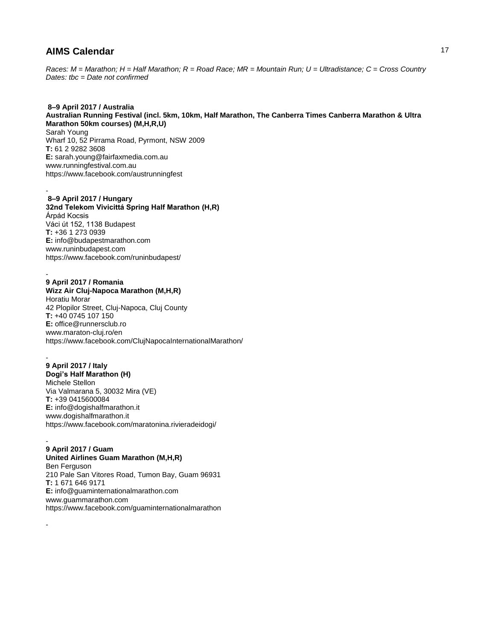*Races: M = Marathon; H = Half Marathon; R = Road Race; MR = Mountain Run; U = Ultradistance; C = Cross Country Dates: tbc = Date not confirmed*

**8–9 April 2017 / Australia Australian Running Festival (incl. 5km, 10km, Half Marathon, The Canberra Times Canberra Marathon & Ultra Marathon 50km courses) (M,H,R,U)** Sarah Young Wharf 10, 52 Pirrama Road, Pyrmont, NSW 2009 **T:** 61 2 9282 3608 **E:** sarah.young@fairfaxmedia.com.au www.runningfestival.com.au https://www.facebook.com/austrunningfest

### **8–9 April 2017 / Hungary 32nd Telekom Vivicittá Spring Half Marathon (H,R)** Árpád Kocsis Váci út 152, 1138 Budapest **T:** +36 1 273 0939 **E:** info@budapestmarathon.com www.runinbudapest.com https://www.facebook.com/runinbudapest/

### - **9 April 2017 / Romania**

-

**Wizz Air Cluj-Napoca Marathon (M,H,R)** Horatiu Morar 42 Plopilor Street, Cluj-Napoca, Cluj County **T:** +40 0745 107 150 **E:** office@runnersclub.ro www.maraton-cluj.ro/en https://www.facebook.com/ClujNapocaInternationalMarathon/

#### - **9 April 2017 / Italy Dogi's Half Marathon (H)**

Michele Stellon Via Valmarana 5, 30032 Mira (VE) **T:** +39 0415600084 **E:** info@dogishalfmarathon.it www.dogishalfmarathon.it https://www.facebook.com/maratonina.rivieradeidogi/

#### - **9 April 2017 / Guam**

-

**United Airlines Guam Marathon (M,H,R)**

Ben Ferguson 210 Pale San Vitores Road, Tumon Bay, Guam 96931 **T:** 1 671 646 9171 **E:** info@guaminternationalmarathon.com www.guammarathon.com https://www.facebook.com/guaminternationalmarathon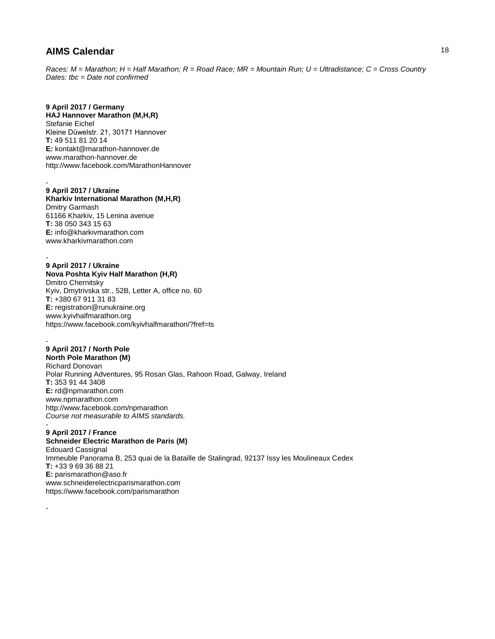*Races: M = Marathon; H = Half Marathon; R = Road Race; MR = Mountain Run; U = Ultradistance; C = Cross Country Dates: tbc = Date not confirmed*

## **9 April 2017 / Germany**

**HAJ Hannover Marathon (M,H,R)** Stefanie Eichel Kleine Düwelstr. 21, 30171 Hannover **T:** 49 511 81 20 14 **E:** kontakt@marathon-hannover.de www.marathon-hannover.de http://www.facebook.com/MarathonHannover

#### - **9 April 2017 / Ukraine**

**Kharkiv International Marathon (M,H,R)** Dmitry Garmash 61166 Kharkiv, 15 Lenina avenue **T:** 38 050 343 15 63 **E:** info@kharkivmarathon.com www.kharkivmarathon.com

## **9 April 2017 / Ukraine**

-

-

-

**Nova Poshta Kyiv Half Marathon (H,R)** Dmitro Chernitsky Kyiv, Dmytrivska str., 52B, Letter A, office no. 60 **T:** +380 67 911 31 83 **E:** registration@runukraine.org www.kyivhalfmarathon.org https://www.facebook.com/kyivhalfmarathon/?fref=ts

## **9 April 2017 / North Pole**

**North Pole Marathon (M)** Richard Donovan Polar Running Adventures, 95 Rosan Glas, Rahoon Road, Galway, Ireland **T:** 353 91 44 3408 **E:** rd@npmarathon.com www.npmarathon.com http://www.facebook.com/npmarathon *Course not measurable to AIMS standards.*  -

### **9 April 2017 / France**

**Schneider Electric Marathon de Paris (M)** Edouard Cassignal Immeuble Panorama B, 253 quai de la Bataille de Stalingrad, 92137 Issy les Moulineaux Cedex **T:** +33 9 69 36 88 21 **E:** parismarathon@aso.fr www.schneiderelectricparismarathon.com https://www.facebook.com/parismarathon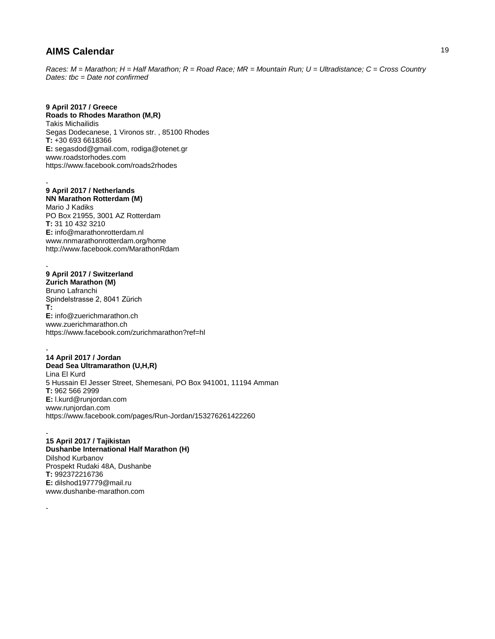*Races: M = Marathon; H = Half Marathon; R = Road Race; MR = Mountain Run; U = Ultradistance; C = Cross Country Dates: tbc = Date not confirmed*

# **9 April 2017 / Greece**

**Roads to Rhodes Marathon (M,R)** Takis Michailidis Segas Dodecanese, 1 Vironos str. , 85100 Rhodes **T:** +30 693 6618366 **E:** segasdod@gmail.com, rodiga@otenet.gr www.roadstorhodes.com https://www.facebook.com/roads2rhodes

### - **9 April 2017 / Netherlands**

**NN Marathon Rotterdam (M)** Mario J Kadiks PO Box 21955, 3001 AZ Rotterdam **T:** 31 10 432 3210 **E:** info@marathonrotterdam.nl www.nnmarathonrotterdam.org/home http://www.facebook.com/MarathonRdam

#### - **9 April 2017 / Switzerland**

-

-

**Zurich Marathon (M)** Bruno Lafranchi Spindelstrasse 2, 8041 Zürich **T: E:** info@zuerichmarathon.ch www.zuerichmarathon.ch https://www.facebook.com/zurichmarathon?ref=hl

- **14 April 2017 / Jordan Dead Sea Ultramarathon (U,H,R)** Lina El Kurd 5 Hussain El Jesser Street, Shemesani, PO Box 941001, 11194 Amman **T:** 962 566 2999 **E:** l.kurd@runjordan.com www.runjordan.com https://www.facebook.com/pages/Run-Jordan/153276261422260

**15 April 2017 / Tajikistan Dushanbe International Half Marathon (H)** Dilshod Kurbanov Prospekt Rudaki 48A, Dushanbe **T:** 992372216736 **E:** dilshod197779@mail.ru www.dushanbe-marathon.com

19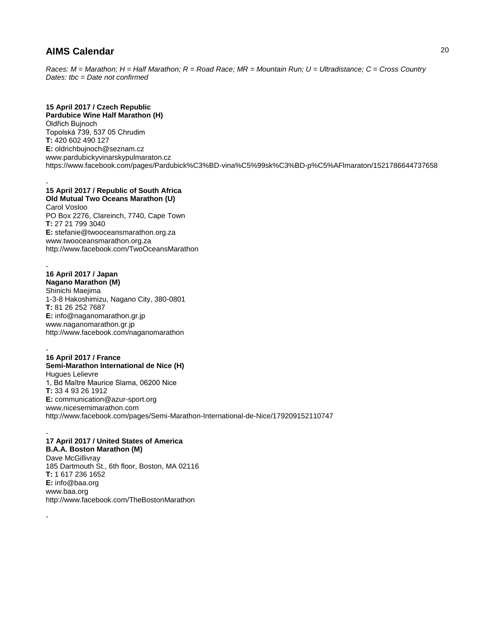*Races: M = Marathon; H = Half Marathon; R = Road Race; MR = Mountain Run; U = Ultradistance; C = Cross Country Dates: tbc = Date not confirmed*

## **15 April 2017 / Czech Republic**

**Pardubice Wine Half Marathon (H)** Oldřich Bujnoch Topolská 739, 537 05 Chrudim **T:** 420 602 490 127 **E:** oldrichbujnoch@seznam.cz www.pardubickyvinarskypulmaraton.cz https://www.facebook.com/pages/Pardubick%C3%BD-vina%C5%99sk%C3%BD-p%C5%AFlmaraton/1521786644737658

#### - **15 April 2017 / Republic of South Africa Old Mutual Two Oceans Marathon (U)**

Carol Vosloo PO Box 2276, Clareinch, 7740, Cape Town **T:** 27 21 799 3040 **E:** stefanie@twooceansmarathon.org.za www.twooceansmarathon.org.za http://www.facebook.com/TwoOceansMarathon

- **16 April 2017 / Japan Nagano Marathon (M)** Shinichi Maejima 1-3-8 Hakoshimizu, Nagano City, 380-0801 **T:** 81 26 252 7687 **E:** info@naganomarathon.gr.jp www.naganomarathon.gr.jp http://www.facebook.com/naganomarathon

- **16 April 2017 / France Semi-Marathon International de Nice (H)** Hugues Lelievre 1, Bd Maître Maurice Slama, 06200 Nice **T:** 33 4 93 26 1912 **E:** communication@azur-sport.org www.nicesemimarathon.com http://www.facebook.com/pages/Semi-Marathon-International-de-Nice/179209152110747

### - **17 April 2017 / United States of America**

-

**B.A.A. Boston Marathon (M)** Dave McGillivray 185 Dartmouth St., 6th floor, Boston, MA 02116 **T:** 1 617 236 1652 **E:** info@baa.org www.baa.org http://www.facebook.com/TheBostonMarathon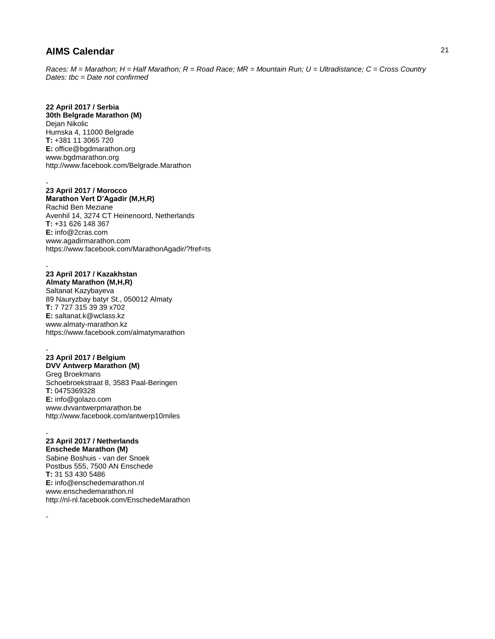*Races: M = Marathon; H = Half Marathon; R = Road Race; MR = Mountain Run; U = Ultradistance; C = Cross Country Dates: tbc = Date not confirmed*

# **22 April 2017 / Serbia**

**30th Belgrade Marathon (M)** Dejan Nikolic Humska 4, 11000 Belgrade **T:** +381 11 3065 720 **E:** office@bgdmarathon.org www.bgdmarathon.org http://www.facebook.com/Belgrade.Marathon

### **23 April 2017 / Morocco**

-

-

-

**Marathon Vert D'Agadir (M,H,R)** Rachid Ben Meziane Avenhil 14, 3274 CT Heinenoord, Netherlands **T:** +31 626 148 367 **E:** info@2cras.com www.agadirmarathon.com https://www.facebook.com/MarathonAgadir/?fref=ts

### **23 April 2017 / Kazakhstan Almaty Marathon (M,H,R)**

Saltanat Kazybayeva 89 Nauryzbay batyr St., 050012 Almaty **T:** 7 727 315 39 39 x702 **E:** saltanat.k@wclass.kz www.almaty-marathon.kz https://www.facebook.com/almatymarathon

### - **23 April 2017 / Belgium**

**DVV Antwerp Marathon (M)** Greg Broekmans Schoebroekstraat 8, 3583 Paal-Beringen **T:** 0475369328 **E:** info@golazo.com www.dvvantwerpmarathon.be http://www.facebook.com/antwerp10miles

### - **23 April 2017 / Netherlands**

**Enschede Marathon (M)** Sabine Boshuis - van der Snoek Postbus 555, 7500 AN Enschede **T:** 31 53 430 5486 **E:** info@enschedemarathon.nl www.enschedemarathon.nl http://nl-nl.facebook.com/EnschedeMarathon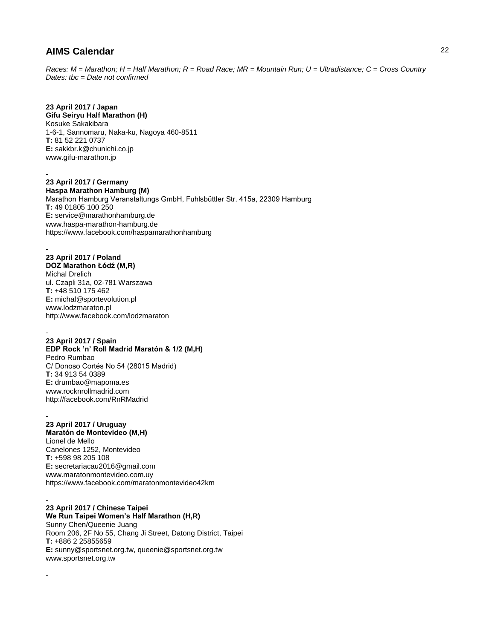*Races: M = Marathon; H = Half Marathon; R = Road Race; MR = Mountain Run; U = Ultradistance; C = Cross Country Dates: tbc = Date not confirmed*

# **23 April 2017 / Japan**

**Gifu Seiryu Half Marathon (H)** Kosuke Sakakibara 1-6-1, Sannomaru, Naka-ku, Nagoya 460-8511 **T:** 81 52 221 0737 **E:** sakkbr.k@chunichi.co.jp www.gifu-marathon.jp

**23 April 2017 / Germany Haspa Marathon Hamburg (M)**

-

Marathon Hamburg Veranstaltungs GmbH, Fuhlsbüttler Str. 415a, 22309 Hamburg **T:** 49 01805 100 250 **E:** service@marathonhamburg.de www.haspa-marathon-hamburg.de https://www.facebook.com/haspamarathonhamburg

### - **23 April 2017 / Poland DOZ Marathon Łódź (M,R)**

Michal Drelich ul. Czapli 31a, 02-781 Warszawa **T:** +48 510 175 462 **E:** michal@sportevolution.pl www.lodzmaraton.pl http://www.facebook.com/lodzmaraton

#### - **23 April 2017 / Spain**

### **EDP Rock 'n' Roll Madrid Maratón & 1/2 (M,H)** Pedro Rumbao C/ Donoso Cortés No 54 (28015 Madrid) **T:** 34 913 54 0389 **E:** drumbao@mapoma.es www.rocknrollmadrid.com http://facebook.com/RnRMadrid

#### - **23 April 2017 / Uruguay**

**Maratón de Montevideo (M,H)** Lionel de Mello Canelones 1252, Montevideo **T:** +598 98 205 108 **E:** secretariacau2016@gmail.com www.maratonmontevideo.com.uy https://www.facebook.com/maratonmontevideo42km

#### - **23 April 2017 / Chinese Taipei**

-

**We Run Taipei Women's Half Marathon (H,R)** Sunny Chen/Queenie Juang Room 206, 2F No 55, Chang Ji Street, Datong District, Taipei **T:** +886 2 25855659 **E:** sunny@sportsnet.org.tw, queenie@sportsnet.org.tw www.sportsnet.org.tw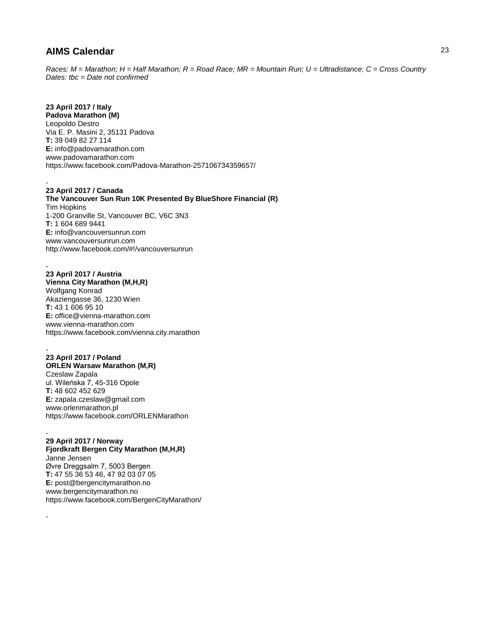*Races: M = Marathon; H = Half Marathon; R = Road Race; MR = Mountain Run; U = Ultradistance; C = Cross Country Dates: tbc = Date not confirmed*

## **23 April 2017 / Italy**

**Padova Marathon (M)** Leopoldo Destro Via E. P. Masini 2, 35131 Padova **T:** 39 049 82 27 114 **E:** info@padovamarathon.com www.padovamarathon.com https://www.facebook.com/Padova-Marathon-257106734359657/

- **23 April 2017 / Canada The Vancouver Sun Run 10K Presented By BlueShore Financial (R)** Tim Hopkins 1-200 Granville St, Vancouver BC, V6C 3N3 **T:** 1 604 689 9441 **E:** info@vancouversunrun.com www.vancouversunrun.com http://www.facebook.com/#!/vancouversunrun

## **23 April 2017 / Austria**

-

-

**Vienna City Marathon (M,H,R)** Wolfgang Konrad Akaziengasse 36, 1230 Wien **T:** 43 1 606 95 10 **E:** office@vienna-marathon.com www.vienna-marathon.com https://www.facebook.com/vienna.city.marathon

#### - **23 April 2017 / Poland ORLEN Warsaw Marathon (M,R)** Czeslaw Zapala ul. Wileńska 7, 45-316 Opole **T:** 48 602 452 629 **E:** zapala.czeslaw@gmail.com www.orlenmarathon.pl https://www.facebook.com/ORLENMarathon

## - **29 April 2017 / Norway**

**Fjordkraft Bergen City Marathon (M,H,R)** Janne Jensen Øvre Dreggsalm 7, 5003 Bergen **T:** 47 55 36 53 46, 47 92 03 07 05 **E:** post@bergencitymarathon.no www.bergencitymarathon.no https://www.facebook.com/BergenCityMarathon/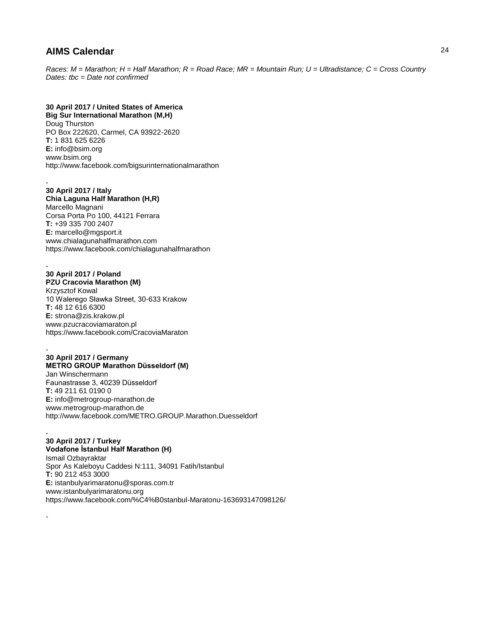*Races: M = Marathon; H = Half Marathon; R = Road Race; MR = Mountain Run; U = Ultradistance; C = Cross Country Dates: tbc = Date not confirmed*

# **30 April 2017 / United States of America**

**Big Sur International Marathon (M,H)** Doug Thurston PO Box 222620, Carmel, CA 93922-2620 **T:** 1 831 625 6226 **E:** info@bsim.org www.bsim.org http://www.facebook.com/bigsurinternationalmarathon

### - **30 April 2017 / Italy**

**Chia Laguna Half Marathon (H,R)** Marcello Magnani Corsa Porta Po 100, 44121 Ferrara **T:** +39 335 700 2407 **E:** marcello@mgsport.it www.chialagunahalfmarathon.com https://www.facebook.com/chialagunahalfmarathon

# **30 April 2017 / Poland**

-

-

-

**PZU Cracovia Marathon (M)** Krzysztof Kowal 10 Walerego Sławka Street, 30-633 Krakow **T:** 48 12 616 6300 **E:** strona@zis.krakow.pl www.pzucracoviamaraton.pl https://www.facebook.com/CracoviaMaraton

#### - **30 April 2017 / Germany METRO GROUP Marathon Düsseldorf (M)** Jan Winschermann Faunastrasse 3, 40239 Düsseldorf

**T:** 49 211 61 0190 0 **E:** info@metrogroup-marathon.de www.metrogroup-marathon.de http://www.facebook.com/METRO.GROUP.Marathon.Duesseldorf

#### **30 April 2017 / Turkey Vodafone İstanbul Half Marathon (H)** Ismail Ozbayraktar

Spor As Kaleboyu Caddesi N:111, 34091 Fatih/Istanbul **T:** 90 212 453 3000 **E:** istanbulyarimaratonu@sporas.com.tr www.istanbulyarimaratonu.org https://www.facebook.com/%C4%B0stanbul-Maratonu-163693147098126/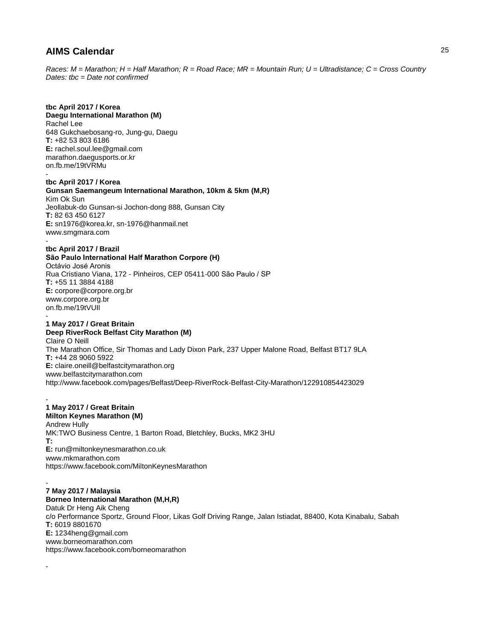*Races: M = Marathon; H = Half Marathon; R = Road Race; MR = Mountain Run; U = Ultradistance; C = Cross Country Dates: tbc = Date not confirmed*

# **tbc April 2017 / Korea**

**Daegu International Marathon (M)** Rachel Lee 648 Gukchaebosang-ro, Jung-gu, Daegu **T:** +82 53 803 6186 **E:** rachel.soul.lee@gmail.com marathon.daegusports.or.kr on.fb.me/19tVRMu -

**tbc April 2017 / Korea Gunsan Saemangeum International Marathon, 10km & 5km (M,R)** Kim Ok Sun Jeollabuk-do Gunsan-si Jochon-dong 888, Gunsan City **T:** 82 63 450 6127 **E:** sn1976@korea.kr, sn-1976@hanmail.net www.smgmara.com -

## **tbc April 2017 / Brazil**

**São Paulo International Half Marathon Corpore (H)** Octávio José Aronis Rua Cristiano Viana, 172 - Pinheiros, CEP 05411-000 São Paulo / SP **T:** +55 11 3884 4188 **E:** corpore@corpore.org.br www.corpore.org.br on.fb.me/19tVUIl -

## **1 May 2017 / Great Britain**

#### **Deep RiverRock Belfast City Marathon (M)** Claire O Neill

The Marathon Office, Sir Thomas and Lady Dixon Park, 237 Upper Malone Road, Belfast BT17 9LA **T:** +44 28 9060 5922 **E:** claire.oneill@belfastcitymarathon.org www.belfastcitymarathon.com http://www.facebook.com/pages/Belfast/Deep-RiverRock-Belfast-City-Marathon/122910854423029

#### - **1 May 2017 / Great Britain**

### **Milton Keynes Marathon (M)**

Andrew Hully MK:TWO Business Centre, 1 Barton Road, Bletchley, Bucks, MK2 3HU **T: E:** run@miltonkeynesmarathon.co.uk www.mkmarathon.com https://www.facebook.com/MiltonKeynesMarathon

#### - **7 May 2017 / Malaysia Borneo International Marathon (M,H,R)**

-

Datuk Dr Heng Aik Cheng c/o Performance Sportz, Ground Floor, Likas Golf Driving Range, Jalan Istiadat, 88400, Kota Kinabalu, Sabah **T:** 6019 8801670 **E:** 1234heng@gmail.com www.borneomarathon.com https://www.facebook.com/borneomarathon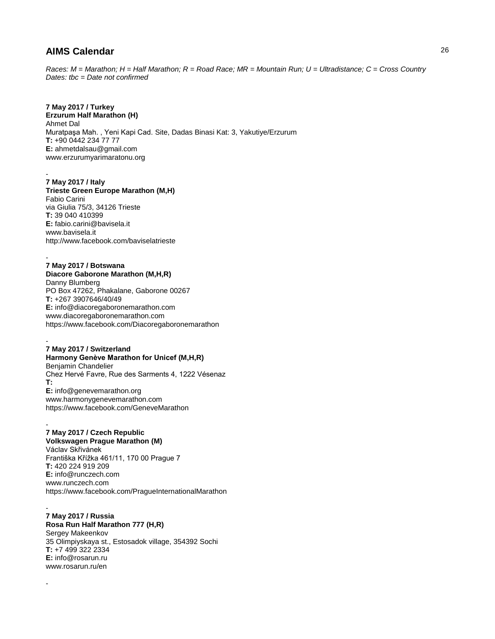*Races: M = Marathon; H = Half Marathon; R = Road Race; MR = Mountain Run; U = Ultradistance; C = Cross Country Dates: tbc = Date not confirmed*

## **7 May 2017 / Turkey**

**Erzurum Half Marathon (H)** Ahmet Dal Muratpaşa Mah. , Yeni Kapi Cad. Site, Dadas Binasi Kat: 3, Yakutiye/Erzurum **T:** +90 0442 234 77 77 **E:** ahmetdalsau@gmail.com www.erzurumyarimaratonu.org

#### - **7 May 2017 / Italy**

**Trieste Green Europe Marathon (M,H)** Fabio Carini via Giulia 75/3, 34126 Trieste **T:** 39 040 410399 **E:** fabio.carini@bavisela.it www.bavisela.it http://www.facebook.com/baviselatrieste

### **7 May 2017 / Botswana**

-

-

**Diacore Gaborone Marathon (M,H,R)** Danny Blumberg PO Box 47262, Phakalane, Gaborone 00267 **T:** +267 3907646/40/49 **E:** info@diacoregaboronemarathon.com www.diacoregaboronemarathon.com https://www.facebook.com/Diacoregaboronemarathon

#### - **7 May 2017 / Switzerland**

**Harmony Genève Marathon for Unicef (M,H,R)** Benjamin Chandelier Chez Hervé Favre, Rue des Sarments 4, 1222 Vésenaz **T: E:** info@genevemarathon.org www.harmonygenevemarathon.com https://www.facebook.com/GeneveMarathon

#### - **7 May 2017 / Czech Republic**

**Volkswagen Prague Marathon (M)**

Václav Skřivánek Františka Křížka 461/11, 170 00 Prague 7 **T:** 420 224 919 209 **E:** info@runczech.com www.runczech.com https://www.facebook.com/PragueInternationalMarathon

#### - **7 May 2017 / Russia Rosa Run Half Marathon 777 (H,R)** Sergey Makeenkov 35 Olimpiyskaya st., Estosadok village, 354392 Sochi **T:** +7 499 322 2334 **E:** info@rosarun.ru www.rosarun.ru/en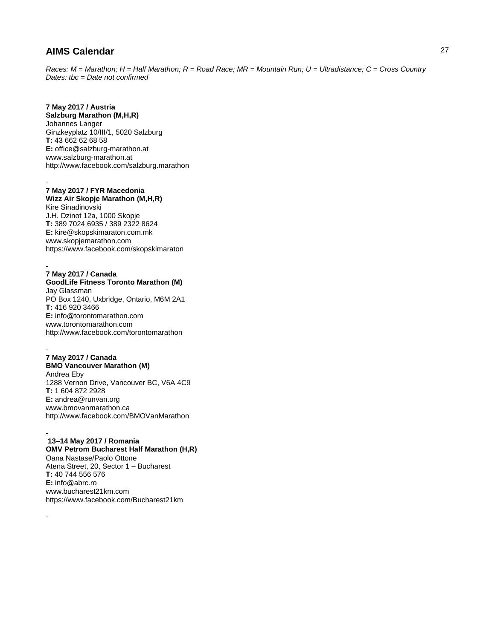*Races: M = Marathon; H = Half Marathon; R = Road Race; MR = Mountain Run; U = Ultradistance; C = Cross Country Dates: tbc = Date not confirmed*

## **7 May 2017 / Austria**

**Salzburg Marathon (M,H,R)** Johannes Langer Ginzkeyplatz 10/III/1, 5020 Salzburg **T:** 43 662 62 68 58 **E:** office@salzburg-marathon.at www.salzburg-marathon.at http://www.facebook.com/salzburg.marathon

#### - **7 May 2017 / FYR Macedonia Wizz Air Skopje Marathon (M,H,R)**

Kire Sinadinovski J.H. Dzinot 12a, 1000 Skopje **T:** 389 7024 6935 / 389 2322 8624 **E:** kire@skopskimaraton.com.mk www.skopjemarathon.com https://www.facebook.com/skopskimaraton

### **7 May 2017 / Canada**

-

-

-

**GoodLife Fitness Toronto Marathon (M)** Jay Glassman PO Box 1240, Uxbridge, Ontario, M6M 2A1 **T:** 416 920 3466 **E:** info@torontomarathon.com www.torontomarathon.com http://www.facebook.com/torontomarathon

## **7 May 2017 / Canada**

**BMO Vancouver Marathon (M)** Andrea Eby 1288 Vernon Drive, Vancouver BC, V6A 4C9 **T:** 1 604 872 2928 **E:** andrea@runvan.org www.bmovanmarathon.ca http://www.facebook.com/BMOVanMarathon

#### - **13–14 May 2017 / Romania**

**OMV Petrom Bucharest Half Marathon (H,R)** Oana Nastase/Paolo Ottone Atena Street, 20, Sector 1 – Bucharest **T:** 40 744 556 576 **E:** info@abrc.ro www.bucharest21km.com https://www.facebook.com/Bucharest21km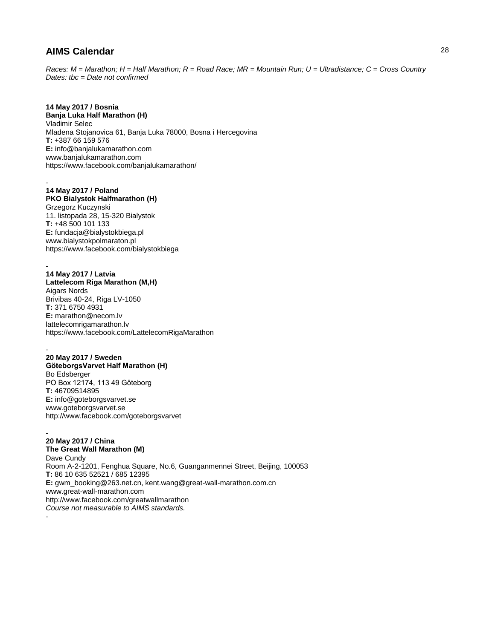*Races: M = Marathon; H = Half Marathon; R = Road Race; MR = Mountain Run; U = Ultradistance; C = Cross Country Dates: tbc = Date not confirmed*

# **14 May 2017 / Bosnia**

**Banja Luka Half Marathon (H)** Vladimir Selec Mladena Stojanovica 61, Banja Luka 78000, Bosna i Hercegovina **T:** +387 66 159 576 **E:** info@banjalukamarathon.com www.banjalukamarathon.com https://www.facebook.com/banjalukamarathon/

#### - **14 May 2017 / Poland**

**PKO Bialystok Halfmarathon (H)** Grzegorz Kuczynski 11. listopada 28, 15-320 Bialystok **T:** +48 500 101 133 **E:** fundacja@bialystokbiega.pl www.bialystokpolmaraton.pl https://www.facebook.com/bialystokbiega

#### - **14 May 2017 / Latvia**

-

**Lattelecom Riga Marathon (M,H)** Aigars Nords Brivibas 40-24, Riga LV-1050 **T:** 371 6750 4931 **E:** marathon@necom.lv lattelecomrigamarathon.lv https://www.facebook.com/LattelecomRigaMarathon

- **20 May 2017 / Sweden GöteborgsVarvet Half Marathon (H)** Bo Edsberger PO Box 12174, 113 49 Göteborg **T:** 46709514895 **E:** info@goteborgsvarvet.se www.goteborgsvarvet.se http://www.facebook.com/goteborgsvarvet

- **20 May 2017 / China The Great Wall Marathon (M)** Dave Cundy Room A-2-1201, Fenghua Square, No.6, Guanganmennei Street, Beijing, 100053 **T:** 86 10 635 52521 / 685 12395 **E:** gwm\_booking@263.net.cn, kent.wang@great-wall-marathon.com.cn www.great-wall-marathon.com http://www.facebook.com/greatwallmarathon *Course not measurable to AIMS standards.*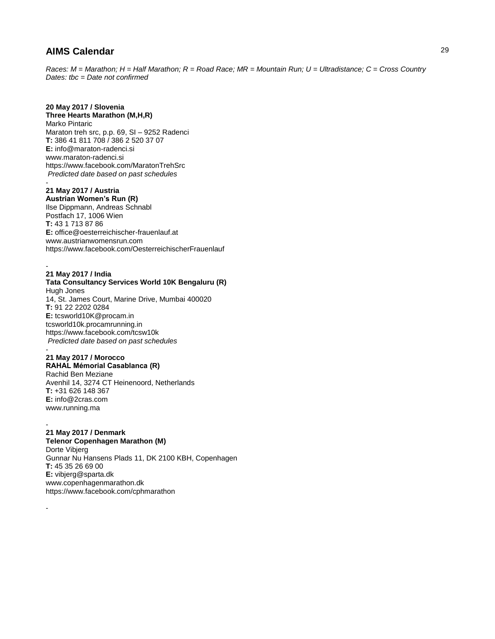*Races: M = Marathon; H = Half Marathon; R = Road Race; MR = Mountain Run; U = Ultradistance; C = Cross Country Dates: tbc = Date not confirmed*

# **20 May 2017 / Slovenia**

## **Three Hearts Marathon (M,H,R)**

Marko Pintaric Maraton treh src, p.p. 69, SI – 9252 Radenci **T:** 386 41 811 708 / 386 2 520 37 07 **E:** info@maraton-radenci.si www.maraton-radenci.si https://www.facebook.com/MaratonTrehSrc *Predicted date based on past schedules*

#### - **21 May 2017 / Austria Austrian Women's Run (R)**

Ilse Dippmann, Andreas Schnabl Postfach 17, 1006 Wien **T:** 43 1 713 87 86 **E:** office@oesterreichischer-frauenlauf.at www.austrianwomensrun.com https://www.facebook.com/OesterreichischerFrauenlauf

### - **21 May 2017 / India**

## **Tata Consultancy Services World 10K Bengaluru (R)** Hugh Jones

14, St. James Court, Marine Drive, Mumbai 400020 **T:** 91 22 2202 0284 **E:** tcsworld10K@procam.in tcsworld10k.procamrunning.in https://www.facebook.com/tcsw10k *Predicted date based on past schedules* -

## **21 May 2017 / Morocco**

**RAHAL Mémorial Casablanca (R)** Rachid Ben Meziane Avenhil 14, 3274 CT Heinenoord, Netherlands **T:** +31 626 148 367 **E:** info@2cras.com www.running.ma

#### - **21 May 2017 / Denmark Telenor Copenhagen Marathon (M)**

-

Dorte Vibjerg Gunnar Nu Hansens Plads 11, DK 2100 KBH, Copenhagen **T:** 45 35 26 69 00 **E:** vibjerg@sparta.dk www.copenhagenmarathon.dk https://www.facebook.com/cphmarathon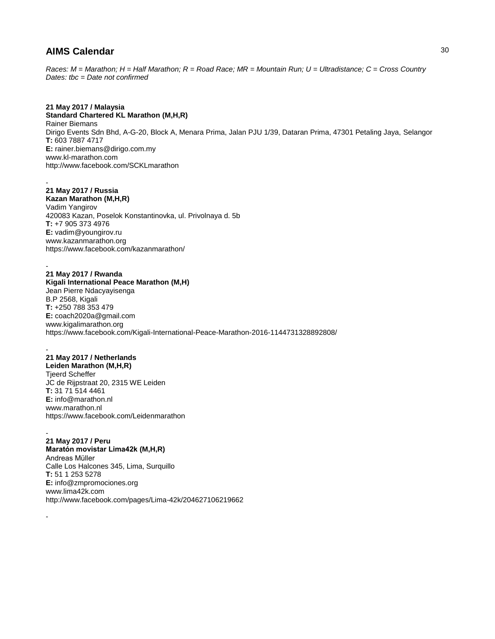*Races: M = Marathon; H = Half Marathon; R = Road Race; MR = Mountain Run; U = Ultradistance; C = Cross Country Dates: tbc = Date not confirmed*

## **21 May 2017 / Malaysia**

**Standard Chartered KL Marathon (M,H,R)** Rainer Biemans Dirigo Events Sdn Bhd, A-G-20, Block A, Menara Prima, Jalan PJU 1/39, Dataran Prima, 47301 Petaling Jaya, Selangor **T:** 603 7887 4717 **E:** rainer.biemans@dirigo.com.my www.kl-marathon.com http://www.facebook.com/SCKLmarathon

### - **21 May 2017 / Russia**

**Kazan Marathon (M,H,R)** Vadim Yangirov 420083 Kazan, Poselok Konstantinovka, ul. Privolnaya d. 5b **T:** +7 905 373 4976 **E:** vadim@youngirov.ru www.kazanmarathon.org https://www.facebook.com/kazanmarathon/

### **21 May 2017 / Rwanda**

-

-

**Kigali International Peace Marathon (M,H)** Jean Pierre Ndacyayisenga B.P 2568, Kigali **T:** +250 788 353 479 **E:** coach2020a@gmail.com www.kigalimarathon.org https://www.facebook.com/Kigali-International-Peace-Marathon-2016-1144731328892808/

### - **21 May 2017 / Netherlands**

**Leiden Marathon (M,H,R)** Tjeerd Scheffer JC de Rijpstraat 20, 2315 WE Leiden **T:** 31 71 514 4461 **E:** info@marathon.nl www.marathon.nl https://www.facebook.com/Leidenmarathon

### - **21 May 2017 / Peru**

**Maratón movistar Lima42k (M,H,R)** Andreas Müller Calle Los Halcones 345, Lima, Surquillo **T:** 51 1 253 5278 **E:** info@zmpromociones.org www.lima42k.com http://www.facebook.com/pages/Lima-42k/204627106219662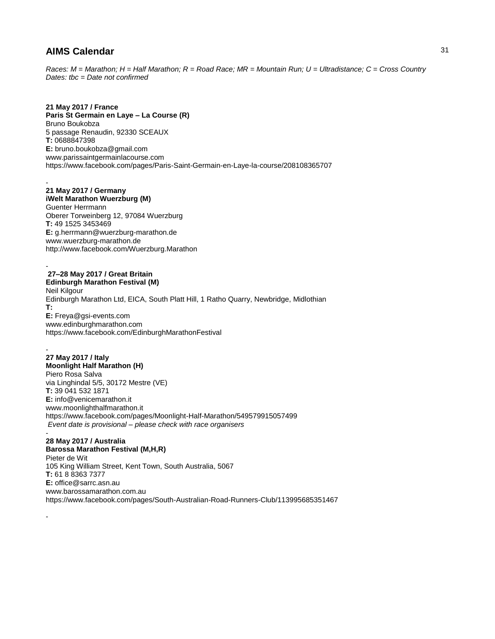*Races: M = Marathon; H = Half Marathon; R = Road Race; MR = Mountain Run; U = Ultradistance; C = Cross Country Dates: tbc = Date not confirmed*

## **21 May 2017 / France**

**Paris St Germain en Laye – La Course (R)** Bruno Boukobza 5 passage Renaudin, 92330 SCEAUX **T:** 0688847398 **E:** bruno.boukobza@gmail.com www.parissaintgermainlacourse.com https://www.facebook.com/pages/Paris-Saint-Germain-en-Laye-la-course/208108365707

### - **21 May 2017 / Germany**

**iWelt Marathon Wuerzburg (M)**

Guenter Herrmann Oberer Torweinberg 12, 97084 Wuerzburg **T:** 49 1525 3453469 **E:** g.herrmann@wuerzburg-marathon.de www.wuerzburg-marathon.de http://www.facebook.com/Wuerzburg.Marathon

#### - **27–28 May 2017 / Great Britain Edinburgh Marathon Festival (M)**

-

Neil Kilgour Edinburgh Marathon Ltd, EICA, South Platt Hill, 1 Ratho Quarry, Newbridge, Midlothian **T: E:** Freya@gsi-events.com www.edinburghmarathon.com https://www.facebook.com/EdinburghMarathonFestival

### - **27 May 2017 / Italy Moonlight Half Marathon (H)** Piero Rosa Salva via Linghindal 5/5, 30172 Mestre (VE) **T:** 39 041 532 1871 **E:** info@venicemarathon.it www.moonlighthalfmarathon.it https://www.facebook.com/pages/Moonlight-Half-Marathon/549579915057499 *Event date is provisional – please check with race organisers*

### - **28 May 2017 / Australia Barossa Marathon Festival (M,H,R)** Pieter de Wit 105 King William Street, Kent Town, South Australia, 5067 **T:** 61 8 8363 7377 **E:** office@sarrc.asn.au www.barossamarathon.com.au https://www.facebook.com/pages/South-Australian-Road-Runners-Club/113995685351467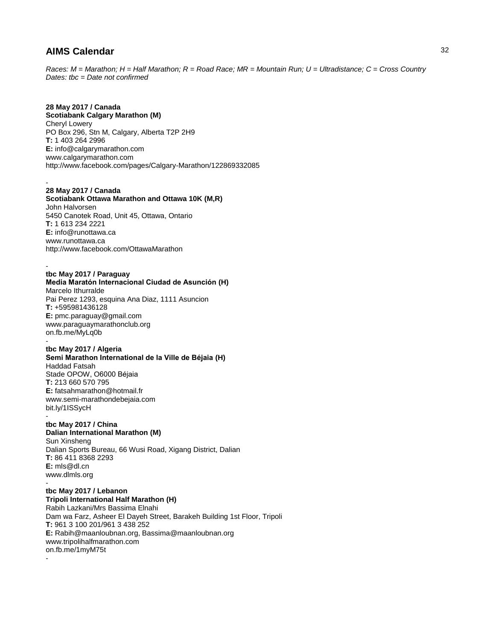*Races: M = Marathon; H = Half Marathon; R = Road Race; MR = Mountain Run; U = Ultradistance; C = Cross Country Dates: tbc = Date not confirmed*

# **28 May 2017 / Canada**

**Scotiabank Calgary Marathon (M)** Cheryl Lowery PO Box 296, Stn M, Calgary, Alberta T2P 2H9 **T:** 1 403 264 2996 **E:** info@calgarymarathon.com www.calgarymarathon.com http://www.facebook.com/pages/Calgary-Marathon/122869332085

#### - **28 May 2017 / Canada**

**Scotiabank Ottawa Marathon and Ottawa 10K (M,R)** John Halvorsen 5450 Canotek Road, Unit 45, Ottawa, Ontario **T:** 1 613 234 2221 **E:** info@runottawa.ca www.runottawa.ca http://www.facebook.com/OttawaMarathon

### **tbc May 2017 / Paraguay**

-

-

# **Media Maratón Internacional Ciudad de Asunción (H)**

Marcelo Ithurralde Pai Perez 1293, esquina Ana Diaz, 1111 Asuncion **T:** +595981436128 **E:** pmc.paraguay@gmail.com www.paraguaymarathonclub.org on.fb.me/MyLq0b

### **tbc May 2017 / Algeria**

**Semi Marathon International de la Ville de Béjaia (H)** Haddad Fatsah Stade OPOW, O6000 Béjaia **T:** 213 660 570 795 **E:** fatsahmarathon@hotmail.fr www.semi-marathondebejaia.com bit.ly/1ISSycH

### **tbc May 2017 / China Dalian International Marathon (M)**

Sun Xinsheng Dalian Sports Bureau, 66 Wusi Road, Xigang District, Dalian **T:** 86 411 8368 2293 **E:** mls@dl.cn www.dlmls.org -

### **tbc May 2017 / Lebanon**

**Tripoli International Half Marathon (H)** Rabih Lazkani/Mrs Bassima Elnahi Dam wa Farz, Asheer El Dayeh Street, Barakeh Building 1st Floor, Tripoli **T:** 961 3 100 201/961 3 438 252 **E:** Rabih@maanloubnan.org, Bassima@maanloubnan.org www.tripolihalfmarathon.com on.fb.me/1myM75t

-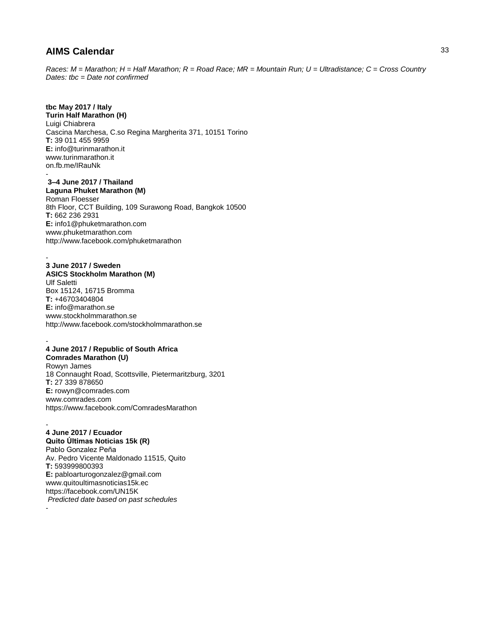*Races: M = Marathon; H = Half Marathon; R = Road Race; MR = Mountain Run; U = Ultradistance; C = Cross Country Dates: tbc = Date not confirmed*

## **tbc May 2017 / Italy**

**Turin Half Marathon (H)** Luigi Chiabrera Cascina Marchesa, C.so Regina Margherita 371, 10151 Torino **T:** 39 011 455 9959 **E:** info@turinmarathon.it www.turinmarathon.it on.fb.me/IRauNk

#### - **3–4 June 2017 / Thailand Laguna Phuket Marathon (M)**

Roman Floesser 8th Floor, CCT Building, 109 Surawong Road, Bangkok 10500 **T:** 662 236 2931 **E:** info1@phuketmarathon.com www.phuketmarathon.com http://www.facebook.com/phuketmarathon

#### - **3 June 2017 / Sweden**

**ASICS Stockholm Marathon (M)** Ulf Saletti Box 15124, 16715 Bromma **T:** +46703404804 **E:** info@marathon.se www.stockholmmarathon.se http://www.facebook.com/stockholmmarathon.se

#### - **4 June 2017 / Republic of South Africa**

**Comrades Marathon (U)** Rowyn James 18 Connaught Road, Scottsville, Pietermaritzburg, 3201 **T:** 27 339 878650 **E:** rowyn@comrades.com www.comrades.com https://www.facebook.com/ComradesMarathon

### - **4 June 2017 / Ecuador**

**Quito Últimas Noticias 15k (R)**

Pablo Gonzalez Peña Av. Pedro Vicente Maldonado 11515, Quito **T:** 593999800393 **E:** pabloarturogonzalez@gmail.com www.quitoultimasnoticias15k.ec https://facebook.com/UN15K *Predicted date based on past schedules* -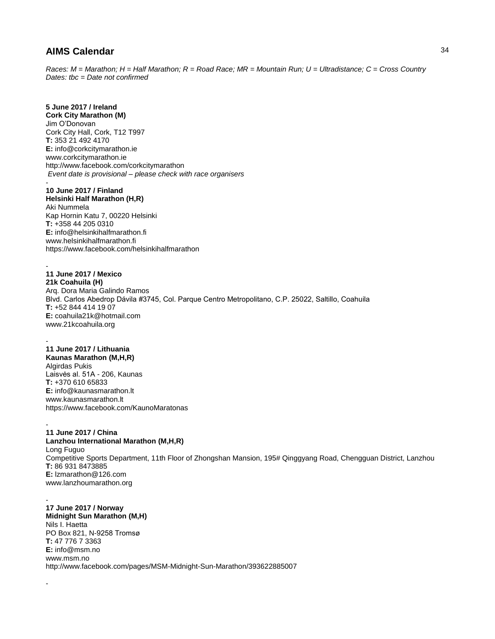*Races: M = Marathon; H = Half Marathon; R = Road Race; MR = Mountain Run; U = Ultradistance; C = Cross Country Dates: tbc = Date not confirmed*

## **5 June 2017 / Ireland**

**Cork City Marathon (M)** Jim O'Donovan Cork City Hall, Cork, T12 T997 **T:** 353 21 492 4170 **E:** info@corkcitymarathon.ie www.corkcitymarathon.ie http://www.facebook.com/corkcitymarathon *Event date is provisional – please check with race organisers*

### **10 June 2017 / Finland**

-

-

-

**Helsinki Half Marathon (H,R)** Aki Nummela Kap Hornin Katu 7, 00220 Helsinki **T:** +358 44 205 0310 **E:** info@helsinkihalfmarathon.fi www.helsinkihalfmarathon.fi https://www.facebook.com/helsinkihalfmarathon

### **11 June 2017 / Mexico 21k Coahuila (H)**

Arq. Dora Maria Galindo Ramos Blvd. Carlos Abedrop Dávila #3745, Col. Parque Centro Metropolitano, C.P. 25022, Saltillo, Coahuila **T:** +52 844 414 19 07 **E:** coahuila21k@hotmail.com www.21kcoahuila.org

#### - **11 June 2017 / Lithuania**

**Kaunas Marathon (M,H,R)** Algirdas Pukis Laisvės al. 51A - 206, Kaunas **T:** +370 610 65833 **E:** info@kaunasmarathon.lt www.kaunasmarathon.lt https://www.facebook.com/KaunoMaratonas

### - **11 June 2017 / China Lanzhou International Marathon (M,H,R)** Long Fuguo Competitive Sports Department, 11th Floor of Zhongshan Mansion, 195# Qinggyang Road, Chengguan District, Lanzhou **T:** 86 931 8473885 **E:** lzmarathon@126.com www.lanzhoumarathon.org

#### - **17 June 2017 / Norway Midnight Sun Marathon (M,H)** Nils I. Haetta PO Box 821, N-9258 Tromsø **T:** 47 776 7 3363 **E:** info@msm.no www.msm.no http://www.facebook.com/pages/MSM-Midnight-Sun-Marathon/393622885007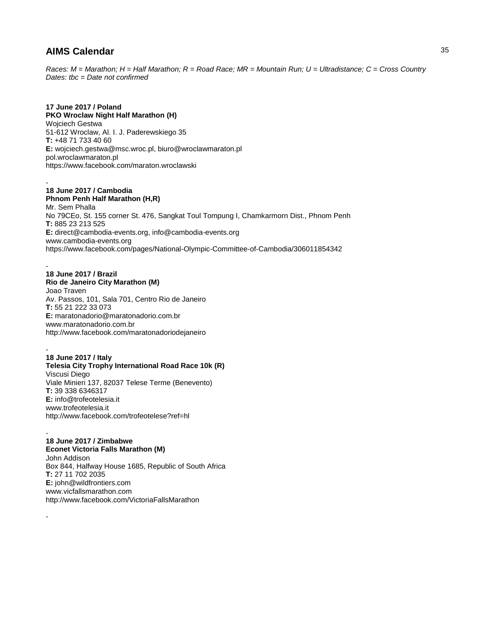*Races: M = Marathon; H = Half Marathon; R = Road Race; MR = Mountain Run; U = Ultradistance; C = Cross Country Dates: tbc = Date not confirmed*

## **17 June 2017 / Poland**

**PKO Wroclaw Night Half Marathon (H)** Wojciech Gestwa 51-612 Wroclaw, Al. I. J. Paderewskiego 35 **T:** +48 71 733 40 60 **E:** wojciech.gestwa@msc.wroc.pl, biuro@wroclawmaraton.pl pol.wroclawmaraton.pl https://www.facebook.com/maraton.wroclawski

#### - **18 June 2017 / Cambodia**

**Phnom Penh Half Marathon (H,R)** Mr. Sem Phalla No 79CEo, St. 155 corner St. 476, Sangkat Toul Tompung I, Chamkarmorn Dist., Phnom Penh **T:** 885 23 213 525 **E:** direct@cambodia-events.org, info@cambodia-events.org www.cambodia-events.org https://www.facebook.com/pages/National-Olympic-Committee-of-Cambodia/306011854342

#### - **18 June 2017 / Brazil**

**Rio de Janeiro City Marathon (M)** Joao Traven Av. Passos, 101, Sala 701, Centro Rio de Janeiro **T:** 55 21 222 33 073 **E:** maratonadorio@maratonadorio.com.br www.maratonadorio.com.br

http://www.facebook.com/maratonadoriodejaneiro

- **18 June 2017 / Italy Telesia City Trophy International Road Race 10k (R)** Viscusi Diego Viale Minieri 137, 82037 Telese Terme (Benevento) **T:** 39 338 6346317 **E:** info@trofeotelesia.it www.trofeotelesia.it http://www.facebook.com/trofeotelese?ref=hl

#### - **18 June 2017 / Zimbabwe Econet Victoria Falls Marathon (M)**

-

John Addison Box 844, Halfway House 1685, Republic of South Africa **T:** 27 11 702 2035 **E:** john@wildfrontiers.com www.vicfallsmarathon.com http://www.facebook.com/VictoriaFallsMarathon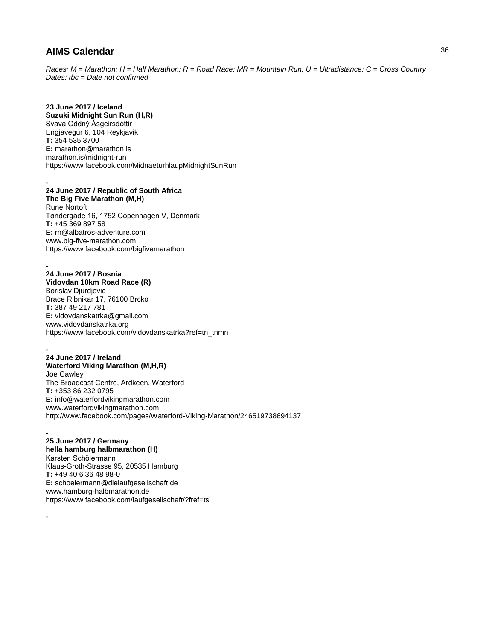-

-

-

*Races: M = Marathon; H = Half Marathon; R = Road Race; MR = Mountain Run; U = Ultradistance; C = Cross Country Dates: tbc = Date not confirmed*

**23 June 2017 / Iceland Suzuki Midnight Sun Run (H,R)** Svava Oddný Ásgeirsdóttir Engjavegur 6, 104 Reykjavik **T:** 354 535 3700 **E:** marathon@marathon.is marathon.is/midnight-run https://www.facebook.com/MidnaeturhlaupMidnightSunRun

- **24 June 2017 / Republic of South Africa The Big Five Marathon (M,H)** Rune Nortoft Tøndergade 16, 1752 Copenhagen V, Denmark **T:** +45 369 897 58 **E:** rn@albatros-adventure.com www.big-five-marathon.com https://www.facebook.com/bigfivemarathon

**24 June 2017 / Bosnia Vidovdan 10km Road Race (R)** Borislav Djurdjevic Brace Ribnikar 17, 76100 Brcko **T:** 387 49 217 781 **E:** vidovdanskatrka@gmail.com www.vidovdanskatrka.org https://www.facebook.com/vidovdanskatrka?ref=tn\_tnmn

- **24 June 2017 / Ireland Waterford Viking Marathon (M,H,R)** Joe Cawley The Broadcast Centre, Ardkeen, Waterford **T:** +353 86 232 0795 **E:** info@waterfordvikingmarathon.com www.waterfordvikingmarathon.com http://www.facebook.com/pages/Waterford-Viking-Marathon/246519738694137

**25 June 2017 / Germany hella hamburg halbmarathon (H)** Karsten Schölermann Klaus-Groth-Strasse 95, 20535 Hamburg **T:** +49 40 6 36 48 98-0 **E:** schoelermann@dielaufgesellschaft.de www.hamburg-halbmarathon.de https://www.facebook.com/laufgesellschaft/?fref=ts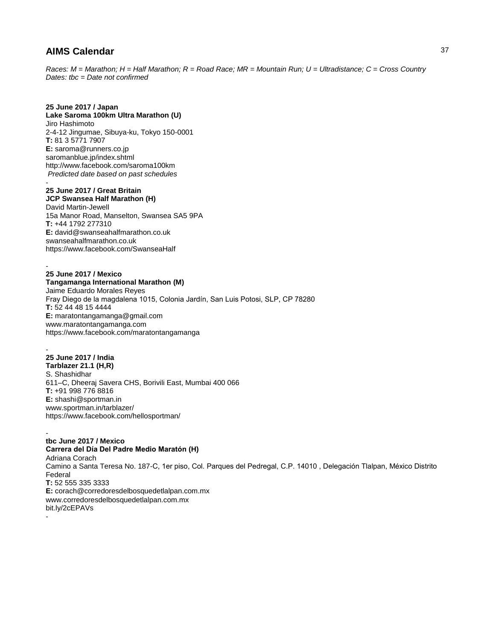*Races: M = Marathon; H = Half Marathon; R = Road Race; MR = Mountain Run; U = Ultradistance; C = Cross Country Dates: tbc = Date not confirmed*

### **25 June 2017 / Japan**

**Lake Saroma 100km Ultra Marathon (U)** Jiro Hashimoto 2-4-12 Jingumae, Sibuya-ku, Tokyo 150-0001 **T:** 81 3 5771 7907 **E:** saroma@runners.co.jp saromanblue.jp/index.shtml http://www.facebook.com/saroma100km *Predicted date based on past schedules* -

### **25 June 2017 / Great Britain**

**JCP Swansea Half Marathon (H)**

David Martin-Jewell 15a Manor Road, Manselton, Swansea SA5 9PA **T:** +44 1792 277310 **E:** david@swanseahalfmarathon.co.uk swanseahalfmarathon.co.uk https://www.facebook.com/SwanseaHalf

### **25 June 2017 / Mexico**

-

**Tangamanga International Marathon (M)** Jaime Eduardo Morales Reyes Fray Diego de la magdalena 1015, Colonia Jardín, San Luis Potosi, SLP, CP 78280 **T:** 52 44 48 15 4444 **E:** maratontangamanga@gmail.com www.maratontangamanga.com https://www.facebook.com/maratontangamanga

#### - **25 June 2017 / India Tarblazer 21.1 (H,R)** S. Shashidhar 611–C, Dheeraj Savera CHS, Borivili East, Mumbai 400 066 **T:** +91 998 776 8816 **E:** shashi@sportman.in www.sportman.in/tarblazer/ https://www.facebook.com/hellosportman/

#### **tbc June 2017 / Mexico**

**Carrera del Día Del Padre Medio Maratón (H)** Adriana Corach Camino a Santa Teresa No. 187-C, 1er piso, Col. Parques del Pedregal, C.P. 14010 , Delegación Tlalpan, México Distrito Federal **T:** 52 555 335 3333 **E:** corach@corredoresdelbosquedetlalpan.com.mx www.corredoresdelbosquedetlalpan.com.mx bit.ly/2cEPAVs -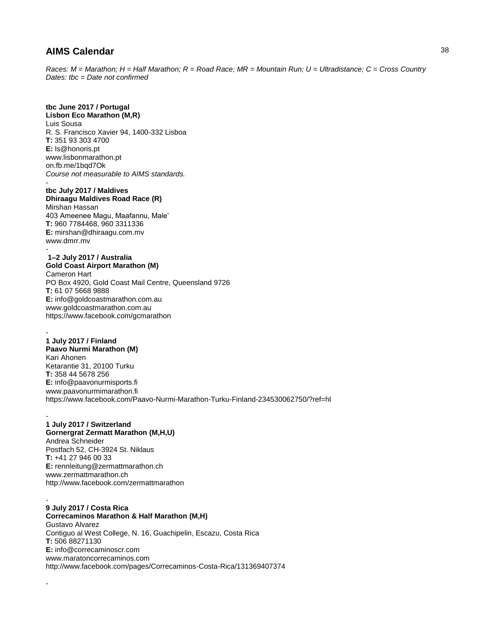*Races: M = Marathon; H = Half Marathon; R = Road Race; MR = Mountain Run; U = Ultradistance; C = Cross Country Dates: tbc = Date not confirmed*

# **tbc June 2017 / Portugal**

**Lisbon Eco Marathon (M,R)** Luis Sousa R. S. Francisco Xavier 94, 1400-332 Lisboa **T:** 351 93 303 4700 **E:** ls@honoris.pt www.lisbonmarathon.pt on.fb.me/1bqd7Ok *Course not measurable to AIMS standards.* -

# **tbc July 2017 / Maldives**

**Dhiraagu Maldives Road Race (R)** Mirshan Hassan 403 Ameenee Magu, Maafannu, Male' **T:** 960 7784468, 960 3311336 **E:** mirshan@dhiraagu.com.mv www.dmrr.mv

#### **1–2 July 2017 / Australia Gold Coast Airport Marathon (M)**

-

Cameron Hart PO Box 4920, Gold Coast Mail Centre, Queensland 9726 **T:** 61 07 5668 9888 **E:** info@goldcoastmarathon.com.au www.goldcoastmarathon.com.au https://www.facebook.com/gcmarathon

#### - **1 July 2017 / Finland Paavo Nurmi Marathon (M)**

Kari Ahonen Ketarantie 31, 20100 Turku **T:** 358 44 5678 256 **E:** info@paavonurmisports.fi www.paavonurmimarathon.fi https://www.facebook.com/Paavo-Nurmi-Marathon-Turku-Finland-234530062750/?ref=hl

#### - **1 July 2017 / Switzerland Gornergrat Zermatt Marathon (M,H,U)**

Andrea Schneider Postfach 52, CH-3924 St. Niklaus **T:** +41 27 946 00 33 **E:** rennleitung@zermattmarathon.ch www.zermattmarathon.ch http://www.facebook.com/zermattmarathon

#### - **9 July 2017 / Costa Rica**

-

**Correcaminos Marathon & Half Marathon (M,H)** Gustavo Alvarez Contiguo al West College, N. 16, Guachipelin, Escazu, Costa Rica **T:** 506 88271130 **E:** info@correcaminoscr.com www.maratoncorrecaminos.com http://www.facebook.com/pages/Correcaminos-Costa-Rica/131369407374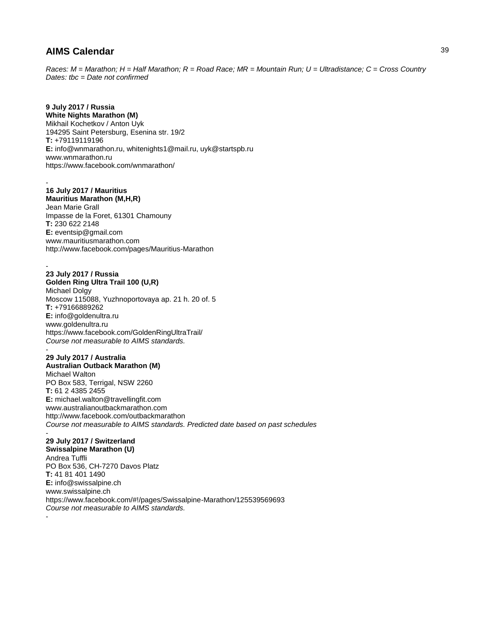*Races: M = Marathon; H = Half Marathon; R = Road Race; MR = Mountain Run; U = Ultradistance; C = Cross Country Dates: tbc = Date not confirmed*

# **9 July 2017 / Russia**

**White Nights Marathon (M)** Mikhail Kochetkov / Anton Uyk 194295 Saint Petersburg, Esenina str. 19/2 **T:** +79119119196 **E:** info@wnmarathon.ru, whitenights1@mail.ru, uyk@startspb.ru www.wnmarathon.ru https://www.facebook.com/wnmarathon/

#### - **16 July 2017 / Mauritius**

**Mauritius Marathon (M,H,R)** Jean Marie Grall Impasse de la Foret, 61301 Chamouny **T:** 230 622 2148 **E:** eventsip@gmail.com

www.mauritiusmarathon.com http://www.facebook.com/pages/Mauritius-Marathon

### **23 July 2017 / Russia**

-

**Golden Ring Ultra Trail 100 (U,R)** Michael Dolgy Moscow 115088, Yuzhnoportovaya ap. 21 h. 20 of. 5 **T:** +79166889262 **E:** info@goldenultra.ru www.goldenultra.ru https://www.facebook.com/GoldenRingUltraTrail/ *Course not measurable to AIMS standards.*  -

**29 July 2017 / Australia Australian Outback Marathon (M)** Michael Walton PO Box 583, Terrigal, NSW 2260 **T:** 61 2 4385 2455 **E:** michael.walton@travellingfit.com www.australianoutbackmarathon.com http://www.facebook.com/outbackmarathon *Course not measurable to AIMS standards. Predicted date based on past schedules* -

### **29 July 2017 / Switzerland**

**Swissalpine Marathon (U)** Andrea Tuffli PO Box 536, CH-7270 Davos Platz **T:** 41 81 401 1490 **E:** info@swissalpine.ch www.swissalpine.ch https://www.facebook.com/#!/pages/Swissalpine-Marathon/125539569693 *Course not measurable to AIMS standards.*  -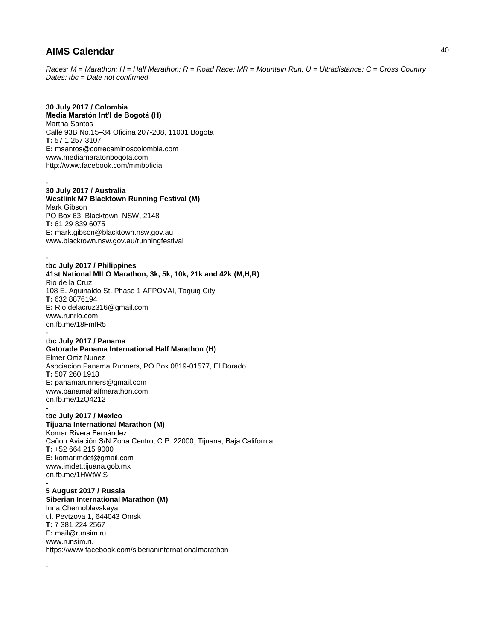*Races: M = Marathon; H = Half Marathon; R = Road Race; MR = Mountain Run; U = Ultradistance; C = Cross Country Dates: tbc = Date not confirmed*

### **30 July 2017 / Colombia**

**Media Maratón Int'l de Bogotá (H)** Martha Santos Calle 93B No.15–34 Oficina 207-208, 11001 Bogota **T:** 57 1 257 3107 **E:** msantos@correcaminoscolombia.com www.mediamaratonbogota.com http://www.facebook.com/mmboficial

#### - **30 July 2017 / Australia**

**Westlink M7 Blacktown Running Festival (M)** Mark Gibson PO Box 63, Blacktown, NSW, 2148 **T:** 61 29 839 6075 **E:** mark.gibson@blacktown.nsw.gov.au www.blacktown.nsw.gov.au/runningfestival

#### **tbc July 2017 / Philippines**

**41st National MILO Marathon, 3k, 5k, 10k, 21k and 42k (M,H,R)** Rio de la Cruz 108 E. Aguinaldo St. Phase 1 AFPOVAI, Taguig City **T:** 632 8876194 **E:** Rio.delacruz316@gmail.com www.runrio.com on.fb.me/18FmfR5 -

### **tbc July 2017 / Panama**

#### **Gatorade Panama International Half Marathon (H)** Elmer Ortiz Nunez Asociacion Panama Runners, PO Box 0819-01577, El Dorado **T:** 507 260 1918 **E:** panamarunners@gmail.com www.panamahalfmarathon.com

on.fb.me/1zQ4212 -

-

#### **tbc July 2017 / Mexico Tijuana International Marathon (M)**

Komar Rivera Fernández Cañon Aviación S/N Zona Centro, C.P. 22000, Tijuana, Baja California **T:** +52 664 215 9000 **E:** komarimdet@gmail.com www.imdet.tijuana.gob.mx on.fb.me/1HWtWlS -

#### **5 August 2017 / Russia Siberian International Marathon (M)** Inna Chernoblavskaya ul. Pevtzova 1, 644043 Omsk **T:** 7 381 224 2567 **E:** mail@runsim.ru www.runsim.ru

https://www.facebook.com/siberianinternationalmarathon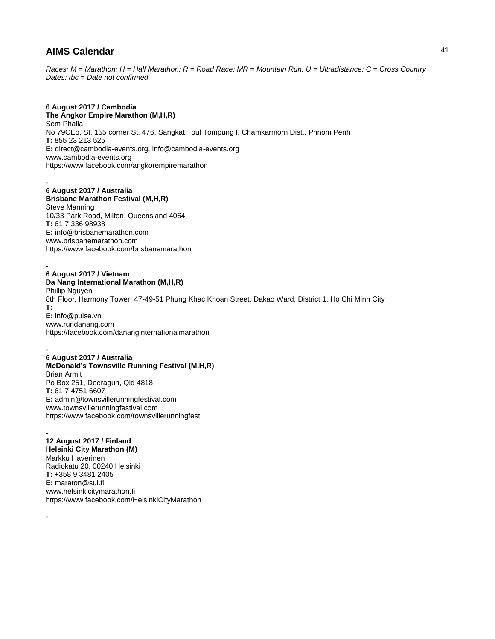*Races: M = Marathon; H = Half Marathon; R = Road Race; MR = Mountain Run; U = Ultradistance; C = Cross Country Dates: tbc = Date not confirmed*

### **6 August 2017 / Cambodia**

**The Angkor Empire Marathon (M,H,R)** Sem Phalla No 79CEo, St. 155 corner St. 476, Sangkat Toul Tompung I, Chamkarmorn Dist., Phnom Penh **T:** 855 23 213 525 **E:** direct@cambodia-events.org, info@cambodia-events.org www.cambodia-events.org https://www.facebook.com/angkorempiremarathon

#### - **6 August 2017 / Australia**

**Brisbane Marathon Festival (M,H,R)** Steve Manning 10/33 Park Road, Milton, Queensland 4064 **T:** 61 7 336 98938 **E:** info@brisbanemarathon.com www.brisbanemarathon.com https://www.facebook.com/brisbanemarathon

#### - **6 August 2017 / Vietnam**

**Da Nang International Marathon (M,H,R)** Phillip Nguyen 8th Floor, Harmony Tower, 47-49-51 Phung Khac Khoan Street, Dakao Ward, District 1, Ho Chi Minh City **T: E:** info@pulse.vn www.rundanang.com https://facebook.com/dananginternationalmarathon

#### - **6 August 2017 / Australia McDonald's Townsville Running Festival (M,H,R)** Brian Armit Po Box 251, Deeragun, Qld 4818 **T:** 61 7 4751 6607 **E:** admin@townsvillerunningfestival.com www.townsvillerunningfestival.com https://www.facebook.com/townsvillerunningfest

#### - **12 August 2017 / Finland**

-

**Helsinki City Marathon (M)** Markku Haverinen Radiokatu 20, 00240 Helsinki **T:** +358 9 3481 2405 **E:** maraton@sul.fi www.helsinkicitymarathon.fi https://www.facebook.com/HelsinkiCityMarathon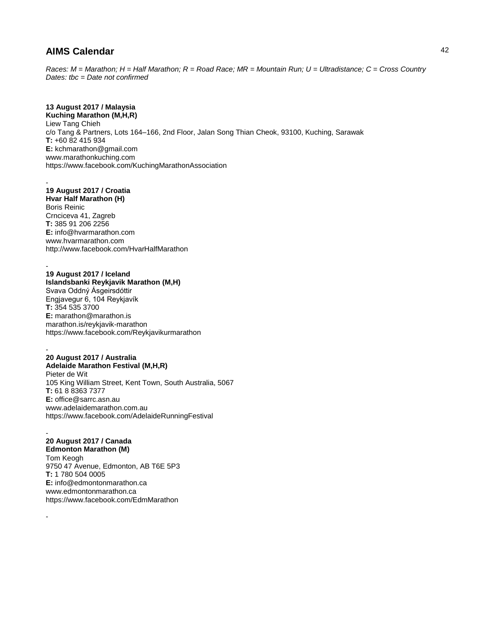*Races: M = Marathon; H = Half Marathon; R = Road Race; MR = Mountain Run; U = Ultradistance; C = Cross Country Dates: tbc = Date not confirmed*

# **13 August 2017 / Malaysia**

**Kuching Marathon (M,H,R)** Liew Tang Chieh c/o Tang & Partners, Lots 164–166, 2nd Floor, Jalan Song Thian Cheok, 93100, Kuching, Sarawak **T:** +60 82 415 934 **E:** kchmarathon@gmail.com www.marathonkuching.com https://www.facebook.com/KuchingMarathonAssociation

#### - **19 August 2017 / Croatia**

**Hvar Half Marathon (H)** Boris Reinic Crnciceva 41, Zagreb **T:** 385 91 206 2256 **E:** info@hvarmarathon.com www.hvarmarathon.com http://www.facebook.com/HvarHalfMarathon

# **19 August 2017 / Iceland**

-

-

**Islandsbanki Reykjavik Marathon (M,H)** Svava Oddný Ásgeirsdóttir Engjavegur 6, 104 Reykjavík **T:** 354 535 3700 **E:** marathon@marathon.is marathon.is/reykjavik-marathon https://www.facebook.com/Reykjavikurmarathon

#### - **20 August 2017 / Australia Adelaide Marathon Festival (M,H,R)** Pieter de Wit 105 King William Street, Kent Town, South Australia, 5067 **T:** 61 8 8363 7377 **E:** office@sarrc.asn.au www.adelaidemarathon.com.au https://www.facebook.com/AdelaideRunningFestival

#### - **20 August 2017 / Canada**

**Edmonton Marathon (M)** Tom Keogh 9750 47 Avenue, Edmonton, AB T6E 5P3 **T:** 1 780 504 0005 **E:** info@edmontonmarathon.ca www.edmontonmarathon.ca https://www.facebook.com/EdmMarathon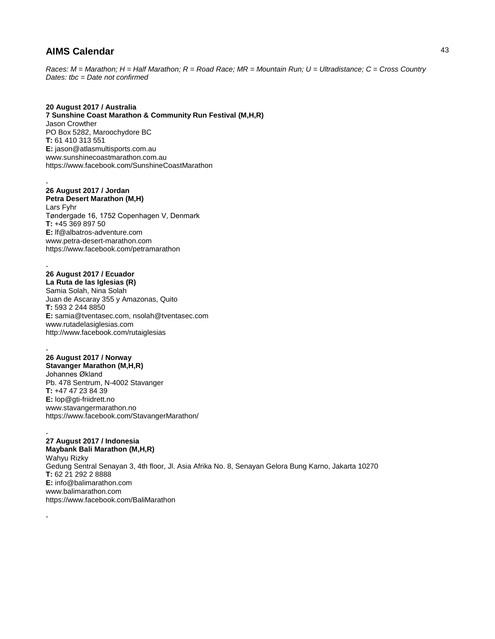*Races: M = Marathon; H = Half Marathon; R = Road Race; MR = Mountain Run; U = Ultradistance; C = Cross Country Dates: tbc = Date not confirmed*

### **20 August 2017 / Australia**

**7 Sunshine Coast Marathon & Community Run Festival (M,H,R)** Jason Crowther PO Box 5282, Maroochydore BC **T:** 61 410 313 551 **E:** jason@atlasmultisports.com.au www.sunshinecoastmarathon.com.au https://www.facebook.com/SunshineCoastMarathon

### **26 August 2017 / Jordan**

-

-

-

-

**Petra Desert Marathon (M,H)** Lars Fyhr Tøndergade 16, 1752 Copenhagen V, Denmark **T:** +45 369 897 50 **E:** lf@albatros-adventure.com www.petra-desert-marathon.com https://www.facebook.com/petramarathon

### **26 August 2017 / Ecuador**

**La Ruta de las Iglesias (R)** Samia Solah, Nina Solah Juan de Ascaray 355 y Amazonas, Quito **T:** 593 2 244 8850 **E:** samia@tventasec.com, nsolah@tventasec.com www.rutadelasiglesias.com http://www.facebook.com/rutaiglesias

#### **26 August 2017 / Norway Stavanger Marathon (M,H,R)** Johannes Økland Pb. 478 Sentrum, N-4002 Stavanger **T:** +47 47 23 84 39 **E:** lop@gti-friidrett.no

www.stavangermarathon.no https://www.facebook.com/StavangerMarathon/

#### - **27 August 2017 / Indonesia**

**Maybank Bali Marathon (M,H,R)** Wahyu Rizky Gedung Sentral Senayan 3, 4th floor, Jl. Asia Afrika No. 8, Senayan Gelora Bung Karno, Jakarta 10270 **T:** 62 21 292 2 8888 **E:** info@balimarathon.com www.balimarathon.com https://www.facebook.com/BaliMarathon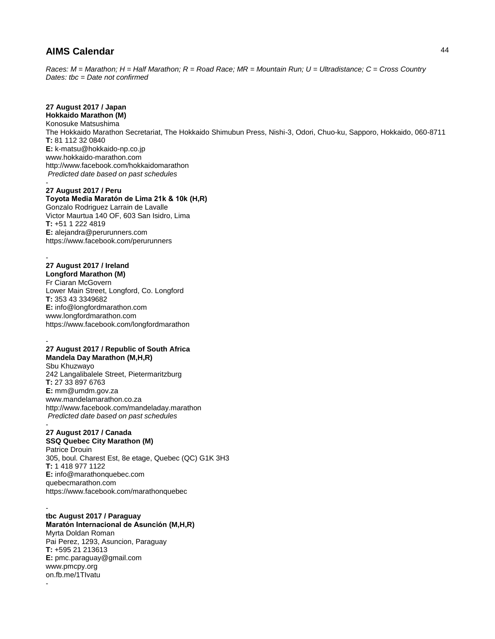*Races: M = Marathon; H = Half Marathon; R = Road Race; MR = Mountain Run; U = Ultradistance; C = Cross Country Dates: tbc = Date not confirmed*

# **27 August 2017 / Japan**

**Hokkaido Marathon (M)** Konosuke Matsushima The Hokkaido Marathon Secretariat, The Hokkaido Shimubun Press, Nishi-3, Odori, Chuo-ku, Sapporo, Hokkaido, 060-8711 **T:** 81 112 32 0840 **E:** k-matsu@hokkaido-np.co.jp www.hokkaido-marathon.com http://www.facebook.com/hokkaidomarathon *Predicted date based on past schedules* -

### **27 August 2017 / Peru**

**Toyota Media Maratón de Lima 21k & 10k (H,R)** Gonzalo Rodriguez Larrain de Lavalle Victor Maurtua 140 OF, 603 San Isidro, Lima **T:** +51 1 222 4819 **E:** alejandra@perurunners.com https://www.facebook.com/perurunners

#### - **27 August 2017 / Ireland**

-

-

-

**Longford Marathon (M)** Fr Ciaran McGovern Lower Main Street, Longford, Co. Longford **T:** 353 43 3349682 **E:** info@longfordmarathon.com www.longfordmarathon.com https://www.facebook.com/longfordmarathon

### **27 August 2017 / Republic of South Africa**

**Mandela Day Marathon (M,H,R)** Sbu Khuzwayo 242 Langalibalele Street, Pietermaritzburg **T:** 27 33 897 6763 **E:** mm@umdm.gov.za www.mandelamarathon.co.za http://www.facebook.com/mandeladay.marathon *Predicted date based on past schedules*

#### - **27 August 2017 / Canada**

### **SSQ Quebec City Marathon (M)**

Patrice Drouin 305, boul. Charest Est, 8e etage, Quebec (QC) G1K 3H3 **T:** 1 418 977 1122 **E:** info@marathonquebec.com quebecmarathon.com https://www.facebook.com/marathonquebec

#### **tbc August 2017 / Paraguay Maratón Internacional de Asunción (M,H,R)**

Myrta Doldan Roman Pai Perez, 1293, Asuncion, Paraguay **T:** +595 21 213613 **E:** pmc.paraguay@gmail.com www.pmcpy.org on.fb.me/1TIvatu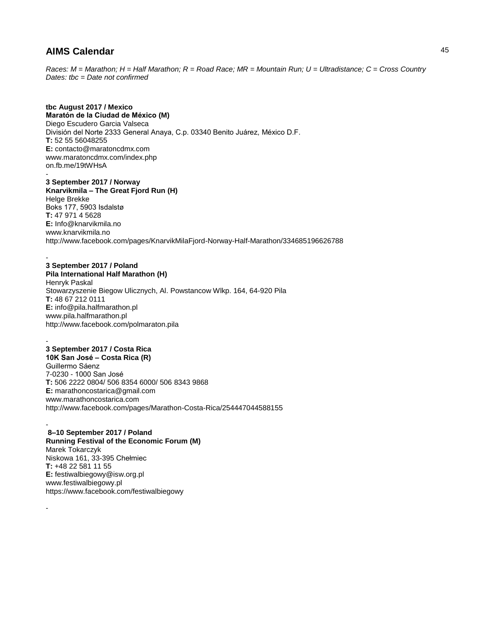*Races: M = Marathon; H = Half Marathon; R = Road Race; MR = Mountain Run; U = Ultradistance; C = Cross Country Dates: tbc = Date not confirmed*

**tbc August 2017 / Mexico Maratón de la Ciudad de México (M)** Diego Escudero Garcia Valseca División del Norte 2333 General Anaya, C.p. 03340 Benito Juárez, México D.F. **T:** 52 55 56048255 **E:** contacto@maratoncdmx.com www.maratoncdmx.com/index.php on.fb.me/19tWHsA -

**3 September 2017 / Norway Knarvikmila – The Great Fjord Run (H)** Helge Brekke Boks 177, 5903 Isdalstø **T:** 47 971 4 5628 **E:** Info@knarvikmila.no www.knarvikmila.no http://www.facebook.com/pages/KnarvikMilaFjord-Norway-Half-Marathon/334685196626788

### **3 September 2017 / Poland**

-

-

-

-

**Pila International Half Marathon (H)** Henryk Paskal Stowarzyszenie Biegow Ulicznych, Al. Powstancow Wlkp. 164, 64-920 Pila **T:** 48 67 212 0111 **E:** info@pila.halfmarathon.pl www.pila.halfmarathon.pl http://www.facebook.com/polmaraton.pila

### **3 September 2017 / Costa Rica**

**10K San José – Costa Rica (R)** Guillermo Sáenz 7-0230 - 1000 San José **T:** 506 2222 0804/ 506 8354 6000/ 506 8343 9868 **E:** marathoncostarica@gmail.com www.marathoncostarica.com http://www.facebook.com/pages/Marathon-Costa-Rica/254447044588155

**8–10 September 2017 / Poland Running Festival of the Economic Forum (M)** Marek Tokarczyk Niskowa 161, 33-395 Chełmiec **T:** +48 22 581 11 55 **E:** festiwalbiegowy@isw.org.pl www.festiwalbiegowy.pl https://www.facebook.com/festiwalbiegowy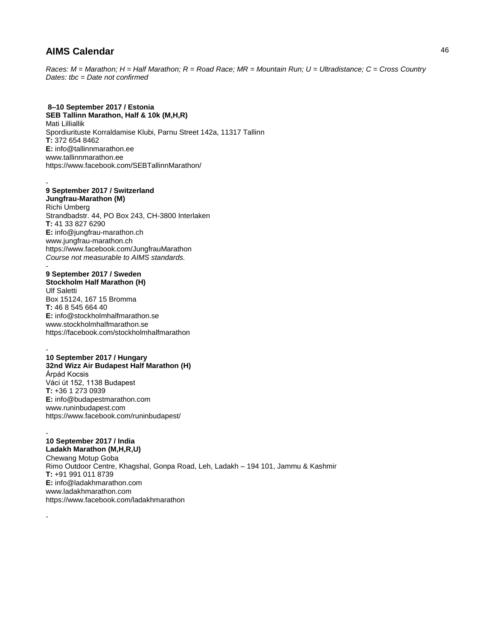*Races: M = Marathon; H = Half Marathon; R = Road Race; MR = Mountain Run; U = Ultradistance; C = Cross Country Dates: tbc = Date not confirmed*

### **8–10 September 2017 / Estonia**

**SEB Tallinn Marathon, Half & 10k (M,H,R)** Mati Lilliallik Spordiurituste Korraldamise Klubi, Parnu Street 142a, 11317 Tallinn **T:** 372 654 8462 **E:** info@tallinnmarathon.ee www.tallinnmarathon.ee https://www.facebook.com/SEBTallinnMarathon/

#### - **9 September 2017 / Switzerland Jungfrau-Marathon (M)** Richi Umberg

Strandbadstr. 44, PO Box 243, CH-3800 Interlaken **T:** 41 33 827 6290 **E:** info@jungfrau-marathon.ch www.jungfrau-marathon.ch https://www.facebook.com/JungfrauMarathon *Course not measurable to AIMS standards.* 

### - **9 September 2017 / Sweden**

**Stockholm Half Marathon (H)** Ulf Saletti Box 15124, 167 15 Bromma **T:** 46 8 545 664 40 **E:** info@stockholmhalfmarathon.se www.stockholmhalfmarathon.se https://facebook.com/stockholmhalfmarathon

#### - **10 September 2017 / Hungary 32nd Wizz Air Budapest Half Marathon (H)** Árpád Kocsis Váci út 152, 1138 Budapest **T:** +36 1 273 0939 **E:** info@budapestmarathon.com www.runinbudapest.com https://www.facebook.com/runinbudapest/

#### - **10 September 2017 / India**

-

**Ladakh Marathon (M,H,R,U)** Chewang Motup Goba Rimo Outdoor Centre, Khagshal, Gonpa Road, Leh, Ladakh – 194 101, Jammu & Kashmir **T:** +91 991 011 8739 **E:** info@ladakhmarathon.com www.ladakhmarathon.com https://www.facebook.com/ladakhmarathon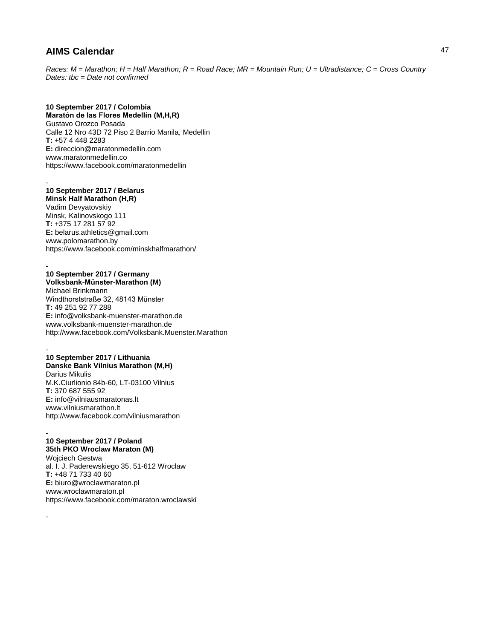*Races: M = Marathon; H = Half Marathon; R = Road Race; MR = Mountain Run; U = Ultradistance; C = Cross Country Dates: tbc = Date not confirmed*

### **10 September 2017 / Colombia**

**Maratón de las Flores Medellín (M,H,R)** Gustavo Orozco Posada Calle 12 Nro 43D 72 Piso 2 Barrio Manila, Medellin **T:** +57 4 448 2283 **E:** direccion@maratonmedellin.com www.maratonmedellin.co https://www.facebook.com/maratonmedellin

#### - **10 September 2017 / Belarus**

**Minsk Half Marathon (H,R)** Vadim Devyatovskiy Minsk, Kalinovskogo 111 **T:** +375 17 281 57 92 **E:** belarus.athletics@gmail.com www.polomarathon.by https://www.facebook.com/minskhalfmarathon/

#### - **10 September 2017 / Germany Volksbank-Münster-Marathon (M)**

Michael Brinkmann Windthorststraße 32, 48143 Münster **T:** 49 251 92 77 288 **E:** info@volksbank-muenster-marathon.de www.volksbank-muenster-marathon.de http://www.facebook.com/Volksbank.Muenster.Marathon

### - **10 September 2017 / Lithuania Danske Bank Vilnius Marathon (M,H)**

Darius Mikulis M.K.Ciurlionio 84b-60, LT-03100 Vilnius **T:** 370 687 555 92 **E:** info@vilniausmaratonas.lt www.vilniusmarathon.lt http://www.facebook.com/vilniusmarathon

#### - **10 September 2017 / Poland**

-

**35th PKO Wroclaw Maraton (M)** Wojciech Gestwa al. I. J. Paderewskiego 35, 51-612 Wroclaw **T:** +48 71 733 40 60 **E:** biuro@wroclawmaraton.pl www.wroclawmaraton.pl https://www.facebook.com/maraton.wroclawski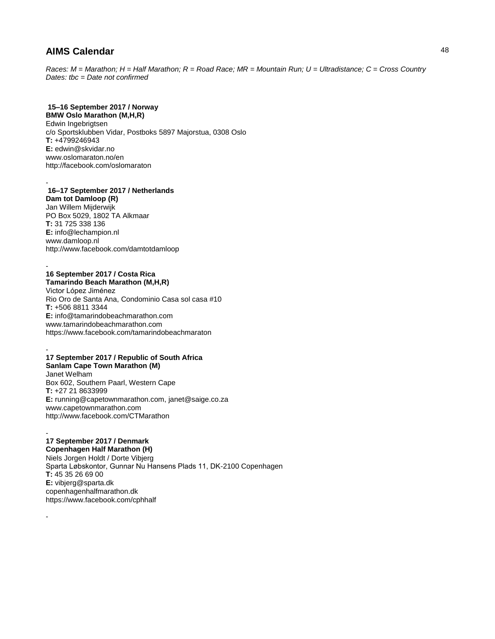*Races: M = Marathon; H = Half Marathon; R = Road Race; MR = Mountain Run; U = Ultradistance; C = Cross Country Dates: tbc = Date not confirmed*

# **15–16 September 2017 / Norway**

**BMW Oslo Marathon (M,H,R)** Edwin Ingebrigtsen c/o Sportsklubben Vidar, Postboks 5897 Majorstua, 0308 Oslo **T:** +4799246943 **E:** edwin@skvidar.no www.oslomaraton.no/en http://facebook.com/oslomaraton

#### - **16–17 September 2017 / Netherlands**

**Dam tot Damloop (R)** Jan Willem Mijderwijk PO Box 5029, 1802 TA Alkmaar **T:** 31 725 338 136 **E:** info@lechampion.nl www.damloop.nl http://www.facebook.com/damtotdamloop

#### - **16 September 2017 / Costa Rica Tamarindo Beach Marathon (M,H,R)**

Victor López Jiménez Rio Oro de Santa Ana, Condominio Casa sol casa #10 **T:** +506 8811 3344 **E:** info@tamarindobeachmarathon.com www.tamarindobeachmarathon.com https://www.facebook.com/tamarindobeachmaraton

#### - **17 September 2017 / Republic of South Africa Sanlam Cape Town Marathon (M)**

Janet Welham Box 602, Southern Paarl, Western Cape **T:** +27 21 8633999 **E:** running@capetownmarathon.com, janet@saige.co.za www.capetownmarathon.com http://www.facebook.com/CTMarathon

#### - **17 September 2017 / Denmark**

-

**Copenhagen Half Marathon (H)** Niels Jorgen Holdt / Dorte Vibjerg Sparta Løbskontor, Gunnar Nu Hansens Plads 11, DK-2100 Copenhagen **T:** 45 35 26 69 00 **E:** vibjerg@sparta.dk copenhagenhalfmarathon.dk https://www.facebook.com/cphhalf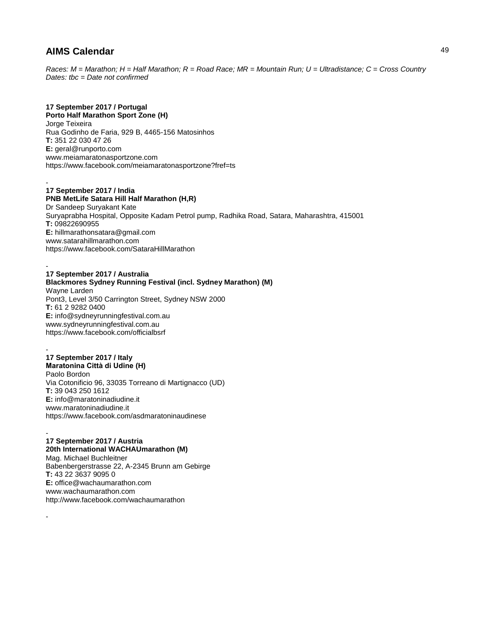*Races: M = Marathon; H = Half Marathon; R = Road Race; MR = Mountain Run; U = Ultradistance; C = Cross Country Dates: tbc = Date not confirmed*

### **17 September 2017 / Portugal**

**Porto Half Marathon Sport Zone (H)** Jorge Teixeira Rua Godinho de Faria, 929 B, 4465-156 Matosinhos **T:** 351 22 030 47 26 **E:** geral@runporto.com www.meiamaratonasportzone.com https://www.facebook.com/meiamaratonasportzone?fref=ts

#### - **17 September 2017 / India**

-

-

**PNB MetLife Satara Hill Half Marathon (H,R)** Dr Sandeep Suryakant Kate Suryaprabha Hospital, Opposite Kadam Petrol pump, Radhika Road, Satara, Maharashtra, 415001 **T:** 09822690955 **E:** hillmarathonsatara@gmail.com www.satarahillmarathon.com https://www.facebook.com/SataraHillMarathon

#### **17 September 2017 / Australia Blackmores Sydney Running Festival (incl. Sydney Marathon) (M)**

Wayne Larden Pont3, Level 3/50 Carrington Street, Sydney NSW 2000 **T:** 61 2 9282 0400 **E:** info@sydneyrunningfestival.com.au www.sydneyrunningfestival.com.au https://www.facebook.com/officialbsrf

### - **17 September 2017 / Italy**

**Maratonina Città di Udine (H)** Paolo Bordon Via Cotonificio 96, 33035 Torreano di Martignacco (UD) **T:** 39 043 250 1612 **E:** info@maratoninadiudine.it www.maratoninadiudine.it https://www.facebook.com/asdmaratoninaudinese

### - **17 September 2017 / Austria**

**20th International WACHAUmarathon (M)** Mag. Michael Buchleitner Babenbergerstrasse 22, A-2345 Brunn am Gebirge **T:** 43 22 3637 9095 0 **E:** office@wachaumarathon.com www.wachaumarathon.com http://www.facebook.com/wachaumarathon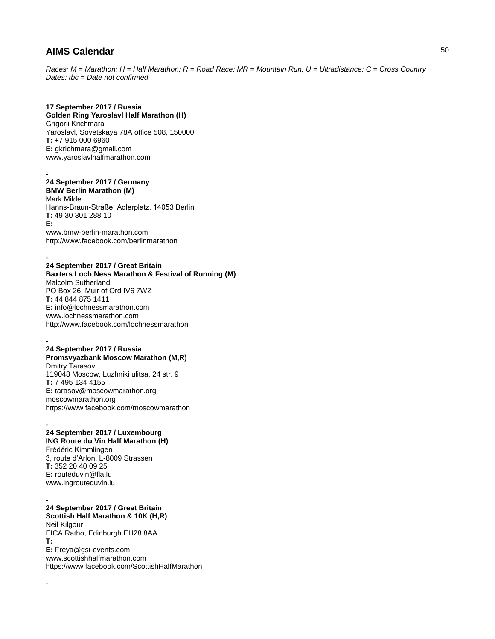*Races: M = Marathon; H = Half Marathon; R = Road Race; MR = Mountain Run; U = Ultradistance; C = Cross Country Dates: tbc = Date not confirmed*

### **17 September 2017 / Russia**

**Golden Ring Yaroslavl Half Marathon (H)** Grigorii Krichmara Yaroslavl, Sovetskaya 78A office 508, 150000 **T:** +7 915 000 6960 **E:** gkrichmara@gmail.com www.yaroslavlhalfmarathon.com

#### - **24 September 2017 / Germany BMW Berlin Marathon (M)**

-

-

Mark Milde Hanns-Braun-Straße, Adlerplatz, 14053 Berlin **T:** 49 30 301 288 10 **E:** www.bmw-berlin-marathon.com http://www.facebook.com/berlinmarathon

**24 September 2017 / Great Britain Baxters Loch Ness Marathon & Festival of Running (M)** Malcolm Sutherland PO Box 26, Muir of Ord IV6 7WZ **T:** 44 844 875 1411 **E:** info@lochnessmarathon.com www.lochnessmarathon.com http://www.facebook.com/lochnessmarathon

#### - **24 September 2017 / Russia**

**Promsvyazbank Moscow Marathon (M,R)** Dmitry Tarasov 119048 Moscow, Luzhniki ulitsa, 24 str. 9 **T:** 7 495 134 4155 **E:** tarasov@moscowmarathon.org moscowmarathon.org https://www.facebook.com/moscowmarathon

#### - **24 September 2017 / Luxembourg ING Route du Vin Half Marathon (H)** Frédéric Kimmlingen

3, route d'Arlon, L-8009 Strassen **T:** 352 20 40 09 25 **E:** routeduvin@fla.lu www.ingrouteduvin.lu

#### - **24 September 2017 / Great Britain Scottish Half Marathon & 10K (H,R)**

Neil Kilgour EICA Ratho, Edinburgh EH28 8AA **T: E:** Freya@gsi-events.com www.scottishhalfmarathon.com https://www.facebook.com/ScottishHalfMarathon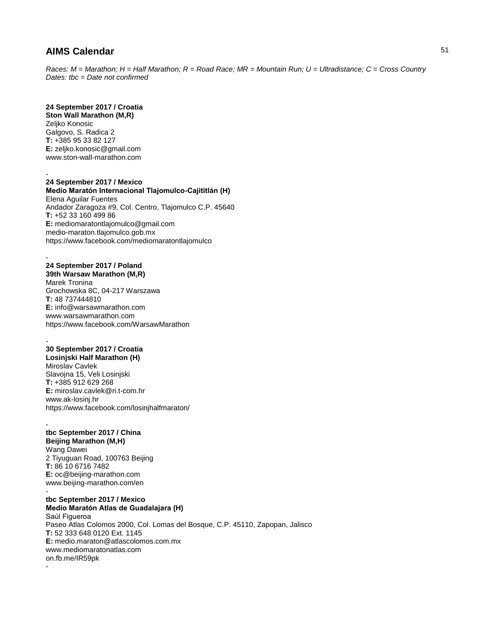*Races: M = Marathon; H = Half Marathon; R = Road Race; MR = Mountain Run; U = Ultradistance; C = Cross Country Dates: tbc = Date not confirmed*

### **24 September 2017 / Croatia**

**Ston Wall Marathon (M,R)** Zeliko Konosic Galgovo, S. Radica 2 **T:** +385 95 33 82 127 **E:** zeljko.konosic@gmail.com www.ston-wall-marathon.com

-

-

#### **24 September 2017 / Mexico Medio Maratón Internacional Tlajomulco-Cajititlán (H)**

Elena Aguilar Fuentes Andador Zaragoza #9, Col. Centro, Tlajomulco C.P. 45640 **T:** +52 33 160 499 86 **E:** mediomaratontlajomulco@gmail.com medio-maraton.tlajomulco.gob.mx https://www.facebook.com/mediomaratontlajomulco

#### - **24 September 2017 / Poland**

**39th Warsaw Marathon (M,R)** Marek Tronina Grochowska 8C, 04-217 Warszawa **T:** 48 737444810 **E:** info@warsawmarathon.com www.warsawmarathon.com https://www.facebook.com/WarsawMarathon

### **30 September 2017 / Croatia**

**Losinjski Half Marathon (H)** Miroslav Cavlek Slavojna 15, Veli Losinjski **T:** +385 912 629 268 **E:** miroslav.cavlek@ri.t-com.hr www.ak-losinj.hr https://www.facebook.com/losinjhalfmaraton/

#### **tbc September 2017 / China Beijing Marathon (M,H)**

Wang Dawei 2 Tiyuguan Road, 100763 Beijing **T:** 86 10 6716 7482 **E:** oc@beijing-marathon.com www.beijing-marathon.com/en

#### **tbc September 2017 / Mexico Medio Maratón Atlas de Guadalajara (H)**

Saúl Figueroa Paseo Atlas Colomos 2000, Col. Lomas del Bosque, C.P. 45110, Zapopan, Jalisco **T:** 52 333 648 0120 Ext. 1145 **E:** medio.maraton@atlascolomos.com.mx www.mediomaratonatlas.com on.fb.me/IR59pk -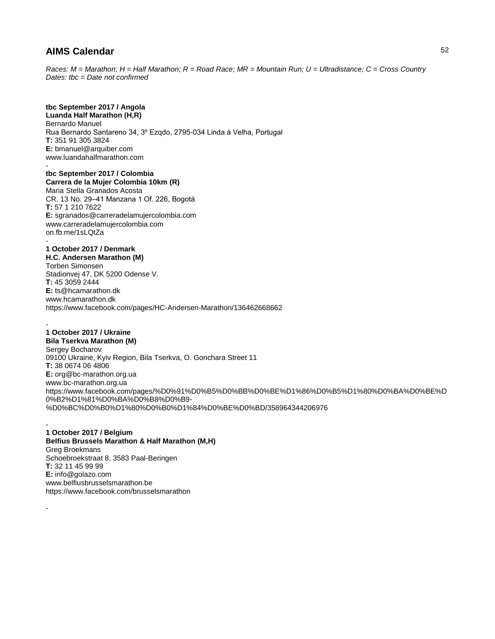*Races: M = Marathon; H = Half Marathon; R = Road Race; MR = Mountain Run; U = Ultradistance; C = Cross Country Dates: tbc = Date not confirmed*

# **tbc September 2017 / Angola**

**Luanda Half Marathon (H,R)** Bernardo Manuel Rua Bernardo Santareno 34, 3º Ezqdo, 2795-034 Linda à Velha, Portugal **T:** 351 91 305 3824 **E:** bmanuel@arquiber.com www.luandahalfmarathon.com -

**tbc September 2017 / Colombia Carrera de la Mujer Colombia 10km (R)** Maria Stella Granados Acosta CR. 13 No. 29–41 Manzana 1 Of. 226, Bogotá **T:** 57 1 210 7622 **E:** sgranados@carreradelamujercolombia.com www.carreradelamujercolombia.com on.fb.me/1sLQtZa -

**1 October 2017 / Denmark H.C. Andersen Marathon (M)** Torben Simonsen Stadionvej 47, DK 5200 Odense V. **T:** 45 3059 2444 **E:** ts@hcamarathon.dk www.hcamarathon.dk https://www.facebook.com/pages/HC-Andersen-Marathon/136462668662

#### - **1 October 2017 / Ukraine Bila Tserkva Marathon (M)**

-

-

Sergey Bocharov 09100 Ukraine, Kyiv Region, Bila Tserkva, O. Gonchara Street 11 **T:** 38 0674 06 4806 **E:** org@bc-marathon.org.ua www.bc-marathon.org.ua https://www.facebook.com/pages/%D0%91%D0%B5%D0%BB%D0%BE%D1%86%D0%B5%D1%80%D0%BA%D0%BE%D 0%B2%D1%81%D0%BA%D0%B8%D0%B9- %D0%BC%D0%B0%D1%80%D0%B0%D1%84%D0%BE%D0%BD/358964344206976

#### **1 October 2017 / Belgium Belfius Brussels Marathon & Half Marathon (M,H)** Greg Broekmans Schoebroekstraat 8, 3583 Paal-Beringen **T:** 32 11 45 99 99 **E:** info@golazo.com www.belfiusbrusselsmarathon.be https://www.facebook.com/brusselsmarathon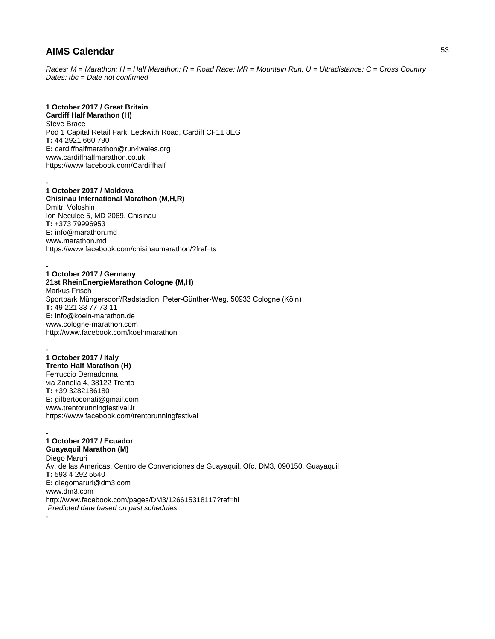*Races: M = Marathon; H = Half Marathon; R = Road Race; MR = Mountain Run; U = Ultradistance; C = Cross Country Dates: tbc = Date not confirmed*

# **1 October 2017 / Great Britain**

**Cardiff Half Marathon (H)** Steve Brace Pod 1 Capital Retail Park, Leckwith Road, Cardiff CF11 8EG **T:** 44 2921 660 790 **E:** cardiffhalfmarathon@run4wales.org www.cardiffhalfmarathon.co.uk https://www.facebook.com/Cardiffhalf

#### - **1 October 2017 / Moldova**

**Chisinau International Marathon (M,H,R)** Dmitri Voloshin Ion Neculce 5, MD 2069, Chisinau **T:** +373 79996953 **E:** info@marathon.md www.marathon.md https://www.facebook.com/chisinaumarathon/?fref=ts

#### - **1 October 2017 / Germany**

**21st RheinEnergieMarathon Cologne (M,H)** Markus Frisch Sportpark Müngersdorf/Radstadion, Peter-Günther-Weg, 50933 Cologne (Köln) **T:** 49 221 33 77 73 11 **E:** info@koeln-marathon.de www.cologne-marathon.com http://www.facebook.com/koelnmarathon

#### - **1 October 2017 / Italy Trento Half Marathon (H)** Ferruccio Demadonna via Zanella 4, 38122 Trento **T:** +39 3282186180 **E:** gilbertoconati@gmail.com www.trentorunningfestival.it https://www.facebook.com/trentorunningfestival

#### - **1 October 2017 / Ecuador**

**Guayaquil Marathon (M)** Diego Maruri Av. de las Americas, Centro de Convenciones de Guayaquil, Ofc. DM3, 090150, Guayaquil **T:** 593 4 292 5540 **E:** diegomaruri@dm3.com www.dm3.com http://www.facebook.com/pages/DM3/126615318117?ref=hl *Predicted date based on past schedules* -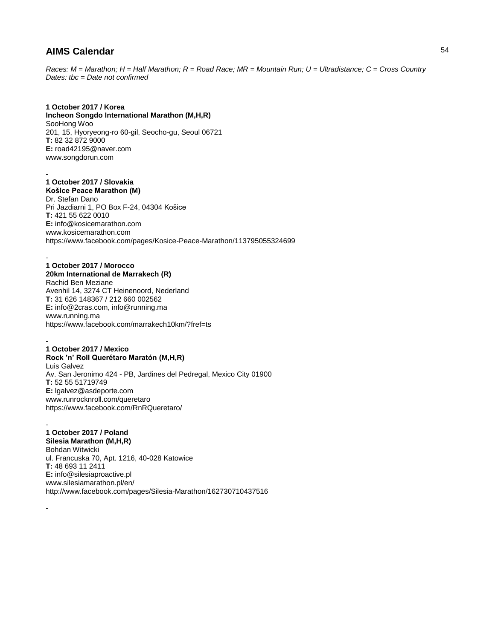*Races: M = Marathon; H = Half Marathon; R = Road Race; MR = Mountain Run; U = Ultradistance; C = Cross Country Dates: tbc = Date not confirmed*

### **1 October 2017 / Korea**

**Incheon Songdo International Marathon (M,H,R)** SooHong Woo 201, 15, Hyoryeong-ro 60-gil, Seocho-gu, Seoul 06721 **T:** 82 32 872 9000 **E:** road42195@naver.com www.songdorun.com

#### - **1 October 2017 / Slovakia Košice Peace Marathon (M)**

Dr. Stefan Dano Pri Jazdiarni 1, PO Box F-24, 04304 Košice **T:** 421 55 622 0010 **E:** info@kosicemarathon.com www.kosicemarathon.com https://www.facebook.com/pages/Kosice-Peace-Marathon/113795055324699

#### - **1 October 2017 / Morocco**

**20km International de Marrakech (R)** Rachid Ben Meziane Avenhil 14, 3274 CT Heinenoord, Nederland **T:** 31 626 148367 / 212 660 002562 **E:** info@2cras.com, info@running.ma www.running.ma https://www.facebook.com/marrakech10km/?fref=ts

#### - **1 October 2017 / Mexico**

**Rock 'n' Roll Querétaro Maratón (M,H,R)** Luis Galvez Av. San Jeronimo 424 - PB, Jardines del Pedregal, Mexico City 01900 **T:** 52 55 51719749 **E:** lgalvez@asdeporte.com www.runrocknroll.com/queretaro https://www.facebook.com/RnRQueretaro/

#### - **1 October 2017 / Poland Silesia Marathon (M,H,R)**

-

Bohdan Witwicki ul. Francuska 70, Apt. 1216, 40-028 Katowice **T:** 48 693 11 2411 **E:** info@silesiaproactive.pl www.silesiamarathon.pl/en/ http://www.facebook.com/pages/Silesia-Marathon/162730710437516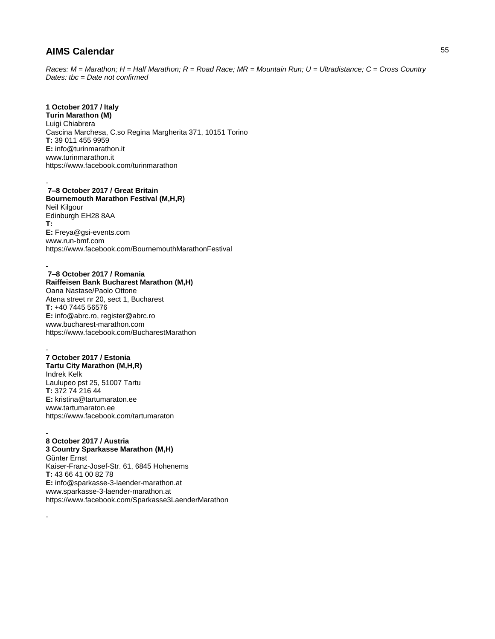*Races: M = Marathon; H = Half Marathon; R = Road Race; MR = Mountain Run; U = Ultradistance; C = Cross Country Dates: tbc = Date not confirmed*

### **1 October 2017 / Italy**

**Turin Marathon (M)** Luigi Chiabrera Cascina Marchesa, C.so Regina Margherita 371, 10151 Torino **T:** 39 011 455 9959 **E:** info@turinmarathon.it www.turinmarathon.it https://www.facebook.com/turinmarathon

#### - **7–8 October 2017 / Great Britain**

**Bournemouth Marathon Festival (M,H,R)** Neil Kilgour Edinburgh EH28 8AA **T: E:** Freya@gsi-events.com www.run-bmf.com https://www.facebook.com/BournemouthMarathonFestival

#### **7–8 October 2017 / Romania Raiffeisen Bank Bucharest Marathon (M,H)**

Oana Nastase/Paolo Ottone Atena street nr 20, sect 1, Bucharest **T:** +40 7445 56576 **E:** info@abrc.ro, register@abrc.ro www.bucharest-marathon.com https://www.facebook.com/BucharestMarathon

#### - **7 October 2017 / Estonia**

-

-

**Tartu City Marathon (M,H,R)** Indrek Kelk Laulupeo pst 25, 51007 Tartu **T:** 372 74 216 44 **E:** kristina@tartumaraton.ee www.tartumaraton.ee https://www.facebook.com/tartumaraton

#### - **8 October 2017 / Austria**

**3 Country Sparkasse Marathon (M,H)** Günter Ernst Kaiser-Franz-Josef-Str. 61, 6845 Hohenems **T:** 43 66 41 00 82 78 **E:** info@sparkasse-3-laender-marathon.at www.sparkasse-3-laender-marathon.at https://www.facebook.com/Sparkasse3LaenderMarathon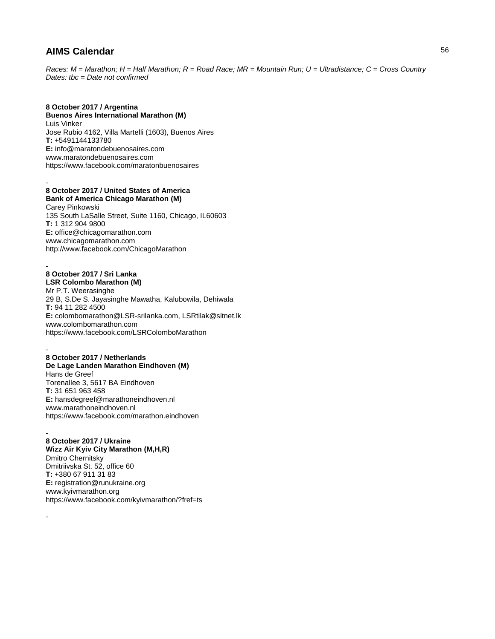-

-

-

*Races: M = Marathon; H = Half Marathon; R = Road Race; MR = Mountain Run; U = Ultradistance; C = Cross Country Dates: tbc = Date not confirmed*

### **8 October 2017 / Argentina**

**Buenos Aires International Marathon (M)** Luis Vinker Jose Rubio 4162, Villa Martelli (1603), Buenos Aires **T:** +5491144133780 **E:** info@maratondebuenosaires.com www.maratondebuenosaires.com https://www.facebook.com/maratonbuenosaires

### **8 October 2017 / United States of America**

**Bank of America Chicago Marathon (M)** Carey Pinkowski 135 South LaSalle Street, Suite 1160, Chicago, IL60603 **T:** 1 312 904 9800 **E:** office@chicagomarathon.com www.chicagomarathon.com http://www.facebook.com/ChicagoMarathon

#### **8 October 2017 / Sri Lanka LSR Colombo Marathon (M)**

Mr P.T. Weerasinghe 29 B, S.De S. Jayasinghe Mawatha, Kalubowila, Dehiwala **T:** 94 11 282 4500 **E:** colombomarathon@LSR-srilanka.com, LSRtilak@sltnet.lk www.colombomarathon.com https://www.facebook.com/LSRColomboMarathon

#### - **8 October 2017 / Netherlands De Lage Landen Marathon Eindhoven (M)** Hans de Greef Torenallee 3, 5617 BA Eindhoven **T:** 31 651 963 458 **E:** hansdegreef@marathoneindhoven.nl www.marathoneindhoven.nl

https://www.facebook.com/marathon.eindhoven

#### - **8 October 2017 / Ukraine**

**Wizz Air Kyiv City Marathon (M,H,R)** Dmitro Chernitsky Dmitriivska St. 52, office 60 **T:** +380 67 911 31 83 **E:** registration@runukraine.org www.kyivmarathon.org https://www.facebook.com/kyivmarathon/?fref=ts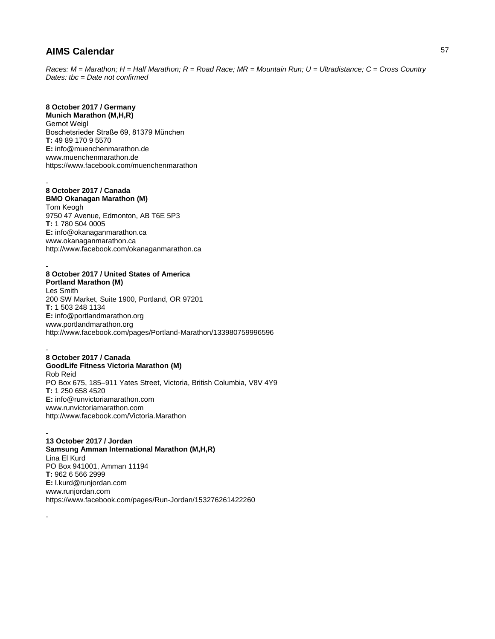*Races: M = Marathon; H = Half Marathon; R = Road Race; MR = Mountain Run; U = Ultradistance; C = Cross Country Dates: tbc = Date not confirmed*

# **8 October 2017 / Germany**

**Munich Marathon (M,H,R)** Gernot Weigl Boschetsrieder Straße 69, 81379 München **T:** 49 89 170 9 5570 **E:** info@muenchenmarathon.de www.muenchenmarathon.de https://www.facebook.com/muenchenmarathon

#### - **8 October 2017 / Canada**

-

-

**BMO Okanagan Marathon (M)** Tom Keogh 9750 47 Avenue, Edmonton, AB T6E 5P3 **T:** 1 780 504 0005 **E:** info@okanaganmarathon.ca www.okanaganmarathon.ca http://www.facebook.com/okanaganmarathon.ca

#### **8 October 2017 / United States of America Portland Marathon (M)**

Les Smith 200 SW Market, Suite 1900, Portland, OR 97201 **T:** 1 503 248 1134 **E:** info@portlandmarathon.org www.portlandmarathon.org http://www.facebook.com/pages/Portland-Marathon/133980759996596

#### - **8 October 2017 / Canada GoodLife Fitness Victoria Marathon (M)** Rob Reid PO Box 675, 185–911 Yates Street, Victoria, British Columbia, V8V 4Y9 **T:** 1 250 658 4520 **E:** info@runvictoriamarathon.com www.runvictoriamarathon.com http://www.facebook.com/Victoria.Marathon

- **13 October 2017 / Jordan Samsung Amman International Marathon (M,H,R)** Lina El Kurd PO Box 941001, Amman 11194 **T:** 962 6 566 2999 **E:** l.kurd@runjordan.com www.runjordan.com https://www.facebook.com/pages/Run-Jordan/153276261422260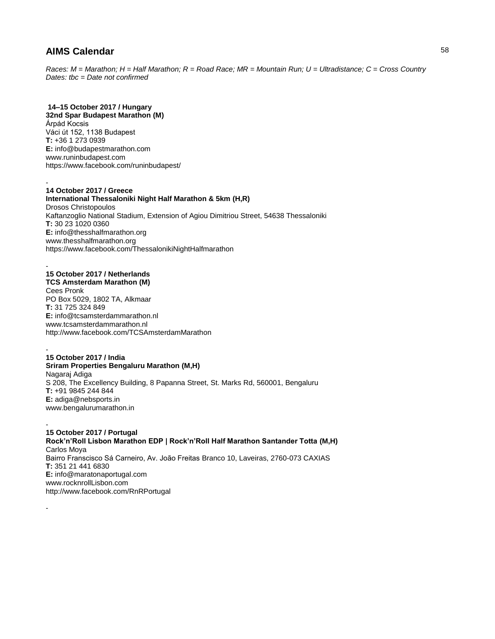*Races: M = Marathon; H = Half Marathon; R = Road Race; MR = Mountain Run; U = Ultradistance; C = Cross Country Dates: tbc = Date not confirmed*

### **14–15 October 2017 / Hungary**

**32nd Spar Budapest Marathon (M)** Árpád Kocsis Váci út 152, 1138 Budapest **T:** +36 1 273 0939 **E:** info@budapestmarathon.com www.runinbudapest.com https://www.facebook.com/runinbudapest/

#### - **14 October 2017 / Greece**

**International Thessaloniki Night Half Marathon & 5km (H,R)** Drosos Christopoulos Kaftanzoglio National Stadium, Extension of Agiou Dimitriou Street, 54638 Thessaloniki **T:** 30 23 1020 0360 **E:** info@thesshalfmarathon.org www.thesshalfmarathon.org https://www.facebook.com/ThessalonikiNightHalfmarathon

#### - **15 October 2017 / Netherlands**

-

**TCS Amsterdam Marathon (M)** Cees Pronk PO Box 5029, 1802 TA, Alkmaar **T:** 31 725 324 849 **E:** info@tcsamsterdammarathon.nl www.tcsamsterdammarathon.nl http://www.facebook.com/TCSAmsterdamMarathon

#### - **15 October 2017 / India Sriram Properties Bengaluru Marathon (M,H)** Nagaraj Adiga S 208, The Excellency Building, 8 Papanna Street, St. Marks Rd, 560001, Bengaluru **T:** +91 9845 244 844 **E:** adiga@nebsports.in www.bengalurumarathon.in

- **15 October 2017 / Portugal Rock'n'Roll Lisbon Marathon EDP | Rock'n'Roll Half Marathon Santander Totta (M,H)** Carlos Moya Bairro Franscisco Sá Carneiro, Av. João Freitas Branco 10, Laveiras, 2760-073 CAXIAS **T:** 351 21 441 6830 **E:** info@maratonaportugal.com www.rocknrollLisbon.com http://www.facebook.com/RnRPortugal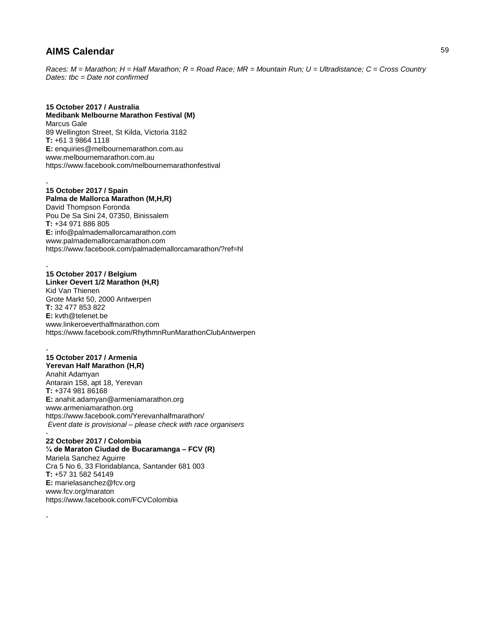*Races: M = Marathon; H = Half Marathon; R = Road Race; MR = Mountain Run; U = Ultradistance; C = Cross Country Dates: tbc = Date not confirmed*

### **15 October 2017 / Australia Medibank Melbourne Marathon Festival (M)** Marcus Gale 89 Wellington Street, St Kilda, Victoria 3182 **T:** +61 3 9864 1118 **E:** enquiries@melbournemarathon.com.au www.melbournemarathon.com.au https://www.facebook.com/melbournemarathonfestival

- **15 October 2017 / Spain Palma de Mallorca Marathon (M,H,R)** David Thompson Foronda Pou De Sa Sini 24, 07350, Binissalem **T:** +34 971 886 805 **E:** info@palmademallorcamarathon.com www.palmademallorcamarathon.com https://www.facebook.com/palmademallorcamarathon/?ref=hl

### **15 October 2017 / Belgium**

-

-

**Linker Oevert 1/2 Marathon (H,R)** Kid Van Thienen Grote Markt 50, 2000 Antwerpen **T:** 32 477 853 822 **E:** kvth@telenet.be www.linkeroeverthalfmarathon.com https://www.facebook.com/RhythmnRunMarathonClubAntwerpen

### - **15 October 2017 / Armenia**

**Yerevan Half Marathon (H,R)** Anahit Adamyan Antarain 158, apt 18, Yerevan **T:** +374 981 86168 **E:** anahit.adamyan@armeniamarathon.org www.armeniamarathon.org https://www.facebook.com/Yerevanhalfmarathon/ *Event date is provisional – please check with race organisers*

#### - **22 October 2017 / Colombia**

**¼ de Maraton Ciudad de Bucaramanga – FCV (R)** Mariela Sanchez Aguirre Cra 5 No 6, 33 Floridablanca, Santander 681 003 **T:** +57 31 582 54149 **E:** marielasanchez@fcv.org www.fcv.org/maraton https://www.facebook.com/FCVColombia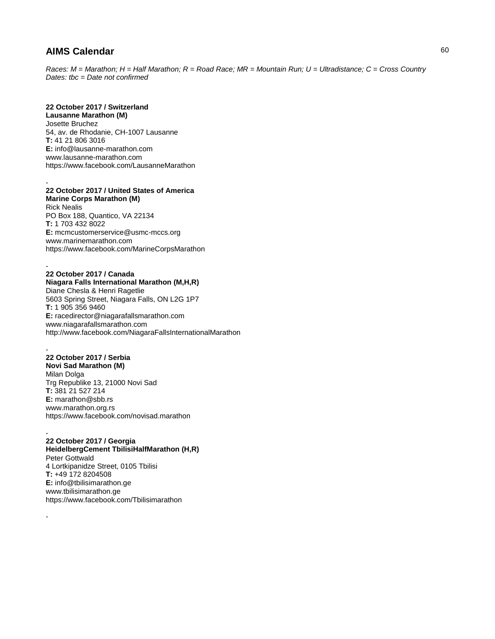*Races: M = Marathon; H = Half Marathon; R = Road Race; MR = Mountain Run; U = Ultradistance; C = Cross Country Dates: tbc = Date not confirmed*

### **22 October 2017 / Switzerland**

**Lausanne Marathon (M)** Josette Bruchez 54, av. de Rhodanie, CH-1007 Lausanne **T:** 41 21 806 3016 **E:** info@lausanne-marathon.com www.lausanne-marathon.com https://www.facebook.com/LausanneMarathon

#### - **22 October 2017 / United States of America Marine Corps Marathon (M)**

Rick Nealis PO Box 188, Quantico, VA 22134 **T:** 1 703 432 8022 **E:** mcmcustomerservice@usmc-mccs.org www.marinemarathon.com https://www.facebook.com/MarineCorpsMarathon

#### - **22 October 2017 / Canada**

### **Niagara Falls International Marathon (M,H,R)**

Diane Chesla & Henri Ragetlie 5603 Spring Street, Niagara Falls, ON L2G 1P7 **T:** 1 905 356 9460 **E:** racedirector@niagarafallsmarathon.com www.niagarafallsmarathon.com http://www.facebook.com/NiagaraFallsInternationalMarathon

#### - **22 October 2017 / Serbia**

**Novi Sad Marathon (M)** Milan Dolga Trg Republike 13, 21000 Novi Sad **T:** 381 21 527 214 **E:** marathon@sbb.rs www.marathon.org.rs https://www.facebook.com/novisad.marathon

#### - **22 October 2017 / Georgia**

-

**HeidelbergCement TbilisiHalfMarathon (H,R)** Peter Gottwald 4 Lortkipanidze Street, 0105 Tbilisi **T:** +49 172 8204508 **E:** info@tbilisimarathon.ge www.tbilisimarathon.ge https://www.facebook.com/Tbilisimarathon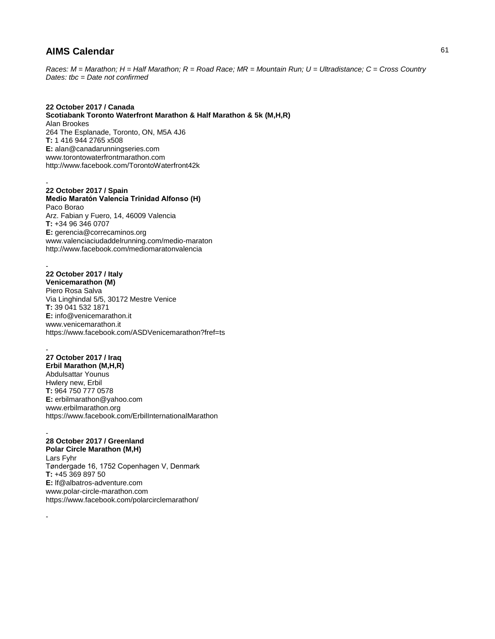*Races: M = Marathon; H = Half Marathon; R = Road Race; MR = Mountain Run; U = Ultradistance; C = Cross Country Dates: tbc = Date not confirmed*

#### **22 October 2017 / Canada Scotiabank Toronto Waterfront Marathon & Half Marathon & 5k (M,H,R)** Alan Brookes 264 The Esplanade, Toronto, ON, M5A 4J6 **T:** 1 416 944 2765 x508 **E:** alan@canadarunningseries.com www.torontowaterfrontmarathon.com http://www.facebook.com/TorontoWaterfront42k

- **22 October 2017 / Spain Medio Maratón Valencia Trinidad Alfonso (H)** Paco Borao Arz. Fabian y Fuero, 14, 46009 Valencia **T:** +34 96 346 0707 **E:** gerencia@correcaminos.org www.valenciaciudaddelrunning.com/medio-maraton http://www.facebook.com/mediomaratonvalencia

#### - **22 October 2017 / Italy Venicemarathon (M)** Piero Rosa Salva Via Linghindal 5/5, 30172 Mestre Venice **T:** 39 041 532 1871 **E:** info@venicemarathon.it www.venicemarathon.it https://www.facebook.com/ASDVenicemarathon?fref=ts

- **27 October 2017 / Iraq Erbil Marathon (M,H,R)** Abdulsattar Younus Hwlery new, Erbil **T:** 964 750 777 0578 **E:** erbilmarathon@yahoo.com www.erbilmarathon.org https://www.facebook.com/ErbilInternationalMarathon

### **28 October 2017 / Greenland**

-

-

**Polar Circle Marathon (M,H)** Lars Fyhr Tøndergade 16, 1752 Copenhagen V, Denmark **T:** +45 369 897 50 **E:** lf@albatros-adventure.com www.polar-circle-marathon.com https://www.facebook.com/polarcirclemarathon/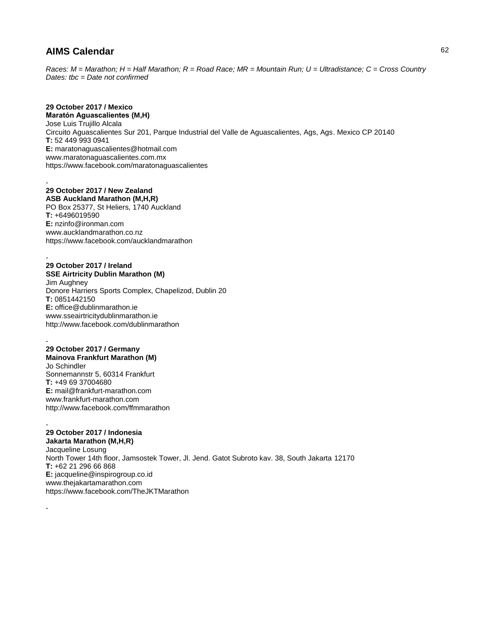*Races: M = Marathon; H = Half Marathon; R = Road Race; MR = Mountain Run; U = Ultradistance; C = Cross Country Dates: tbc = Date not confirmed*

# **29 October 2017 / Mexico**

**Maratón Aguascalientes (M,H)** Jose Luis Trujillo Alcala Circuito Aguascalientes Sur 201, Parque Industrial del Valle de Aguascalientes, Ags, Ags. Mexico CP 20140 **T:** 52 449 993 0941 **E:** maratonaguascalientes@hotmail.com www.maratonaguascalientes.com.mx https://www.facebook.com/maratonaguascalientes

#### - **29 October 2017 / New Zealand ASB Auckland Marathon (M,H,R)**

PO Box 25377, St Heliers, 1740 Auckland **T:** +6496019590 **E:** nzinfo@ironman.com www.aucklandmarathon.co.nz https://www.facebook.com/aucklandmarathon

#### - **29 October 2017 / Ireland SSE Airtricity Dublin Marathon (M)**

Jim Aughney Donore Harriers Sports Complex, Chapelizod, Dublin 20 **T:** 0851442150 **E:** office@dublinmarathon.ie www.sseairtricitydublinmarathon.ie http://www.facebook.com/dublinmarathon

#### - **29 October 2017 / Germany**

**Mainova Frankfurt Marathon (M)** Jo Schindler Sonnemannstr 5, 60314 Frankfurt **T:** +49 69 37004680 **E:** mail@frankfurt-marathon.com www.frankfurt-marathon.com http://www.facebook.com/ffmmarathon

#### - **29 October 2017 / Indonesia Jakarta Marathon (M,H,R)**

-

Jacqueline Losung North Tower 14th floor, Jamsostek Tower, Jl. Jend. Gatot Subroto kav. 38, South Jakarta 12170 **T:** +62 21 296 66 868 **E:** jacqueline@inspirogroup.co.id www.thejakartamarathon.com https://www.facebook.com/TheJKTMarathon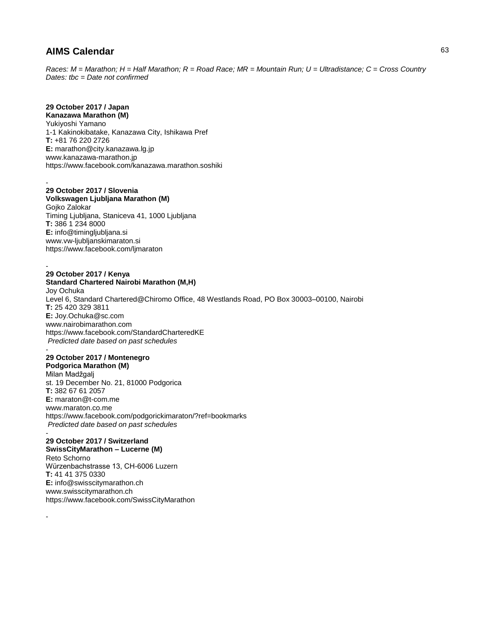*Races: M = Marathon; H = Half Marathon; R = Road Race; MR = Mountain Run; U = Ultradistance; C = Cross Country Dates: tbc = Date not confirmed*

# **29 October 2017 / Japan**

**Kanazawa Marathon (M)** Yukiyoshi Yamano 1-1 Kakinokibatake, Kanazawa City, Ishikawa Pref **T:** +81 76 220 2726 **E:** marathon@city.kanazawa.lg.jp www.kanazawa-marathon.jp https://www.facebook.com/kanazawa.marathon.soshiki

#### - **29 October 2017 / Slovenia**

### **Volkswagen Ljubljana Marathon (M)**

Gojko Zalokar Timing Ljubljana, Staniceva 41, 1000 Ljubljana **T:** 386 1 234 8000 **E:** info@timingljubljana.si www.vw-ljubljanskimaraton.si https://www.facebook.com/ljmaraton

### **29 October 2017 / Kenya**

-

-

**Standard Chartered Nairobi Marathon (M,H)** Joy Ochuka Level 6, Standard Chartered@Chiromo Office, 48 Westlands Road, PO Box 30003–00100, Nairobi **T:** 25 420 329 3811 **E:** Joy.Ochuka@sc.com www.nairobimarathon.com https://www.facebook.com/StandardCharteredKE *Predicted date based on past schedules* -

#### **29 October 2017 / Montenegro Podgorica Marathon (M)**

Milan Madžgalj st. 19 December No. 21, 81000 Podgorica **T:** 382 67 61 2057 **E:** maraton@t-com.me www.maraton.co.me https://www.facebook.com/podgorickimaraton/?ref=bookmarks *Predicted date based on past schedules*

#### - **29 October 2017 / Switzerland**

**SwissCityMarathon – Lucerne (M)** Reto Schorno Würzenbachstrasse 13, CH-6006 Luzern **T:** 41 41 375 0330 **E:** info@swisscitymarathon.ch www.swisscitymarathon.ch https://www.facebook.com/SwissCityMarathon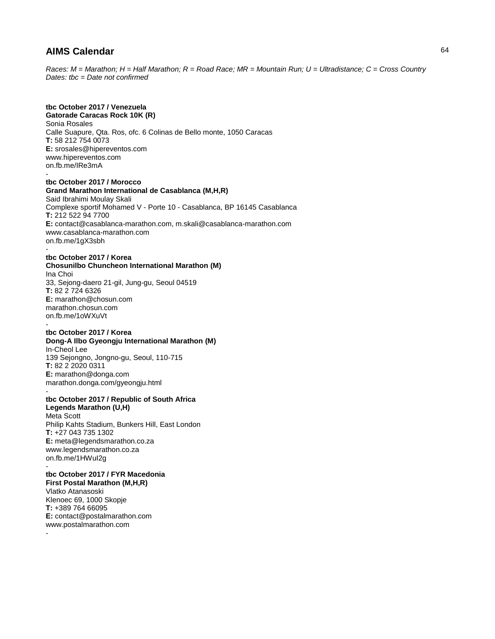*Races: M = Marathon; H = Half Marathon; R = Road Race; MR = Mountain Run; U = Ultradistance; C = Cross Country Dates: tbc = Date not confirmed*

# **tbc October 2017 / Venezuela**

**Gatorade Caracas Rock 10K (R)** Sonia Rosales Calle Suapure, Qta. Ros, ofc. 6 Colinas de Bello monte, 1050 Caracas **T:** 58 212 754 0073 **E:** srosales@hipereventos.com www.hipereventos.com on.fb.me/IRe3mA -

#### **tbc October 2017 / Morocco Grand Marathon International de Casablanca (M,H,R)** Said Ibrahimi Moulay Skali

Complexe sportif Mohamed V - Porte 10 - Casablanca, BP 16145 Casablanca **T:** 212 522 94 7700 **E:** contact@casablanca-marathon.com, m.skali@casablanca-marathon.com www.casablanca-marathon.com on.fb.me/1gX3sbh

#### **tbc October 2017 / Korea**

### **Chosunilbo Chuncheon International Marathon (M)**

Ina Choi 33, Sejong-daero 21-gil, Jung-gu, Seoul 04519 **T:** 82 2 724 6326 **E:** marathon@chosun.com marathon.chosun.com on.fb.me/1oWXuVt -

#### **tbc October 2017 / Korea Dong-A Ilbo Gyeongju International Marathon (M)**

In-Cheol Lee 139 Sejongno, Jongno-gu, Seoul, 110-715 **T:** 82 2 2020 0311 **E:** marathon@donga.com marathon.donga.com/gyeongju.html -

### **tbc October 2017 / Republic of South Africa**

**Legends Marathon (U,H)** Meta Scott Philip Kahts Stadium, Bunkers Hill, East London **T:** +27 043 735 1302 **E:** meta@legendsmarathon.co.za www.legendsmarathon.co.za on.fb.me/1HWuI2g -

# **tbc October 2017 / FYR Macedonia**

**First Postal Marathon (M,H,R)** Vlatko Atanasoski Klenoec 69, 1000 Skopje **T:** +389 764 66095 **E:** contact@postalmarathon.com www.postalmarathon.com

-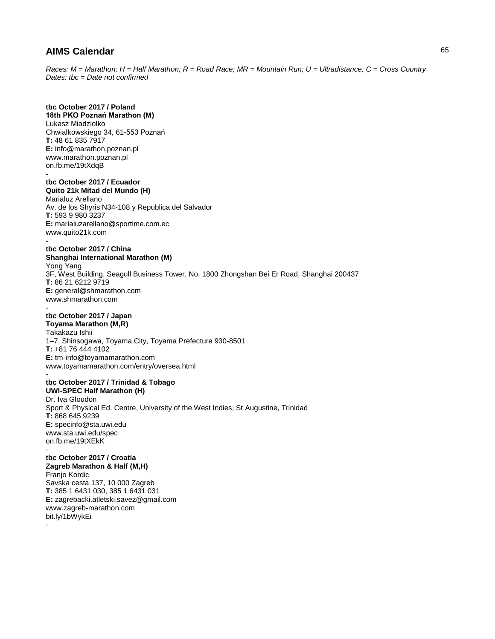*Races: M = Marathon; H = Half Marathon; R = Road Race; MR = Mountain Run; U = Ultradistance; C = Cross Country Dates: tbc = Date not confirmed*

# **tbc October 2017 / Poland**

**18th PKO Poznań Marathon (M)** Lukasz Miadziolko Chwialkowskiego 34, 61-553 Poznań **T:** 48 61 835 7917 **E:** info@marathon.poznan.pl www.marathon.poznan.pl on.fb.me/19tXdqB -

### **tbc October 2017 / Ecuador Quito 21k Mitad del Mundo (H)**

Marialuz Arellano Av. de los Shyris N34-108 y Republica del Salvador **T:** 593 9 980 3237 **E:** marialuzarellano@sportime.com.ec www.quito21k.com

# **tbc October 2017 / China**

-

**Shanghai International Marathon (M)** Yong Yang 3F, West Building, Seagull Business Tower, No. 1800 Zhongshan Bei Er Road, Shanghai 200437 **T:** 86 21 6212 9719 **E:** general@shmarathon.com www.shmarathon.com -

#### **tbc October 2017 / Japan Toyama Marathon (M,R)**

Takakazu Ishii 1–7, Shinsogawa, Toyama City, Toyama Prefecture 930-8501 **T:** +81 76 444 4102 **E:** tm-info@toyamamarathon.com www.toyamamarathon.com/entry/oversea.html

#### **tbc October 2017 / Trinidad & Tobago UWI-SPEC Half Marathon (H)**

Dr. Iva Gloudon Sport & Physical Ed. Centre, University of the West Indies, St Augustine, Trinidad **T:** 868 645 9239 **E:** specinfo@sta.uwi.edu www.sta.uwi.edu/spec on.fb.me/19tXEkK

#### **tbc October 2017 / Croatia Zagreb Marathon & Half (M,H)**

Franjo Kordic Savska cesta 137, 10 000 Zagreb **T:** 385 1 6431 030, 385 1 6431 031 **E:** zagrebacki.atletski.savez@gmail.com www.zagreb-marathon.com bit.ly/1bWykEi -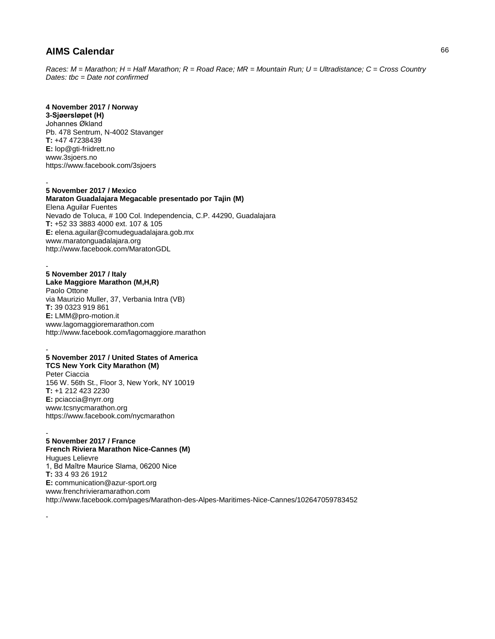*Races: M = Marathon; H = Half Marathon; R = Road Race; MR = Mountain Run; U = Ultradistance; C = Cross Country Dates: tbc = Date not confirmed*

### **4 November 2017 / Norway**

**3-Sjøersløpet (H)** Johannes Økland Pb. 478 Sentrum, N-4002 Stavanger **T:** +47 47238439 **E:** lop@gti-friidrett.no www.3sjoers.no https://www.facebook.com/3sjoers

#### - **5 November 2017 / Mexico**

**Maraton Guadalajara Megacable presentado por Tajin (M)** Elena Aguilar Fuentes Nevado de Toluca, # 100 Col. Independencia, C.P. 44290, Guadalajara **T:** +52 33 3883 4000 ext. 107 & 105 **E:** elena.aguilar@comudeguadalajara.gob.mx www.maratonguadalajara.org http://www.facebook.com/MaratonGDL

# **5 November 2017 / Italy**

-

-

**Lake Maggiore Marathon (M,H,R)** Paolo Ottone via Maurizio Muller, 37, Verbania Intra (VB) **T:** 39 0323 919 861 **E:** LMM@pro-motion.it www.lagomaggioremarathon.com http://www.facebook.com/lagomaggiore.marathon

#### - **5 November 2017 / United States of America TCS New York City Marathon (M)**

Peter Ciaccia 156 W. 56th St., Floor 3, New York, NY 10019 **T:** +1 212 423 2230 **E:** pciaccia@nyrr.org www.tcsnycmarathon.org https://www.facebook.com/nycmarathon

#### - **5 November 2017 / France**

**French Riviera Marathon Nice-Cannes (M)** Hugues Lelievre 1, Bd Maître Maurice Slama, 06200 Nice **T:** 33 4 93 26 1912 **E:** communication@azur-sport.org www.frenchrivieramarathon.com http://www.facebook.com/pages/Marathon-des-Alpes-Maritimes-Nice-Cannes/102647059783452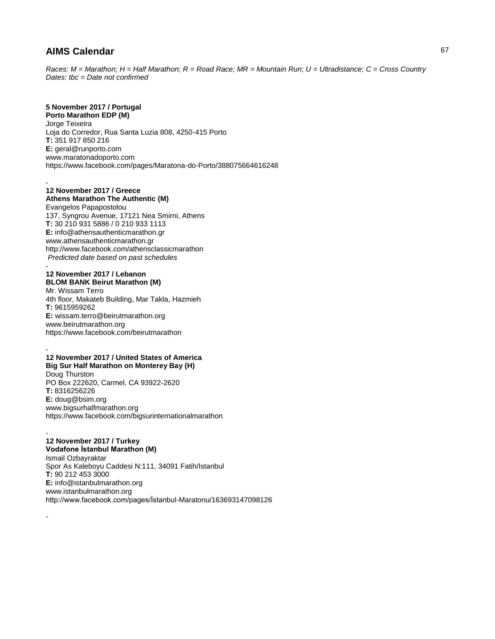*Races: M = Marathon; H = Half Marathon; R = Road Race; MR = Mountain Run; U = Ultradistance; C = Cross Country Dates: tbc = Date not confirmed*

# **5 November 2017 / Portugal**

**Porto Marathon EDP (M)** Jorge Teixeira Loja do Corredor, Rua Santa Luzia 808, 4250-415 Porto **T:** 351 917 850 216 **E:** geral@runporto.com www.maratonadoporto.com https://www.facebook.com/pages/Maratona-do-Porto/388075664616248

#### - **12 November 2017 / Greece**

**Athens Marathon The Authentic (M)**

Evangelos Papapostolou 137, Syngrou Avenue, 17121 Nea Smirni, Athens **T:** 30 210 931 5886 / 0 210 933 1113 **E:** info@athensauthenticmarathon.gr www.athensauthenticmarathon.gr http://www.facebook.com/athensclassicmarathon *Predicted date based on past schedules*

#### - **12 November 2017 / Lebanon BLOM BANK Beirut Marathon (M)**

Mr. Wissam Terro 4th floor, Makateb Building, Mar Takla, Hazmieh **T:** 9615959262 **E:** wissam.terro@beirutmarathon.org www.beirutmarathon.org https://www.facebook.com/beirutmarathon

#### - **12 November 2017 / United States of America Big Sur Half Marathon on Monterey Bay (H)** Doug Thurston PO Box 222620, Carmel, CA 93922-2620 **T:** 8316256226 **E:** doug@bsim.org www.bigsurhalfmarathon.org https://www.facebook.com/bigsurinternationalmarathon

#### - **12 November 2017 / Turkey**

-

**Vodafone İstanbul Marathon (M)** Ismail Ozbayraktar Spor As Kaleboyu Caddesi N:111, 34091 Fatih/Istanbul **T:** 90 212 453 3000 **E:** info@istanbulmarathon.org www.istanbulmarathon.org http://www.facebook.com/pages/İstanbul-Maratonu/163693147098126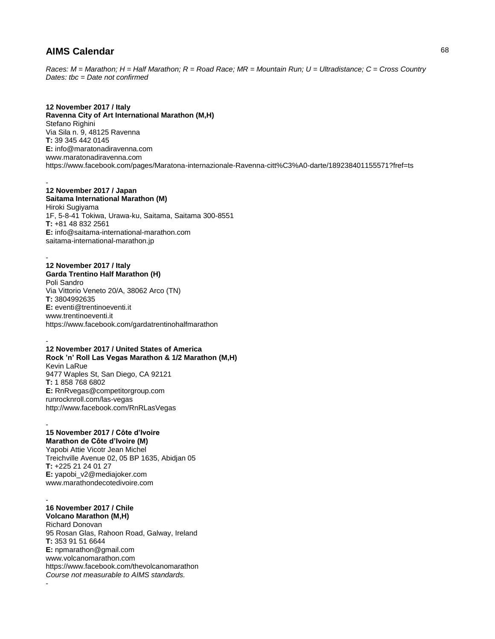*Races: M = Marathon; H = Half Marathon; R = Road Race; MR = Mountain Run; U = Ultradistance; C = Cross Country Dates: tbc = Date not confirmed*

**12 November 2017 / Italy Ravenna City of Art International Marathon (M,H)** Stefano Righini Via Sila n. 9, 48125 Ravenna **T:** 39 345 442 0145 **E:** info@maratonadiravenna.com www.maratonadiravenna.com https://www.facebook.com/pages/Maratona-internazionale-Ravenna-citt%C3%A0-darte/189238401155571?fref=ts

### **12 November 2017 / Japan**

-

-

**Saitama International Marathon (M)** Hiroki Sugiyama 1F, 5-8-41 Tokiwa, Urawa-ku, Saitama, Saitama 300-8551 **T:** +81 48 832 2561 **E:** info@saitama-international-marathon.com saitama-international-marathon.jp

### **12 November 2017 / Italy**

**Garda Trentino Half Marathon (H)** Poli Sandro Via Vittorio Veneto 20/A, 38062 Arco (TN) **T:** 3804992635 **E:** eventi@trentinoeventi.it www.trentinoeventi.it https://www.facebook.com/gardatrentinohalfmarathon

#### - **12 November 2017 / United States of America Rock 'n' Roll Las Vegas Marathon & 1/2 Marathon (M,H)**

Kevin LaRue 9477 Waples St, San Diego, CA 92121 **T:** 1 858 768 6802 **E:** RnRvegas@competitorgroup.com runrocknroll.com/las-vegas http://www.facebook.com/RnRLasVegas

#### - **15 November 2017 / Côte d'Ivoire Marathon de Côte d'Ivoire (M)**

Yapobi Attie Vicotr Jean Michel Treichville Avenue 02, 05 BP 1635, Abidjan 05 **T:** +225 21 24 01 27 **E:** yapobi\_v2@mediajoker.com www.marathondecotedivoire.com

#### - **16 November 2017 / Chile**

-

**Volcano Marathon (M,H)** Richard Donovan 95 Rosan Glas, Rahoon Road, Galway, Ireland **T:** 353 91 51 6644 **E:** npmarathon@gmail.com www.volcanomarathon.com https://www.facebook.com/thevolcanomarathon *Course not measurable to AIMS standards.*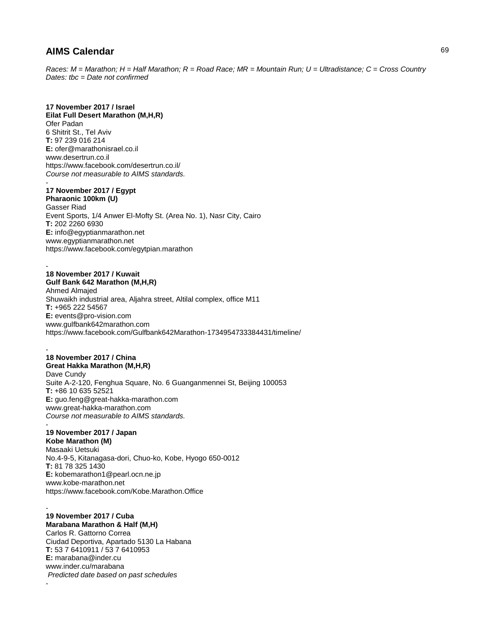*Races: M = Marathon; H = Half Marathon; R = Road Race; MR = Mountain Run; U = Ultradistance; C = Cross Country Dates: tbc = Date not confirmed*

### **17 November 2017 / Israel**

**Eilat Full Desert Marathon (M,H,R)** Ofer Padan 6 Shitrit St., Tel Aviv **T:** 97 239 016 214 **E:** ofer@marathonisrael.co.il www.desertrun.co.il https://www.facebook.com/desertrun.co.il/ *Course not measurable to AIMS standards.* 

#### - **17 November 2017 / Egypt**

**Pharaonic 100km (U)** Gasser Riad Event Sports, 1/4 Anwer El-Mofty St. (Area No. 1), Nasr City, Cairo **T:** 202 2260 6930 **E:** info@egyptianmarathon.net www.egyptianmarathon.net https://www.facebook.com/egytpian.marathon

#### - **18 November 2017 / Kuwait Gulf Bank 642 Marathon (M,H,R)**

Ahmed Almajed Shuwaikh industrial area, Aljahra street, Altilal complex, office M11 **T:** +965 222 54567 **E:** events@pro-vision.com www.gulfbank642marathon.com https://www.facebook.com/Gulfbank642Marathon-1734954733384431/timeline/

#### - **18 November 2017 / China Great Hakka Marathon (M,H,R)**

Dave Cundy Suite A-2-120, Fenghua Square, No. 6 Guanganmennei St, Beijing 100053 **T:** +86 10 635 52521 **E:** guo.feng@great-hakka-marathon.com www.great-hakka-marathon.com *Course not measurable to AIMS standards.*  -

# **19 November 2017 / Japan**

-

**Kobe Marathon (M)** Masaaki Uetsuki No.4-9-5, Kitanagasa-dori, Chuo-ko, Kobe, Hyogo 650-0012 **T:** 81 78 325 1430 **E:** kobemarathon1@pearl.ocn.ne.jp www.kobe-marathon.net https://www.facebook.com/Kobe.Marathon.Office

#### - **19 November 2017 / Cuba Marabana Marathon & Half (M,H)** Carlos R. Gattorno Correa Ciudad Deportiva, Apartado 5130 La Habana **T:** 53 7 6410911 / 53 7 6410953 **E:** marabana@inder.cu www.inder.cu/marabana *Predicted date based on past schedules*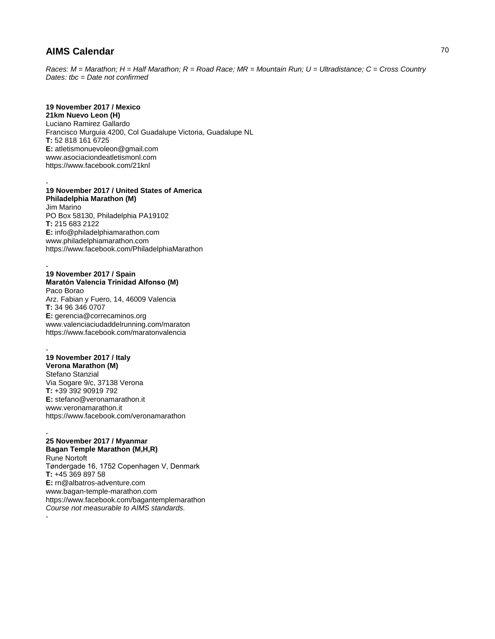*Races: M = Marathon; H = Half Marathon; R = Road Race; MR = Mountain Run; U = Ultradistance; C = Cross Country Dates: tbc = Date not confirmed*

### **19 November 2017 / Mexico**

**21km Nuevo Leon (H)** Luciano Ramirez Gallardo Francisco Murguia 4200, Col Guadalupe Victoria, Guadalupe NL **T:** 52 818 161 6725 **E:** atletismonuevoleon@gmail.com www.asociaciondeatletismonl.com https://www.facebook.com/21knl

#### - **19 November 2017 / United States of America Philadelphia Marathon (M)**

Jim Marino PO Box 58130, Philadelphia PA19102 **T:** 215 683 2122 **E:** info@philadelphiamarathon.com www.philadelphiamarathon.com https://www.facebook.com/PhiladelphiaMarathon

#### - **19 November 2017 / Spain Maratón Valencia Trinidad Alfonso (M)** Paco Borao

Arz. Fabian y Fuero, 14, 46009 Valencia **T:** 34 96 346 0707 **E:** gerencia@correcaminos.org www.valenciaciudaddelrunning.com/maraton https://www.facebook.com/maratonvalencia

#### - **19 November 2017 / Italy**

**Verona Marathon (M)** Stefano Stanzial Via Sogare 9/c, 37138 Verona **T:** +39 392 90919 792 **E:** stefano@veronamarathon.it www.veronamarathon.it https://www.facebook.com/veronamarathon

#### - **25 November 2017 / Myanmar Bagan Temple Marathon (M,H,R)**

Rune Nortoft Tøndergade 16, 1752 Copenhagen V, Denmark **T:** +45 369 897 58 **E:** rn@albatros-adventure.com www.bagan-temple-marathon.com https://www.facebook.com/bagantemplemarathon *Course not measurable to AIMS standards.*  -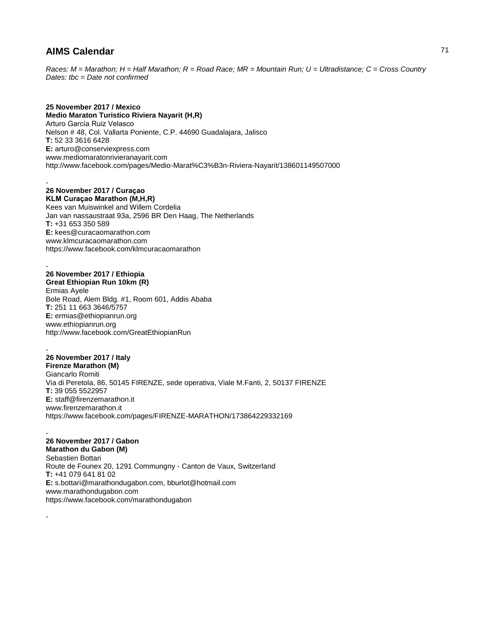*Races: M = Marathon; H = Half Marathon; R = Road Race; MR = Mountain Run; U = Ultradistance; C = Cross Country Dates: tbc = Date not confirmed*

### **25 November 2017 / Mexico**

**Medio Maraton Turistico Riviera Nayarit (H,R)** Arturo García Ruiz Velasco Nelson # 48, Col. Vallarta Poniente, C.P. 44690 Guadalajara, Jalisco **T:** 52 33 3616 6428 **E:** arturo@conserviexpress.com www.mediomaratonrivieranayarit.com http://www.facebook.com/pages/Medio-Marat%C3%B3n-Riviera-Nayarit/138601149507000

#### - **26 November 2017 / Curaçao KLM Curaçao Marathon (M,H,R)**

Kees van Muiswinkel and Willem Cordelia Jan van nassaustraat 93a, 2596 BR Den Haag, The Netherlands **T:** +31 653 350 589 **E:** kees@curacaomarathon.com www.klmcuracaomarathon.com https://www.facebook.com/klmcuracaomarathon

### **26 November 2017 / Ethiopia**

-

-

**Great Ethiopian Run 10km (R)** Ermias Ayele Bole Road, Alem Bldg. #1, Room 601, Addis Ababa **T:** 251 11 663 3646/5757 **E:** ermias@ethiopianrun.org

www.ethiopianrun.org http://www.facebook.com/GreatEthiopianRun

### - **26 November 2017 / Italy**

**Firenze Marathon (M)** Giancarlo Romiti Via di Peretola, 86, 50145 FIRENZE, sede operativa, Viale M.Fanti, 2, 50137 FIRENZE **T:** 39 055 5522957 **E:** staff@firenzemarathon.it www.firenzemarathon.it https://www.facebook.com/pages/FIRENZE-MARATHON/173864229332169

#### - **26 November 2017 / Gabon**

**Marathon du Gabon (M)** Sebastien Bottari Route de Founex 20, 1291 Commungny - Canton de Vaux, Switzerland **T:** +41 079 641 81 02 **E:** s.bottari@marathondugabon.com, bburlot@hotmail.com www.marathondugabon.com https://www.facebook.com/marathondugabon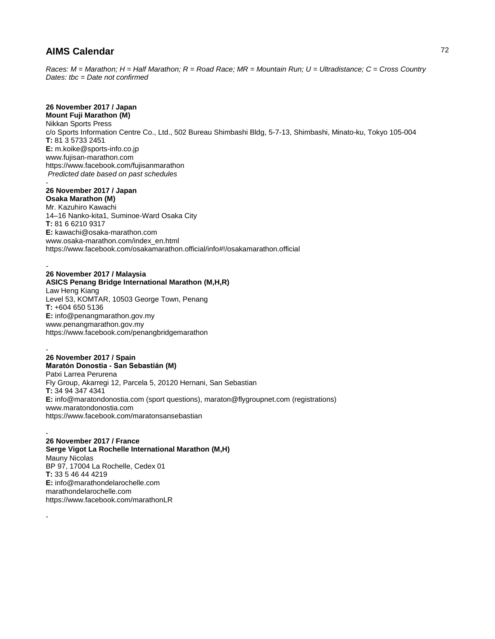*Races: M = Marathon; H = Half Marathon; R = Road Race; MR = Mountain Run; U = Ultradistance; C = Cross Country Dates: tbc = Date not confirmed*

# **26 November 2017 / Japan**

**Mount Fuji Marathon (M)** Nikkan Sports Press c/o Sports Information Centre Co., Ltd., 502 Bureau Shimbashi Bldg, 5-7-13, Shimbashi, Minato-ku, Tokyo 105-004 **T:** 81 3 5733 2451 **E:** m.koike@sports-info.co.jp www.fujisan-marathon.com https://www.facebook.com/fujisanmarathon *Predicted date based on past schedules* -

# **26 November 2017 / Japan**

**Osaka Marathon (M)** Mr. Kazuhiro Kawachi 14–16 Nanko-kita1, Suminoe-Ward Osaka City **T:** 81 6 6210 9317 **E:** kawachi@osaka-marathon.com www.osaka-marathon.com/index\_en.html https://www.facebook.com/osakamarathon.official/info#!/osakamarathon.official

#### - **26 November 2017 / Malaysia**

**ASICS Penang Bridge International Marathon (M,H,R)** Law Heng Kiang Level 53, KOMTAR, 10503 George Town, Penang **T:** +604 650 5136 **E:** info@penangmarathon.gov.my www.penangmarathon.gov.my https://www.facebook.com/penangbridgemarathon

#### **26 November 2017 / Spain Maratón Donostia - San Sebastián (M)**

-

-

-

Patxi Larrea Perurena Fly Group, Akarregi 12, Parcela 5, 20120 Hernani, San Sebastian **T:** 34 94 347 4341 **E:** info@maratondonostia.com (sport questions), maraton@flygroupnet.com (registrations) www.maratondonostia.com https://www.facebook.com/maratonsansebastian

### **26 November 2017 / France**

**Serge Vigot La Rochelle International Marathon (M,H)** Mauny Nicolas BP 97, 17004 La Rochelle, Cedex 01 **T:** 33 5 46 44 4219 **E:** info@marathondelarochelle.com marathondelarochelle.com https://www.facebook.com/marathonLR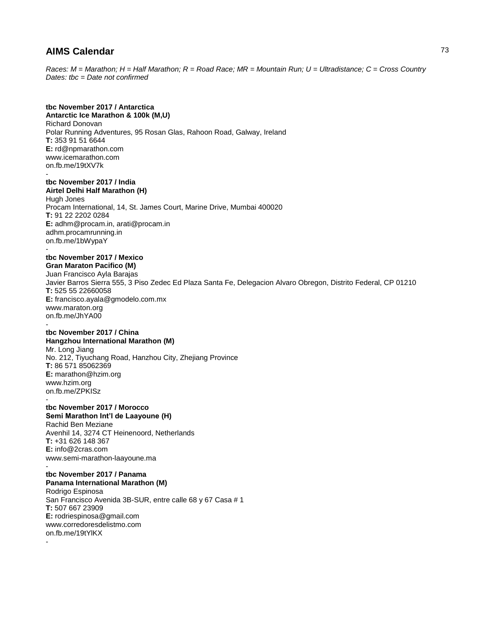*Races: M = Marathon; H = Half Marathon; R = Road Race; MR = Mountain Run; U = Ultradistance; C = Cross Country Dates: tbc = Date not confirmed*

## **tbc November 2017 / Antarctica**

**Antarctic Ice Marathon & 100k (M,U)** Richard Donovan Polar Running Adventures, 95 Rosan Glas, Rahoon Road, Galway, Ireland **T:** 353 91 51 6644 **E:** rd@npmarathon.com www.icemarathon.com on.fb.me/19tXV7k -

### **tbc November 2017 / India Airtel Delhi Half Marathon (H)**

Hugh Jones Procam International, 14, St. James Court, Marine Drive, Mumbai 400020 **T:** 91 22 2202 0284 **E:** adhm@procam.in, arati@procam.in adhm.procamrunning.in on.fb.me/1bWypaY -

## **tbc November 2017 / Mexico**

**Gran Maraton Pacifico (M)** Juan Francisco Ayla Barajas Javier Barros Sierra 555, 3 Piso Zedec Ed Plaza Santa Fe, Delegacion Alvaro Obregon, Distrito Federal, CP 01210 **T:** 525 55 22660058 **E:** francisco.ayala@gmodelo.com.mx www.maraton.org on.fb.me/JhYA00

#### **tbc November 2017 / China Hangzhou International Marathon (M)**

Mr. Long Jiang No. 212, Tiyuchang Road, Hanzhou City, Zhejiang Province **T:** 86 571 85062369 **E:** marathon@hzim.org www.hzim.org on.fb.me/ZPKISz -

### **tbc November 2017 / Morocco Semi Marathon Int'l de Laayoune (H)**

Rachid Ben Meziane Avenhil 14, 3274 CT Heinenoord, Netherlands **T:** +31 626 148 367 **E:** info@2cras.com www.semi-marathon-laayoune.ma

### **tbc November 2017 / Panama**

**Panama International Marathon (M)** Rodrigo Espinosa

San Francisco Avenida 3B-SUR, entre calle 68 y 67 Casa # 1 **T:** 507 667 23909 **E:** rodriespinosa@gmail.com www.corredoresdelistmo.com on.fb.me/19tYlKX -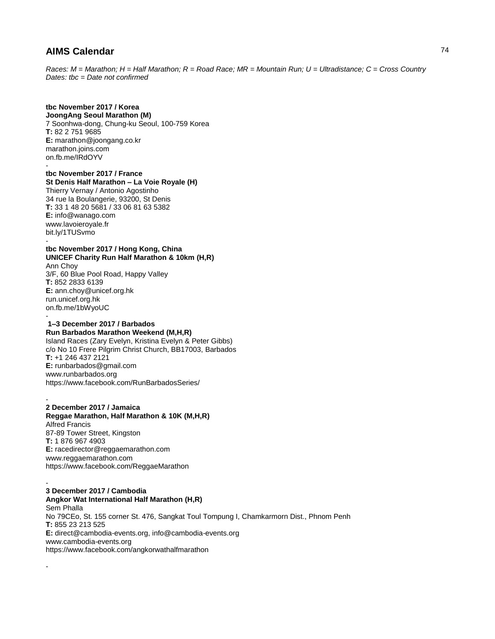*Races: M = Marathon; H = Half Marathon; R = Road Race; MR = Mountain Run; U = Ultradistance; C = Cross Country Dates: tbc = Date not confirmed*

# **tbc November 2017 / Korea**

**JoongAng Seoul Marathon (M)** 7 Soonhwa-dong, Chung-ku Seoul, 100-759 Korea **T:** 82 2 751 9685 **E:** marathon@joongang.co.kr marathon.joins.com on.fb.me/IRdOYV -

**tbc November 2017 / France St Denis Half Marathon – La Voie Royale (H)** Thierry Vernay / Antonio Agostinho 34 rue la Boulangerie, 93200, St Denis **T:** 33 1 48 20 5681 / 33 06 81 63 5382 **E:** info@wanago.com www.lavoieroyale.fr bit.ly/1TUSvmo -

**tbc November 2017 / Hong Kong, China UNICEF Charity Run Half Marathon & 10km (H,R)** Ann Choy 3/F, 60 Blue Pool Road, Happy Valley **T:** 852 2833 6139 **E:** ann.choy@unicef.org.hk run.unicef.org.hk on.fb.me/1bWyoUC -

#### **1–3 December 2017 / Barbados Run Barbados Marathon Weekend (M,H,R)**

Island Races (Zary Evelyn, Kristina Evelyn & Peter Gibbs) c/o No 10 Frere Pilgrim Christ Church, BB17003, Barbados **T:** +1 246 437 2121 **E:** runbarbados@gmail.com www.runbarbados.org https://www.facebook.com/RunBarbadosSeries/

### **2 December 2017 / Jamaica**

-

-

-

**Reggae Marathon, Half Marathon & 10K (M,H,R)** Alfred Francis 87-89 Tower Street, Kingston **T:** 1 876 967 4903 **E:** racedirector@reggaemarathon.com www.reggaemarathon.com https://www.facebook.com/ReggaeMarathon

**3 December 2017 / Cambodia Angkor Wat International Half Marathon (H,R)** Sem Phalla No 79CEo, St. 155 corner St. 476, Sangkat Toul Tompung I, Chamkarmorn Dist., Phnom Penh **T:** 855 23 213 525 **E:** direct@cambodia-events.org, info@cambodia-events.org www.cambodia-events.org https://www.facebook.com/angkorwathalfmarathon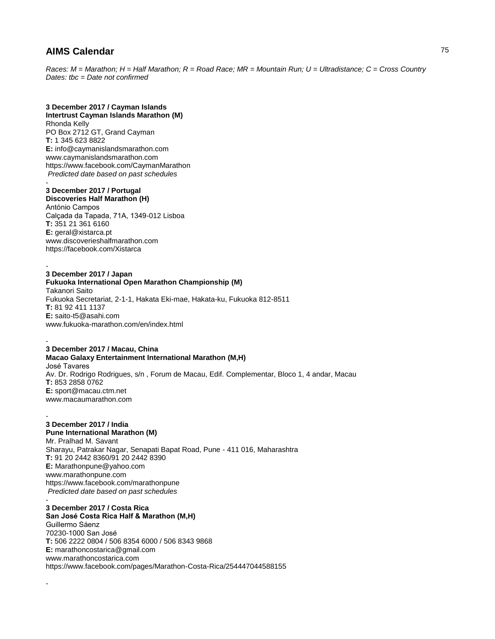*Races: M = Marathon; H = Half Marathon; R = Road Race; MR = Mountain Run; U = Ultradistance; C = Cross Country Dates: tbc = Date not confirmed*

### **3 December 2017 / Cayman Islands Intertrust Cayman Islands Marathon (M)** Rhonda Kelly

PO Box 2712 GT, Grand Cayman **T:** 1 345 623 8822 **E:** info@caymanislandsmarathon.com www.caymanislandsmarathon.com https://www.facebook.com/CaymanMarathon *Predicted date based on past schedules*

### - **3 December 2017 / Portugal**

**Discoveries Half Marathon (H)**

António Campos Calçada da Tapada, 71A, 1349-012 Lisboa **T:** 351 21 361 6160 **E:** geral@xistarca.pt www.discoverieshalfmarathon.com https://facebook.com/Xistarca

#### - **3 December 2017 / Japan**

**Fukuoka International Open Marathon Championship (M)** Takanori Saito Fukuoka Secretariat, 2-1-1, Hakata Eki-mae, Hakata-ku, Fukuoka 812-8511 **T:** 81 92 411 1137 **E:** saito-t5@asahi.com www.fukuoka-marathon.com/en/index.html

#### - **3 December 2017 / Macau, China**

-

-

**Macao Galaxy Entertainment International Marathon (M,H)** José Tavares Av. Dr. Rodrigo Rodrigues, s/n , Forum de Macau, Edif. Complementar, Bloco 1, 4 andar, Macau **T:** 853 2858 0762 **E:** sport@macau.ctm.net www.macaumarathon.com

### **3 December 2017 / India Pune International Marathon (M)** Mr. Pralhad M. Savant Sharayu, Patrakar Nagar, Senapati Bapat Road, Pune - 411 016, Maharashtra **T:** 91 20 2442 8360/91 20 2442 8390 **E:** Marathonpune@yahoo.com www.marathonpune.com

https://www.facebook.com/marathonpune *Predicted date based on past schedules* - **3 December 2017 / Costa Rica San José Costa Rica Half & Marathon (M,H)** Guillermo Sáenz 70230-1000 San José

**T:** 506 2222 0804 / 506 8354 6000 / 506 8343 9868 **E:** marathoncostarica@gmail.com www.marathoncostarica.com https://www.facebook.com/pages/Marathon-Costa-Rica/254447044588155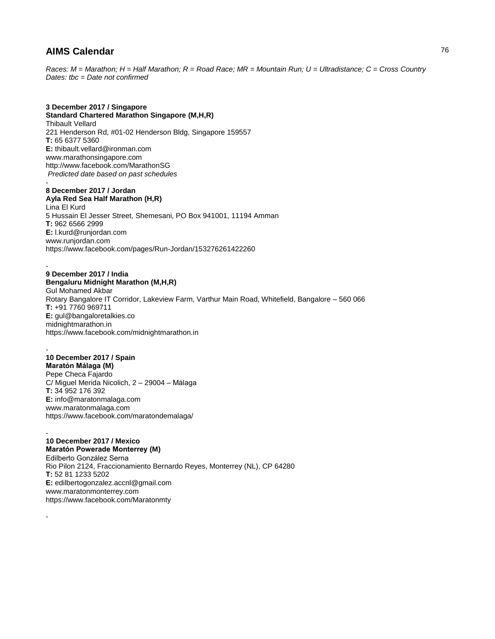*Races: M = Marathon; H = Half Marathon; R = Road Race; MR = Mountain Run; U = Ultradistance; C = Cross Country Dates: tbc = Date not confirmed*

### **3 December 2017 / Singapore**

**Standard Chartered Marathon Singapore (M,H,R)** Thibault Vellard 221 Henderson Rd, #01-02 Henderson Bldg, Singapore 159557 **T:** 65 6377 5360 **E:** thibault.vellard@ironman.com www.marathonsingapore.com http://www.facebook.com/MarathonSG *Predicted date based on past schedules* -

### **8 December 2017 / Jordan**

**Ayla Red Sea Half Marathon (H,R)** Lina El Kurd 5 Hussain El Jesser Street, Shemesani, PO Box 941001, 11194 Amman **T:** 962 6566 2999 **E:** l.kurd@runjordan.com www.runjordan.com https://www.facebook.com/pages/Run-Jordan/153276261422260

### - **9 December 2017 / India**

**Bengaluru Midnight Marathon (M,H,R)** Gul Mohamed Akbar Rotary Bangalore IT Corridor, Lakeview Farm, Varthur Main Road, Whitefield, Bangalore – 560 066 **T:** +91 7760 969711 **E:** gul@bangaloretalkies.co midnightmarathon.in https://www.facebook.com/midnightmarathon.in

#### - **10 December 2017 / Spain Maratón Málaga (M)**

Pepe Checa Fajardo C/ Miguel Merida Nicolich, 2 – 29004 – Málaga **T:** 34 952 176 392 **E:** info@maratonmalaga.com www.maratonmalaga.com https://www.facebook.com/maratondemalaga/

### - **10 December 2017 / Mexico**

-

**Maratón Powerade Monterrey (M)** Edilberto González Serna Rio Pilon 2124, Fraccionamiento Bernardo Reyes, Monterrey (NL), CP 64280 **T:** 52 81 1233 5202 **E:** edilbertogonzalez.accnl@gmail.com www.maratonmonterrey.com https://www.facebook.com/Maratonmty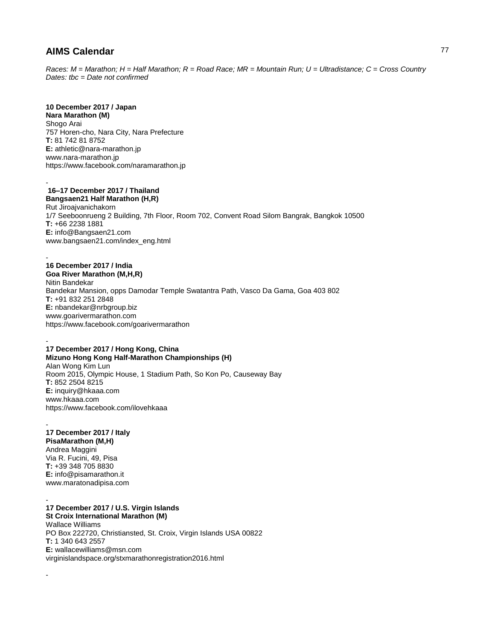*Races: M = Marathon; H = Half Marathon; R = Road Race; MR = Mountain Run; U = Ultradistance; C = Cross Country Dates: tbc = Date not confirmed*

## **10 December 2017 / Japan**

**Nara Marathon (M)** Shogo Arai 757 Horen-cho, Nara City, Nara Prefecture **T:** 81 742 81 8752 **E:** athletic@nara-marathon.jp www.nara-marathon.jp https://www.facebook.com/naramarathon.jp

#### - **16–17 December 2017 / Thailand Bangsaen21 Half Marathon (H,R)**

Rut Jiroajvanichakorn 1/7 Seeboonrueng 2 Building, 7th Floor, Room 702, Convent Road Silom Bangrak, Bangkok 10500 **T:** +66 2238 1881 **E:** info@Bangsaen21.com www.bangsaen21.com/index\_eng.html

#### - **16 December 2017 / India**

**Goa River Marathon (M,H,R)** Nitin Bandekar Bandekar Mansion, opps Damodar Temple Swatantra Path, Vasco Da Gama, Goa 403 802 **T:** +91 832 251 2848 **E:** nbandekar@nrbgroup.biz www.goarivermarathon.com https://www.facebook.com/goarivermarathon

#### - **17 December 2017 / Hong Kong, China**

**Mizuno Hong Kong Half-Marathon Championships (H)** Alan Wong Kim Lun Room 2015, Olympic House, 1 Stadium Path, So Kon Po, Causeway Bay **T:** 852 2504 8215 **E:** inquiry@hkaaa.com www.hkaaa.com https://www.facebook.com/ilovehkaaa

#### - **17 December 2017 / Italy PisaMarathon (M,H)** Andrea Maggini Via R. Fucini, 49, Pisa **T:** +39 348 705 8830 **E:** info@pisamarathon.it www.maratonadipisa.com

-

- **17 December 2017 / U.S. Virgin Islands St Croix International Marathon (M)** Wallace Williams PO Box 222720, Christiansted, St. Croix, Virgin Islands USA 00822 **T:** 1 340 643 2557 **E:** wallacewilliams@msn.com virginislandspace.org/stxmarathonregistration2016.html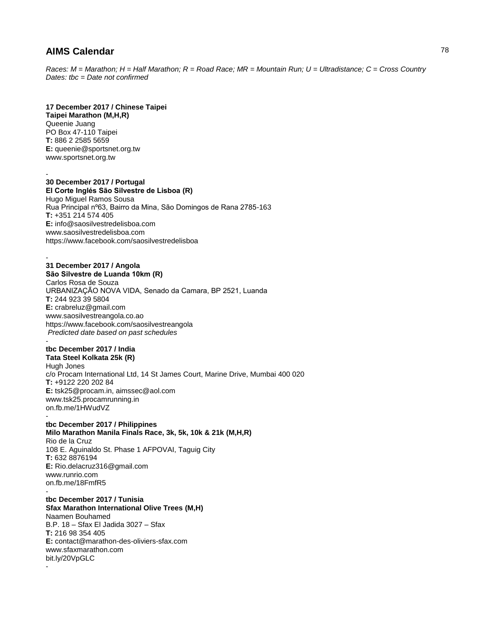*Races: M = Marathon; H = Half Marathon; R = Road Race; MR = Mountain Run; U = Ultradistance; C = Cross Country Dates: tbc = Date not confirmed*

### **17 December 2017 / Chinese Taipei**

**Taipei Marathon (M,H,R)** Queenie Juang PO Box 47-110 Taipei **T:** 886 2 2585 5659 **E:** queenie@sportsnet.org.tw www.sportsnet.org.tw

-

-

-

### **30 December 2017 / Portugal El Corte Inglés São Silvestre de Lisboa (R)**

Hugo Miguel Ramos Sousa Rua Principal nº63, Bairro da Mina, São Domingos de Rana 2785-163 **T:** +351 214 574 405 **E:** info@saosilvestredelisboa.com www.saosilvestredelisboa.com https://www.facebook.com/saosilvestredelisboa

### **31 December 2017 / Angola**

**São Silvestre de Luanda 10km (R)** Carlos Rosa de Souza URBANIZAÇÃO NOVA VIDA, Senado da Camara, BP 2521, Luanda **T:** 244 923 39 5804 **E:** crabreluz@gmail.com www.saosilvestreangola.co.ao https://www.facebook.com/saosilvestreangola *Predicted date based on past schedules* -

### **tbc December 2017 / India**

**Tata Steel Kolkata 25k (R)** Hugh Jones c/o Procam International Ltd, 14 St James Court, Marine Drive, Mumbai 400 020 **T:** +9122 220 202 84 **E:** tsk25@procam.in, aimssec@aol.com www.tsk25.procamrunning.in on.fb.me/1HWudVZ -

**tbc December 2017 / Philippines Milo Marathon Manila Finals Race, 3k, 5k, 10k & 21k (M,H,R)** Rio de la Cruz 108 E. Aguinaldo St. Phase 1 AFPOVAI, Taguig City **T:** 632 8876194 **E:** Rio.delacruz316@gmail.com www.runrio.com on.fb.me/18FmfR5

**tbc December 2017 / Tunisia Sfax Marathon International Olive Trees (M,H)** Naamen Bouhamed B.P. 18 – Sfax El Jadida 3027 – Sfax **T:** 216 98 354 405 **E:** contact@marathon-des-oliviers-sfax.com www.sfaxmarathon.com bit.ly/20VpGLC -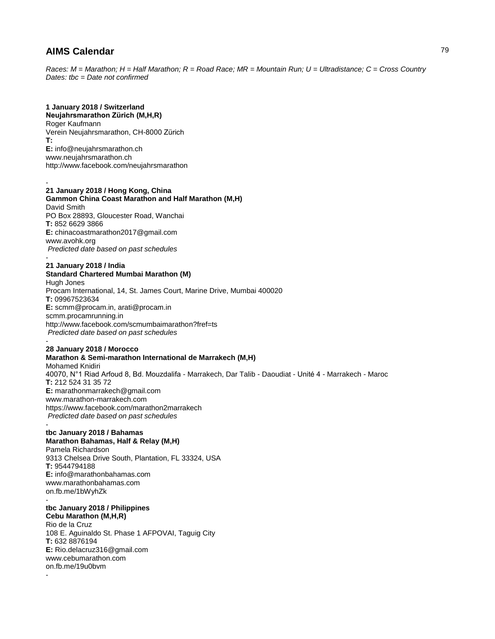*Races: M = Marathon; H = Half Marathon; R = Road Race; MR = Mountain Run; U = Ultradistance; C = Cross Country Dates: tbc = Date not confirmed*

### **1 January 2018 / Switzerland**

**Neujahrsmarathon Zürich (M,H,R)** Roger Kaufmann Verein Neujahrsmarathon, CH-8000 Zürich **T: E:** info@neujahrsmarathon.ch www.neujahrsmarathon.ch http://www.facebook.com/neujahrsmarathon

#### - **21 January 2018 / Hong Kong, China**

**Gammon China Coast Marathon and Half Marathon (M,H)** David Smith PO Box 28893, Gloucester Road, Wanchai **T:** 852 6629 3866 **E:** chinacoastmarathon2017@gmail.com www.avohk.org *Predicted date based on past schedules* -

### **21 January 2018 / India**

# **Standard Chartered Mumbai Marathon (M)**

Hugh Jones Procam International, 14, St. James Court, Marine Drive, Mumbai 400020 **T:** 09967523634 **E:** scmm@procam.in, arati@procam.in scmm.procamrunning.in http://www.facebook.com/scmumbaimarathon?fref=ts *Predicted date based on past schedules* -

### **28 January 2018 / Morocco**

**Marathon & Semi-marathon International de Marrakech (M,H)** Mohamed Knidiri 40070, N°1 Riad Arfoud 8, Bd. Mouzdalifa - Marrakech, Dar Talib - Daoudiat - Unité 4 - Marrakech - Maroc **T:** 212 524 31 35 72 **E:** marathonmarrakech@gmail.com www.marathon-marrakech.com https://www.facebook.com/marathon2marrakech *Predicted date based on past schedules*

#### **tbc January 2018 / Bahamas Marathon Bahamas, Half & Relay (M,H)**

Pamela Richardson 9313 Chelsea Drive South, Plantation, FL 33324, USA **T:** 9544794188 **E:** info@marathonbahamas.com www.marathonbahamas.com on.fb.me/1bWyhZk

### **tbc January 2018 / Philippines**

-

**Cebu Marathon (M,H,R)** Rio de la Cruz 108 E. Aguinaldo St. Phase 1 AFPOVAI, Taguig City **T:** 632 8876194 **E:** Rio.delacruz316@gmail.com www.cebumarathon.com on.fb.me/19u0bvm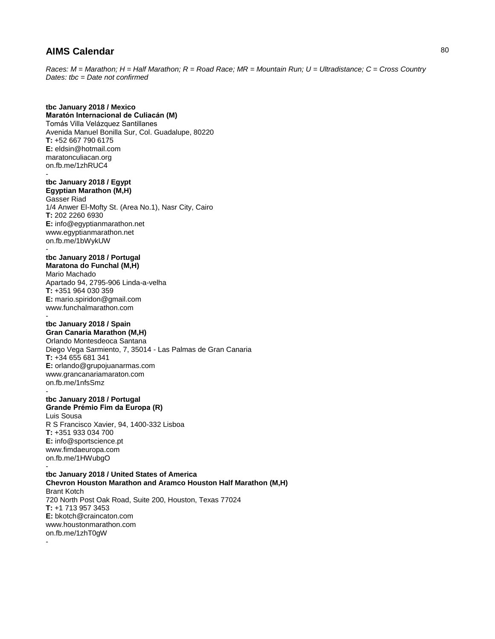*Races: M = Marathon; H = Half Marathon; R = Road Race; MR = Mountain Run; U = Ultradistance; C = Cross Country Dates: tbc = Date not confirmed*

### **tbc January 2018 / Mexico**

**Maratón Internacional de Culiacán (M)** Tomás Villa Velázquez Santillanes Avenida Manuel Bonilla Sur, Col. Guadalupe, 80220 **T:** +52 667 790 6175 **E:** eldsin@hotmail.com maratonculiacan.org on.fb.me/1zhRUC4 -

### **tbc January 2018 / Egypt Egyptian Marathon (M,H)**

Gasser Riad 1/4 Anwer El-Mofty St. (Area No.1), Nasr City, Cairo **T:** 202 2260 6930 **E:** info@egyptianmarathon.net www.egyptianmarathon.net on.fb.me/1bWykUW -

#### **tbc January 2018 / Portugal Maratona do Funchal (M,H)**

Mario Machado Apartado 94, 2795-906 Linda-a-velha **T:** +351 964 030 359 **E:** mario.spiridon@gmail.com www.funchalmarathon.com

### **tbc January 2018 / Spain**

**Gran Canaria Marathon (M,H)** Orlando Montesdeoca Santana Diego Vega Sarmiento, 7, 35014 - Las Palmas de Gran Canaria **T:** +34 655 681 341 **E:** orlando@grupojuanarmas.com www.grancanariamaraton.com on.fb.me/1nfsSmz -

#### **tbc January 2018 / Portugal Grande Prémio Fim da Europa (R)** Luis Sousa

R S Francisco Xavier, 94, 1400-332 Lisboa **T:** +351 933 034 700 **E:** info@sportscience.pt www.fimdaeuropa.com on.fb.me/1HWubgO -

### **tbc January 2018 / United States of America Chevron Houston Marathon and Aramco Houston Half Marathon (M,H)** Brant Kotch 720 North Post Oak Road, Suite 200, Houston, Texas 77024 **T:** +1 713 957 3453 **E:** bkotch@craincaton.com www.houstonmarathon.com on.fb.me/1zhT0gW -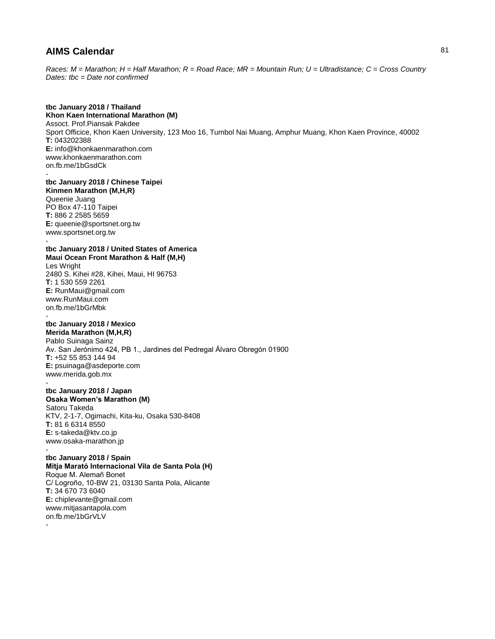*Races: M = Marathon; H = Half Marathon; R = Road Race; MR = Mountain Run; U = Ultradistance; C = Cross Country Dates: tbc = Date not confirmed*

### **tbc January 2018 / Thailand**

**Khon Kaen International Marathon (M)** Assoct. Prof.Piansak Pakdee Sport Officice, Khon Kaen University, 123 Moo 16, Tumbol Nai Muang, Amphur Muang, Khon Kaen Province, 40002 **T:** 043202388 **E:** info@khonkaenmarathon.com www.khonkaenmarathon.com on.fb.me/1bGsdCk -

**tbc January 2018 / Chinese Taipei Kinmen Marathon (M,H,R)** Queenie Juang PO Box 47-110 Taipei **T:** 886 2 2585 5659 **E:** queenie@sportsnet.org.tw www.sportsnet.org.tw

**tbc January 2018 / United States of America Maui Ocean Front Marathon & Half (M,H)** Les Wright 2480 S. Kihei #28, Kihei, Maui, HI 96753 **T:** 1 530 559 2261 **E:** RunMaui@gmail.com www.RunMaui.com on.fb.me/1bGrMbk -

### **tbc January 2018 / Mexico**

-

-

-

**Merida Marathon (M,H,R)** Pablo Suinaga Sainz Av. San Jerónimo 424, PB 1., Jardines del Pedregal Álvaro Obregón 01900 **T:** +52 55 853 144 94 **E:** psuinaga@asdeporte.com www.merida.gob.mx -

#### **tbc January 2018 / Japan Osaka Women's Marathon (M)**

Satoru Takeda KTV, 2-1-7, Ogimachi, Kita-ku, Osaka 530-8408 **T:** 81 6 6314 8550 **E:** s-takeda@ktv.co.jp www.osaka-marathon.jp

### **tbc January 2018 / Spain Mitja Marató Internacional Vila de Santa Pola (H)** Roque M. Alemañ Bonet C/ Logroño, 10-BW 21, 03130 Santa Pola, Alicante **T:** 34 670 73 6040 **E:** chiplevante@gmail.com www.mitjasantapola.com on.fb.me/1bGrVLV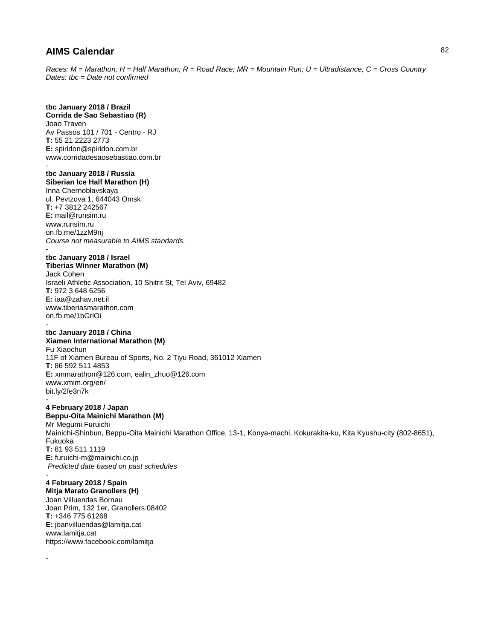*Races: M = Marathon; H = Half Marathon; R = Road Race; MR = Mountain Run; U = Ultradistance; C = Cross Country Dates: tbc = Date not confirmed*

**tbc January 2018 / Brazil Corrida de Sao Sebastiao (R)** Joao Traven Av Passos 101 / 701 - Centro - RJ **T:** 55 21 2223 2773 **E:** spiridon@spiridon.com.br www.corridadesaosebastiao.com.br -

**tbc January 2018 / Russia Siberian Ice Half Marathon (H)** Inna Chernoblavskaya ul. Pevtzova 1, 644043 Omsk **T:** +7 3812 242567 **E:** mail@runsim.ru www.runsim.ru on.fb.me/1zzM9nj *Course not measurable to AIMS standards.* -

### **tbc January 2018 / Israel Tiberias Winner Marathon (M)** Jack Cohen Israeli Athletic Association, 10 Shitrit St, Tel Aviv, 69482 **T:** 972 3 648 6256 **E:** iaa@zahav.net.il www.tiberiasmarathon.com on.fb.me/1bGrlOi -

### **tbc January 2018 / China Xiamen International Marathon (M)**

Fu Xiaochun 11F of Xiamen Bureau of Sports, No. 2 Tiyu Road, 361012 Xiamen **T:** 86 592 511 4853 **E:** xmmarathon@126.com, ealin\_zhuo@126.com www.xmim.org/en/ bit.ly/2fe3n7k -

**4 February 2018 / Japan Beppu-Oita Mainichi Marathon (M)** Mr Megumi Furuichi Mainichi-Shinbun, Beppu-Oita Mainichi Marathon Office, 13-1, Konya-machi, Kokurakita-ku, Kita Kyushu-city (802-8651),

Fukuoka **T:** 81 93 511 1119 **E:** furuichi-m@mainichi.co.jp *Predicted date based on past schedules*

- **4 February 2018 / Spain**

-

**Mitja Marato Granollers (H)** Joan Villuendas Bornau Joan Prim, 132 1er, Granollers 08402 **T:** +346 775 61268 **E:** joanvilluendas@lamitja.cat www.lamitja.cat https://www.facebook.com/lamitja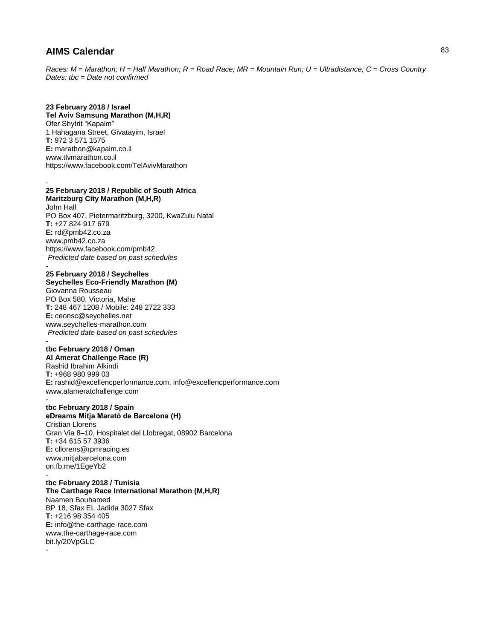-

-

-

*Races: M = Marathon; H = Half Marathon; R = Road Race; MR = Mountain Run; U = Ultradistance; C = Cross Country Dates: tbc = Date not confirmed*

### **23 February 2018 / Israel**

**Tel Aviv Samsung Marathon (M,H,R)** Ofer Shytrit "Kapaim" 1 Hahagana Street, Givatayim, Israel **T:** 972 3 571 1575 **E:** marathon@kapaim.co.il www.tlvmarathon.co.il https://www.facebook.com/TelAvivMarathon

### **25 February 2018 / Republic of South Africa Maritzburg City Marathon (M,H,R)**

John Hall PO Box 407, Pietermaritzburg, 3200, KwaZulu Natal **T:** +27 824 917 679 **E:** rd@pmb42.co.za www.pmb42.co.za https://www.facebook.com/pmb42 *Predicted date based on past schedules* -

#### **25 February 2018 / Seychelles Seychelles Eco-Friendly Marathon (M)**

Giovanna Rousseau PO Box 580, Victoria, Mahe **T:** 248 467 1208 / Mobile: 248 2722 333 **E:** ceonsc@seychelles.net www.seychelles-marathon.com *Predicted date based on past schedules* -

### **tbc February 2018 / Oman**

**Al Amerat Challenge Race (R)** Rashid Ibrahim Alkindi **T:** +968 980 999 03 **E:** rashid@excellencperformance.com, info@excellencperformance.com www.alameratchallenge.com

### **tbc February 2018 / Spain eDreams Mitja Marató de Barcelona (H)**

Cristian Llorens Gran Via 8–10, Hospitalet del Llobregat, 08902 Barcelona **T:** +34 615 57 3936 **E:** cllorens@rpmracing.es www.mitjabarcelona.com on.fb.me/1EgeYb2

#### **tbc February 2018 / Tunisia The Carthage Race International Marathon (M,H,R)** Naamen Bouhamed BP 18, Sfax EL Jadida 3027 Sfax

**T:** +216 98 354 405 **E:** info@the-carthage-race.com www.the-carthage-race.com bit.ly/20VpGLC -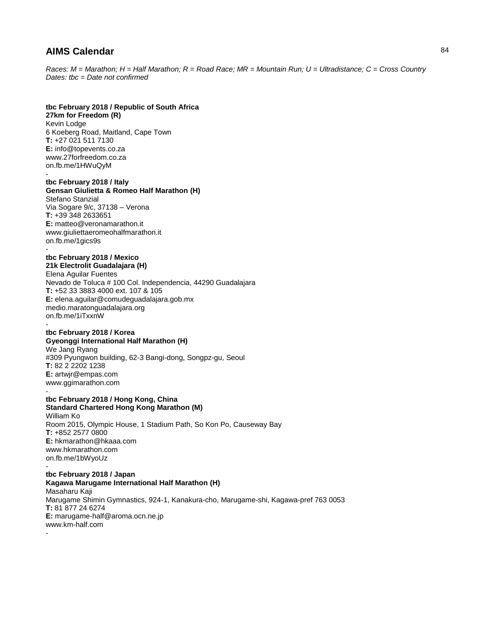*Races: M = Marathon; H = Half Marathon; R = Road Race; MR = Mountain Run; U = Ultradistance; C = Cross Country Dates: tbc = Date not confirmed*

### **tbc February 2018 / Republic of South Africa**

**27km for Freedom (R)** Kevin Lodge 6 Koeberg Road, Maitland, Cape Town **T:** +27 021 511 7130 **E:** info@topevents.co.za www.27forfreedom.co.za on.fb.me/1HWuQyM -

### **tbc February 2018 / Italy Gensan Giulietta & Romeo Half Marathon (H)**

Stefano Stanzial Via Sogare 9/c, 37138 – Verona **T:** +39 348 2633651 **E:** matteo@veronamarathon.it www.giuliettaeromeohalfmarathon.it on.fb.me/1gics9s

#### **tbc February 2018 / Mexico 21k Electrolit Guadalajara (H)**

Elena Aguilar Fuentes Nevado de Toluca # 100 Col. Independencia, 44290 Guadalajara **T:** +52 33 3883 4000 ext. 107 & 105 **E:** elena.aguilar@comudeguadalajara.gob.mx medio.maratonguadalajara.org on.fb.me/1iTxxnW

#### **tbc February 2018 / Korea Gyeonggi International Half Marathon (H)**

We Jang Ryang #309 Pyungwon building, 62-3 Bangi-dong, Songpz-gu, Seoul **T:** 82 2 2202 1238 **E:** artwjr@empas.com www.ggimarathon.com -

### **tbc February 2018 / Hong Kong, China Standard Chartered Hong Kong Marathon (M)**

William Ko Room 2015, Olympic House, 1 Stadium Path, So Kon Po, Causeway Bay **T:** +852 2577 0800 **E:** hkmarathon@hkaaa.com www.hkmarathon.com on.fb.me/1bWyoUz -

### **tbc February 2018 / Japan Kagawa Marugame International Half Marathon (H)** Masaharu Kaji Marugame Shimin Gymnastics, 924-1, Kanakura-cho, Marugame-shi, Kagawa-pref 763 0053 **T:** 81 877 24 6274 **E:** marugame-half@aroma.ocn.ne.jp www.km-half.com -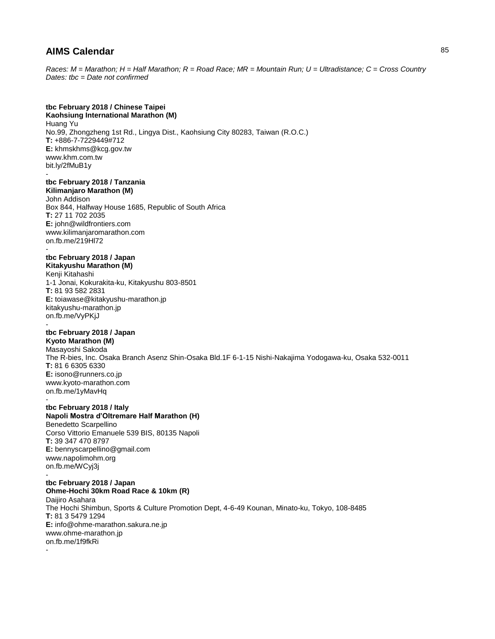*Races: M = Marathon; H = Half Marathon; R = Road Race; MR = Mountain Run; U = Ultradistance; C = Cross Country Dates: tbc = Date not confirmed*

## **tbc February 2018 / Chinese Taipei**

**Kaohsiung International Marathon (M)** Huang Yu No.99, Zhongzheng 1st Rd., Lingya Dist., Kaohsiung City 80283, Taiwan (R.O.C.) **T:** +886-7-7229449#712 **E:** khmskhms@kcg.gov.tw www.khm.com.tw bit.ly/2fMuB1y -

### **tbc February 2018 / Tanzania Kilimanjaro Marathon (M)**

John Addison Box 844, Halfway House 1685, Republic of South Africa **T:** 27 11 702 2035 **E:** john@wildfrontiers.com www.kilimanjaromarathon.com on.fb.me/219Hl72

### **tbc February 2018 / Japan**

**Kitakyushu Marathon (M)** Kenji Kitahashi 1-1 Jonai, Kokurakita-ku, Kitakyushu 803-8501 **T:** 81 93 582 2831 **E:** toiawase@kitakyushu-marathon.jp kitakyushu-marathon.jp on.fb.me/VyPKjJ -

# **tbc February 2018 / Japan**

**Kyoto Marathon (M)** Masayoshi Sakoda The R-bies, Inc. Osaka Branch Asenz Shin-Osaka Bld.1F 6-1-15 Nishi-Nakajima Yodogawa-ku, Osaka 532-0011 **T:** 81 6 6305 6330 **E:** isono@runners.co.jp www.kyoto-marathon.com on.fb.me/1yMavHq -

### **tbc February 2018 / Italy**

-

#### **Napoli Mostra d'Oltremare Half Marathon (H)** Benedetto Scarpellino

Corso Vittorio Emanuele 539 BIS, 80135 Napoli **T:** 39 347 470 8797 **E:** bennyscarpellino@gmail.com www.napolimohm.org on.fb.me/WCyj3j

**tbc February 2018 / Japan Ohme-Hochi 30km Road Race & 10km (R)** Daijiro Asahara The Hochi Shimbun, Sports & Culture Promotion Dept, 4-6-49 Kounan, Minato-ku, Tokyo, 108-8485 **T:** 81 3 5479 1294 **E:** info@ohme-marathon.sakura.ne.jp www.ohme-marathon.jp on.fb.me/1f9fkRi -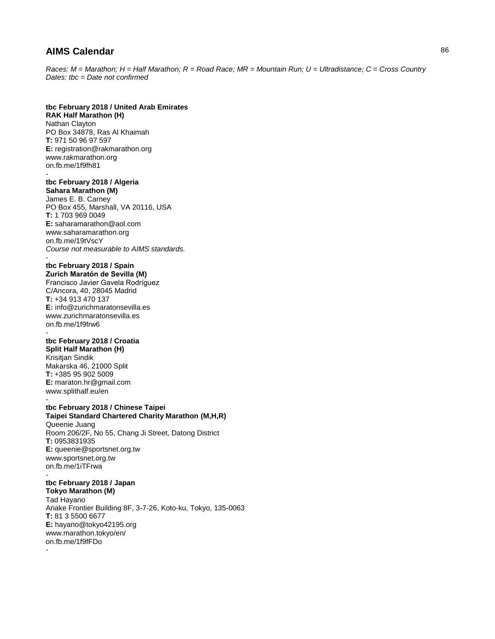*Races: M = Marathon; H = Half Marathon; R = Road Race; MR = Mountain Run; U = Ultradistance; C = Cross Country Dates: tbc = Date not confirmed*

### **tbc February 2018 / United Arab Emirates**

**RAK Half Marathon (H)** Nathan Clayton PO Box 34878, Ras Al Khaimah **T:** 971 50 96 97 597 **E:** registration@rakmarathon.org www.rakmarathon.org on.fb.me/1f9fh81 -

## **tbc February 2018 / Algeria**

**Sahara Marathon (M)** James E. B. Carney PO Box 455, Marshall, VA 20116, USA **T:** 1 703 969 0049 **E:** saharamarathon@aol.com www.saharamarathon.org on.fb.me/19tVscY *Course not measurable to AIMS standards.* -

### **tbc February 2018 / Spain**

**Zurich Maratón de Sevilla (M)** Francisco Javier Gavela Rodríguez C/Ancora, 40, 28045 Madrid **T:** +34 913 470 137 **E:** info@zurichmaratonsevilla.es www.zurichmaratonsevilla.es on.fb.me/1f9frw6

#### **tbc February 2018 / Croatia Split Half Marathon (H)**

-

-

Krisitjan Sindik Makarska 46, 21000 Split **T:** +385 95 902 5009 **E:** maraton.hr@gmail.com www.splithalf.eu/en -

### **tbc February 2018 / Chinese Taipei Taipei Standard Chartered Charity Marathon (M,H,R)**

Queenie Juang Room 206/2F, No 55, Chang Ji Street, Datong District **T:** 0953831935 **E:** queenie@sportsnet.org.tw www.sportsnet.org.tw on.fb.me/1iTFrwa

## **tbc February 2018 / Japan**

**Tokyo Marathon (M)** Tad Hayano Ariake Frontier Building 8F, 3-7-26, Koto-ku, Tokyo, 135-0063 **T:** 81 3 5500 6677 **E:** hayano@tokyo42195.org www.marathon.tokyo/en/ on.fb.me/1f9fFDo -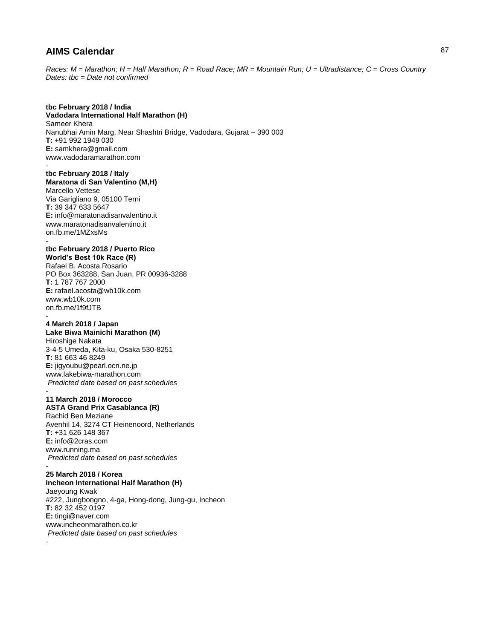*Races: M = Marathon; H = Half Marathon; R = Road Race; MR = Mountain Run; U = Ultradistance; C = Cross Country Dates: tbc = Date not confirmed*

**tbc February 2018 / India Vadodara International Half Marathon (H)** Sameer Khera Nanubhai Amin Marg, Near Shashtri Bridge, Vadodara, Gujarat – 390 003 **T:** +91 992 1949 030 **E:** samkhera@gmail.com www.vadodaramarathon.com -

**tbc February 2018 / Italy Maratona di San Valentino (M,H)** Marcello Vettese Via Garigliano 9, 05100 Terni **T:** 39 347 633 5647 **E:** info@maratonadisanvalentino.it www.maratonadisanvalentino.it on.fb.me/1MZxsMs -

#### **tbc February 2018 / Puerto Rico World's Best 10k Race (R)**

Rafael B. Acosta Rosario PO Box 363288, San Juan, PR 00936-3288 **T:** 1 787 767 2000 **E:** rafael.acosta@wb10k.com www.wb10k.com on.fb.me/1f9fJTB -

### **4 March 2018 / Japan**

**Lake Biwa Mainichi Marathon (M)** Hiroshige Nakata 3-4-5 Umeda, Kita-ku, Osaka 530-8251

**T:** 81 663 46 8249 **E:** jigyoubu@pearl.ocn.ne.jp www.lakebiwa-marathon.com *Predicted date based on past schedules*

#### - **11 March 2018 / Morocco ASTA Grand Prix Casablanca (R)**

Rachid Ben Meziane Avenhil 14, 3274 CT Heinenoord, Netherlands **T:** +31 626 148 367 **E:** info@2cras.com www.running.ma *Predicted date based on past schedules* -

### **25 March 2018 / Korea**

**Incheon International Half Marathon (H)** Jaeyoung Kwak #222, Jungbongno, 4-ga, Hong-dong, Jung-gu, Incheon **T:** 82 32 452 0197 **E:** tingi@naver.com www.incheonmarathon.co.kr *Predicted date based on past schedules* -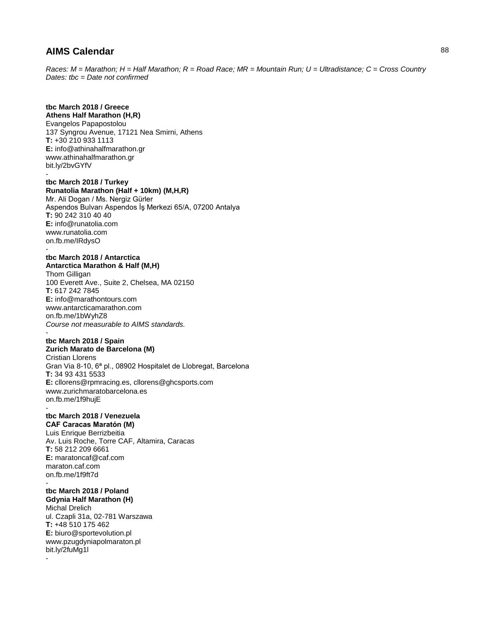*Races: M = Marathon; H = Half Marathon; R = Road Race; MR = Mountain Run; U = Ultradistance; C = Cross Country Dates: tbc = Date not confirmed*

# **tbc March 2018 / Greece**

**Athens Half Marathon (H,R)** Evangelos Papapostolou 137 Syngrou Avenue, 17121 Nea Smirni, Athens **T:** +30 210 933 1113 **E:** info@athinahalfmarathon.gr www.athinahalfmarathon.gr bit.ly/2bvGYfV -

### **tbc March 2018 / Turkey Runatolia Marathon (Half + 10km) (M,H,R)**

Mr. Ali Dogan / Ms. Nergiz Gürler Aspendos Bulvarı Aspendos İş Merkezi 65/A, 07200 Antalya **T:** 90 242 310 40 40 **E:** info@runatolia.com www.runatolia.com on.fb.me/IRdysO

### **tbc March 2018 / Antarctica Antarctica Marathon & Half (M,H)**

-

Thom Gilligan 100 Everett Ave., Suite 2, Chelsea, MA 02150 **T:** 617 242 7845 **E:** info@marathontours.com www.antarcticamarathon.com on.fb.me/1bWyhZ8 *Course not measurable to AIMS standards.*

#### **tbc March 2018 / Spain**

**Zurich Marato de Barcelona (M)** Cristian Llorens Gran Via 8-10, 6ª pl., 08902 Hospitalet de Llobregat, Barcelona **T:** 34 93 431 5533 **E:** cllorens@rpmracing.es, cllorens@ghcsports.com www.zurichmaratobarcelona.es on.fb.me/1f9hujE

### **tbc March 2018 / Venezuela**

**CAF Caracas Maratón (M)** Luis Enrique Berrizbeitia Av. Luis Roche, Torre CAF, Altamira, Caracas **T:** 58 212 209 6661 **E:** maratoncaf@caf.com maraton.caf.com on.fb.me/1f9ft7d -

# **tbc March 2018 / Poland**

**Gdynia Half Marathon (H)** Michal Drelich ul. Czapli 31a, 02-781 Warszawa **T:** +48 510 175 462 **E:** biuro@sportevolution.pl www.pzugdyniapolmaraton.pl bit.ly/2fuMg1l

-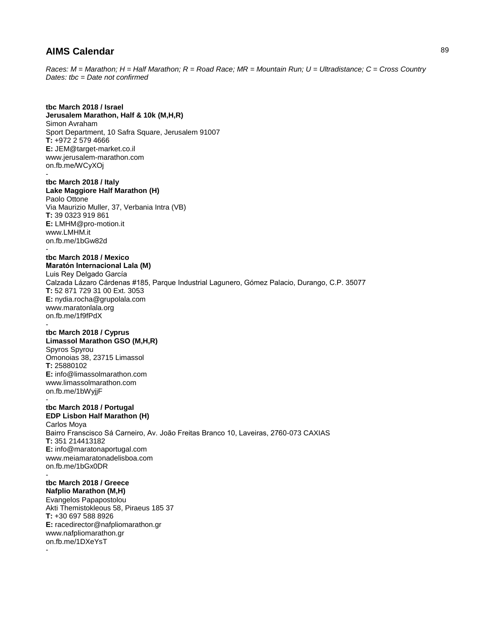*Races: M = Marathon; H = Half Marathon; R = Road Race; MR = Mountain Run; U = Ultradistance; C = Cross Country Dates: tbc = Date not confirmed*

### **tbc March 2018 / Israel**

**Jerusalem Marathon, Half & 10k (M,H,R)** Simon Avraham Sport Department, 10 Safra Square, Jerusalem 91007 **T:** +972 2 579 4666 **E:** JEM@target-market.co.il www.jerusalem-marathon.com on.fb.me/WCyXOj -

#### **tbc March 2018 / Italy Lake Maggiore Half Marathon (H)** Paolo Ottone

Via Maurizio Muller, 37, Verbania Intra (VB) **T:** 39 0323 919 861 **E:** LMHM@pro-motion.it www.LMHM.it on.fb.me/1bGw82d -

# **tbc March 2018 / Mexico**

**Maratón Internacional Lala (M)** Luis Rey Delgado García Calzada Lázaro Cárdenas #185, Parque Industrial Lagunero, Gómez Palacio, Durango, C.P. 35077 **T:** 52 871 729 31 00 Ext. 3053 **E:** nydia.rocha@grupolala.com www.maratonlala.org on.fb.me/1f9fPdX -

#### **tbc March 2018 / Cyprus Limassol Marathon GSO (M,H,R)**

Spyros Spyrou Omonoias 38, 23715 Limassol **T:** 25880102 **E:** info@limassolmarathon.com www.limassolmarathon.com on.fb.me/1bWyjjF

### **tbc March 2018 / Portugal EDP Lisbon Half Marathon (H)**

-

-

Carlos Moya Bairro Franscisco Sá Carneiro, Av. João Freitas Branco 10, Laveiras, 2760-073 CAXIAS **T:** 351 214413182 **E:** info@maratonaportugal.com www.meiamaratonadelisboa.com on.fb.me/1bGx0DR

## **tbc March 2018 / Greece**

**Nafplio Marathon (M,H)** Evangelos Papapostolou Akti Themistokleous 58, Piraeus 185 37 **T:** +30 697 588 8926 **E:** racedirector@nafpliomarathon.gr www.nafpliomarathon.gr on.fb.me/1DXeYsT -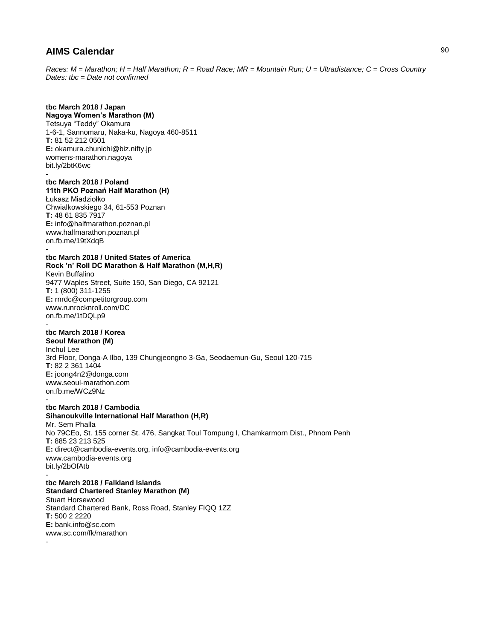*Races: M = Marathon; H = Half Marathon; R = Road Race; MR = Mountain Run; U = Ultradistance; C = Cross Country Dates: tbc = Date not confirmed*

### **tbc March 2018 / Japan Nagoya Women's Marathon (M)** Tetsuya "Teddy" Okamura 1-6-1, Sannomaru, Naka-ku, Nagoya 460-8511 **T:** 81 52 212 0501 **E:** okamura.chunichi@biz.nifty.jp womens-marathon.nagoya bit.ly/2btK6wc

#### **tbc March 2018 / Poland 11th PKO Poznań Half Marathon (H)** Łukasz Miadziołko Chwialkowskiego 34, 61-553 Poznan **T:** 48 61 835 7917 **E:** info@halfmarathon.poznan.pl

www.halfmarathon.poznan.pl on.fb.me/19tXdqB -

#### **tbc March 2018 / United States of America Rock 'n' Roll DC Marathon & Half Marathon (M,H,R)** Kevin Buffalino 9477 Waples Street, Suite 150, San Diego, CA 92121 **T:** 1 (800) 311-1255 **E:** rnrdc@competitorgroup.com www.runrocknroll.com/DC on.fb.me/1tDQLp9

### **tbc March 2018 / Korea**

**Seoul Marathon (M)** Inchul Lee 3rd Floor, Donga-A Ilbo, 139 Chungjeongno 3-Ga, Seodaemun-Gu, Seoul 120-715 **T:** 82 2 361 1404 **E:** joong4n2@donga.com www.seoul-marathon.com on.fb.me/WCz9Nz -

### **tbc March 2018 / Cambodia**

**Sihanoukville International Half Marathon (H,R)** Mr. Sem Phalla No 79CEo, St. 155 corner St. 476, Sangkat Toul Tompung I, Chamkarmorn Dist., Phnom Penh **T:** 885 23 213 525 **E:** direct@cambodia-events.org, info@cambodia-events.org www.cambodia-events.org bit.ly/2bOfAtb -

### **tbc March 2018 / Falkland Islands Standard Chartered Stanley Marathon (M)** Stuart Horsewood Standard Chartered Bank, Ross Road, Stanley FIQQ 1ZZ **T:** 500 2 2220 **E:** bank.info@sc.com www.sc.com/fk/marathon -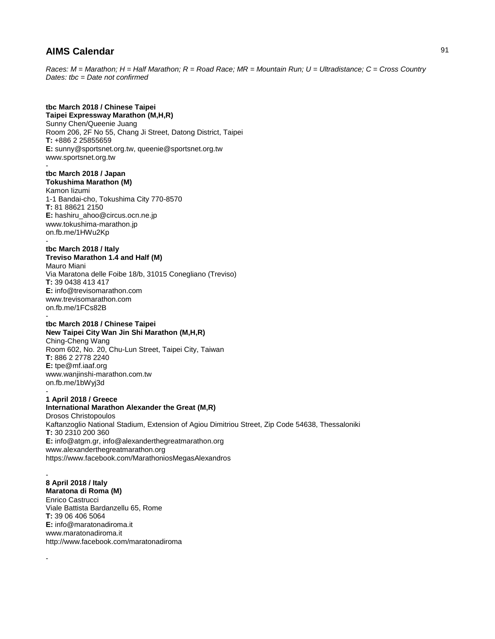*Races: M = Marathon; H = Half Marathon; R = Road Race; MR = Mountain Run; U = Ultradistance; C = Cross Country Dates: tbc = Date not confirmed*

# **tbc March 2018 / Chinese Taipei**

**Taipei Expressway Marathon (M,H,R)** Sunny Chen/Queenie Juang Room 206, 2F No 55, Chang Ji Street, Datong District, Taipei **T:** +886 2 25855659 **E:** sunny@sportsnet.org.tw, queenie@sportsnet.org.tw www.sportsnet.org.tw -

### **tbc March 2018 / Japan Tokushima Marathon (M)**

Kamon Iizumi 1-1 Bandai-cho, Tokushima City 770-8570 **T:** 81 88621 2150 **E:** hashiru\_ahoo@circus.ocn.ne.jp www.tokushima-marathon.jp on.fb.me/1HWu2Kp -

### **tbc March 2018 / Italy**

**Treviso Marathon 1.4 and Half (M)** Mauro Miani Via Maratona delle Foibe 18/b, 31015 Conegliano (Treviso) **T:** 39 0438 413 417 **E:** info@trevisomarathon.com www.trevisomarathon.com on.fb.me/1FCs82B

#### **tbc March 2018 / Chinese Taipei New Taipei City Wan Jin Shi Marathon (M,H,R)**

Ching-Cheng Wang Room 602, No. 20, Chu-Lun Street, Taipei City, Taiwan **T:** 886 2 2778 2240 **E:** tpe@mf.iaaf.org www.wanjinshi-marathon.com.tw on.fb.me/1bWyj3d -

# **1 April 2018 / Greece**

-

-

**International Marathon Alexander the Great (M,R)** Drosos Christopoulos Kaftanzoglio National Stadium, Extension of Agiou Dimitriou Street, Zip Code 54638, Thessaloniki **T:** 30 2310 200 360 **E:** info@atgm.gr, info@alexanderthegreatmarathon.org www.alexanderthegreatmarathon.org https://www.facebook.com/MarathoniosMegasAlexandros

**8 April 2018 / Italy Maratona di Roma (M)** Enrico Castrucci Viale Battista Bardanzellu 65, Rome **T:** 39 06 406 5064 **E:** info@maratonadiroma.it www.maratonadiroma.it http://www.facebook.com/maratonadiroma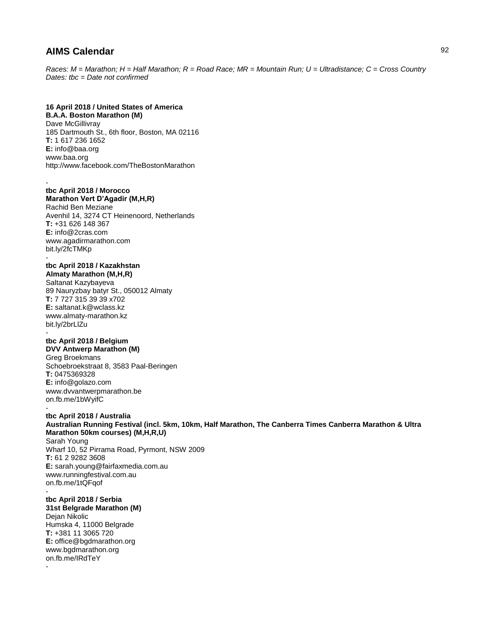*Races: M = Marathon; H = Half Marathon; R = Road Race; MR = Mountain Run; U = Ultradistance; C = Cross Country Dates: tbc = Date not confirmed*

### **16 April 2018 / United States of America**

**B.A.A. Boston Marathon (M)** Dave McGillivray 185 Dartmouth St., 6th floor, Boston, MA 02116 **T:** 1 617 236 1652 **E:** info@baa.org www.baa.org http://www.facebook.com/TheBostonMarathon

#### **tbc April 2018 / Morocco**

**Marathon Vert D'Agadir (M,H,R)** Rachid Ben Meziane Avenhil 14, 3274 CT Heinenoord, Netherlands **T:** +31 626 148 367 **E:** info@2cras.com www.agadirmarathon.com bit.ly/2fcTMKp -

## **tbc April 2018 / Kazakhstan**

**Almaty Marathon (M,H,R)** Saltanat Kazybayeva 89 Nauryzbay batyr St., 050012 Almaty **T:** 7 727 315 39 39 x702 **E:** saltanat.k@wclass.kz www.almaty-marathon.kz bit.ly/2brLlZu -

#### **tbc April 2018 / Belgium DVV Antwerp Marathon (M)**

Greg Broekmans Schoebroekstraat 8, 3583 Paal-Beringen **T:** 0475369328 **E:** info@golazo.com www.dvvantwerpmarathon.be on.fb.me/1bWyifC -

### **tbc April 2018 / Australia Australian Running Festival (incl. 5km, 10km, Half Marathon, The Canberra Times Canberra Marathon & Ultra Marathon 50km courses) (M,H,R,U)** Sarah Young Wharf 10, 52 Pirrama Road, Pyrmont, NSW 2009 **T:** 61 2 9282 3608 **E:** sarah.young@fairfaxmedia.com.au

www.runningfestival.com.au on.fb.me/1tQFqof

#### **tbc April 2018 / Serbia 31st Belgrade Marathon (M)**

Dejan Nikolic Humska 4, 11000 Belgrade **T:** +381 11 3065 720 **E:** office@bgdmarathon.org www.bgdmarathon.org on.fb.me/IRdTeY -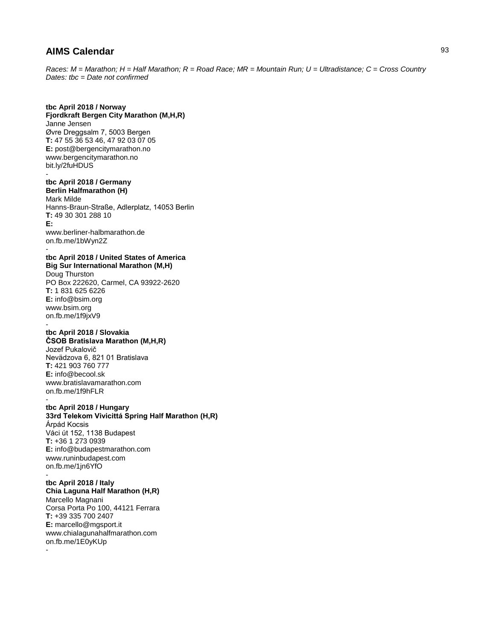*Races: M = Marathon; H = Half Marathon; R = Road Race; MR = Mountain Run; U = Ultradistance; C = Cross Country Dates: tbc = Date not confirmed*

### **tbc April 2018 / Norway**

**Fjordkraft Bergen City Marathon (M,H,R)** Janne Jensen Øvre Dreggsalm 7, 5003 Bergen **T:** 47 55 36 53 46, 47 92 03 07 05 **E:** post@bergencitymarathon.no www.bergencitymarathon.no bit.ly/2fuHDUS

## **tbc April 2018 / Germany**

-

**Berlin Halfmarathon (H)** Mark Milde Hanns-Braun-Straße, Adlerplatz, 14053 Berlin **T:** 49 30 301 288 10 **E:** www.berliner-halbmarathon.de on.fb.me/1bWyn2Z

### **tbc April 2018 / United States of America Big Sur International Marathon (M,H)**

Doug Thurston PO Box 222620, Carmel, CA 93922-2620 **T:** 1 831 625 6226 **E:** info@bsim.org www.bsim.org on.fb.me/1f9jxV9

#### **tbc April 2018 / Slovakia ČSOB Bratislava Marathon (M,H,R)**

Jozef Pukalovič Nevädzova 6, 821 01 Bratislava **T:** 421 903 760 777 **E:** info@becool.sk www.bratislavamarathon.com on.fb.me/1f9hFLR

#### **tbc April 2018 / Hungary**

**33rd Telekom Vivicittá Spring Half Marathon (H,R)** Árpád Kocsis Váci út 152, 1138 Budapest **T:** +36 1 273 0939 **E:** info@budapestmarathon.com www.runinbudapest.com on.fb.me/1jn6YfO

### **tbc April 2018 / Italy**

**Chia Laguna Half Marathon (H,R)** Marcello Magnani Corsa Porta Po 100, 44121 Ferrara **T:** +39 335 700 2407 **E:** marcello@mgsport.it www.chialagunahalfmarathon.com on.fb.me/1E0yKUp -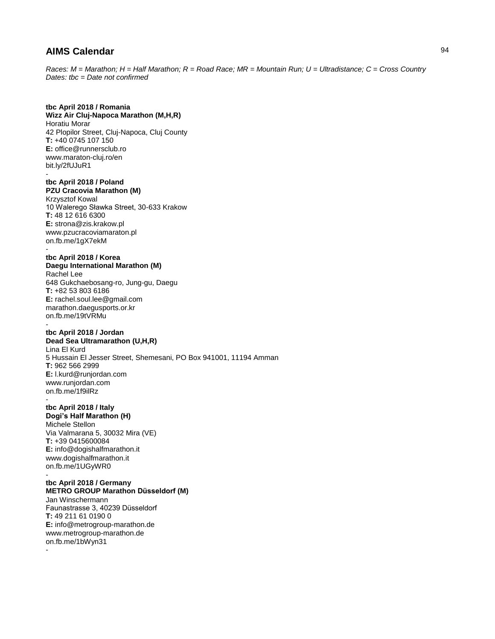*Races: M = Marathon; H = Half Marathon; R = Road Race; MR = Mountain Run; U = Ultradistance; C = Cross Country Dates: tbc = Date not confirmed*

### **tbc April 2018 / Romania**

**Wizz Air Cluj-Napoca Marathon (M,H,R)** Horatiu Morar 42 Plopilor Street, Cluj-Napoca, Cluj County **T:** +40 0745 107 150 **E:** office@runnersclub.ro www.maraton-cluj.ro/en bit.ly/2fUJuR1 -

### **tbc April 2018 / Poland PZU Cracovia Marathon (M)**

Krzysztof Kowal 10 Walerego Sławka Street, 30-633 Krakow **T:** 48 12 616 6300 **E:** strona@zis.krakow.pl www.pzucracoviamaraton.pl on.fb.me/1gX7ekM -

#### **tbc April 2018 / Korea Daegu International Marathon (M)**

Rachel Lee 648 Gukchaebosang-ro, Jung-gu, Daegu **T:** +82 53 803 6186 **E:** rachel.soul.lee@gmail.com marathon.daegusports.or.kr on.fb.me/19tVRMu

#### **tbc April 2018 / Jordan Dead Sea Ultramarathon (U,H,R)**

Lina El Kurd 5 Hussain El Jesser Street, Shemesani, PO Box 941001, 11194 Amman **T:** 962 566 2999 **E:** l.kurd@runjordan.com www.runjordan.com on.fb.me/1f9ilRz -

### **tbc April 2018 / Italy**

**Dogi's Half Marathon (H)** Michele Stellon Via Valmarana 5, 30032 Mira (VE) **T:** +39 0415600084 **E:** info@dogishalfmarathon.it www.dogishalfmarathon.it on.fb.me/1UGyWR0

### **tbc April 2018 / Germany**

**METRO GROUP Marathon Düsseldorf (M)** Jan Winschermann Faunastrasse 3, 40239 Düsseldorf **T:** 49 211 61 0190 0 **E:** info@metrogroup-marathon.de www.metrogroup-marathon.de on.fb.me/1bWyn31 -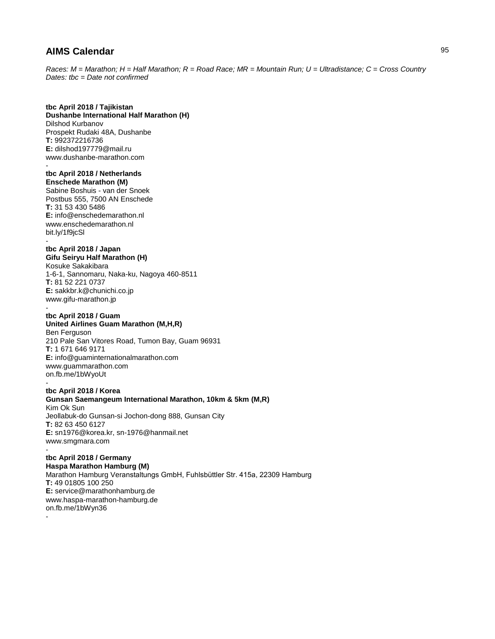*Races: M = Marathon; H = Half Marathon; R = Road Race; MR = Mountain Run; U = Ultradistance; C = Cross Country Dates: tbc = Date not confirmed*

### **tbc April 2018 / Tajikistan**

**Dushanbe International Half Marathon (H)** Dilshod Kurbanov Prospekt Rudaki 48A, Dushanbe **T:** 992372216736 **E:** dilshod197779@mail.ru www.dushanbe-marathon.com -

### **tbc April 2018 / Netherlands**

**Enschede Marathon (M)** Sabine Boshuis - van der Snoek Postbus 555, 7500 AN Enschede **T:** 31 53 430 5486 **E:** info@enschedemarathon.nl www.enschedemarathon.nl bit.ly/1f9jcSl -

## **tbc April 2018 / Japan**

**Gifu Seiryu Half Marathon (H)** Kosuke Sakakibara 1-6-1, Sannomaru, Naka-ku, Nagoya 460-8511 **T:** 81 52 221 0737 **E:** sakkbr.k@chunichi.co.jp www.gifu-marathon.jp

### **tbc April 2018 / Guam**

-

-

**United Airlines Guam Marathon (M,H,R)** Ben Ferguson 210 Pale San Vitores Road, Tumon Bay, Guam 96931 **T:** 1 671 646 9171 **E:** info@guaminternationalmarathon.com www.guammarathon.com on.fb.me/1bWyoUt -

### **tbc April 2018 / Korea Gunsan Saemangeum International Marathon, 10km & 5km (M,R)** Kim Ok Sun Jeollabuk-do Gunsan-si Jochon-dong 888, Gunsan City

**T:** 82 63 450 6127 **E:** sn1976@korea.kr, sn-1976@hanmail.net www.smgmara.com

### **tbc April 2018 / Germany**

**Haspa Marathon Hamburg (M)** Marathon Hamburg Veranstaltungs GmbH, Fuhlsbüttler Str. 415a, 22309 Hamburg **T:** 49 01805 100 250 **E:** service@marathonhamburg.de www.haspa-marathon-hamburg.de on.fb.me/1bWyn36 -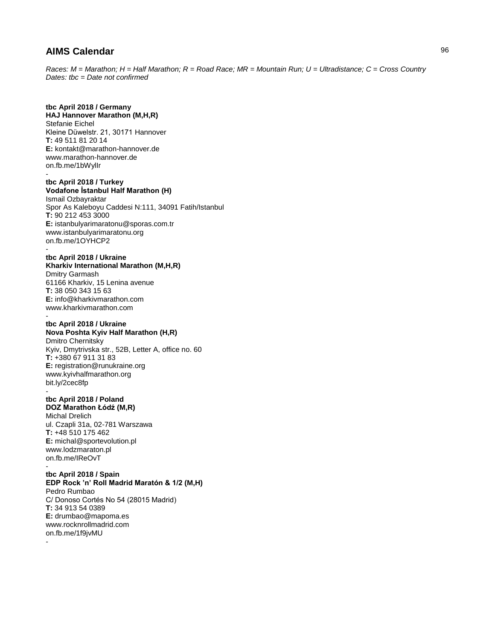*Races: M = Marathon; H = Half Marathon; R = Road Race; MR = Mountain Run; U = Ultradistance; C = Cross Country Dates: tbc = Date not confirmed*

## **tbc April 2018 / Germany**

**HAJ Hannover Marathon (M,H,R)** Stefanie Eichel Kleine Düwelstr. 21, 30171 Hannover **T:** 49 511 81 20 14 **E:** kontakt@marathon-hannover.de www.marathon-hannover.de on.fb.me/1bWylIr -

### **tbc April 2018 / Turkey Vodafone İstanbul Half Marathon (H)**

Ismail Ozbayraktar Spor As Kaleboyu Caddesi N:111, 34091 Fatih/Istanbul **T:** 90 212 453 3000 **E:** istanbulyarimaratonu@sporas.com.tr www.istanbulyarimaratonu.org on.fb.me/1OYHCP2

### **tbc April 2018 / Ukraine**

**Kharkiv International Marathon (M,H,R)** Dmitry Garmash 61166 Kharkiv, 15 Lenina avenue **T:** 38 050 343 15 63 **E:** info@kharkivmarathon.com www.kharkivmarathon.com

### **tbc April 2018 / Ukraine**

# **Nova Poshta Kyiv Half Marathon (H,R)**

Dmitro Chernitsky Kyiv, Dmytrivska str., 52B, Letter A, office no. 60 **T:** +380 67 911 31 83 **E:** registration@runukraine.org www.kyivhalfmarathon.org bit.ly/2cec8fp -

### **tbc April 2018 / Poland DOZ Marathon Łódź (M,R)**

Michal Drelich ul. Czapli 31a, 02-781 Warszawa **T:** +48 510 175 462 **E:** michal@sportevolution.pl www.lodzmaraton.pl on.fb.me/IReOvT

#### **tbc April 2018 / Spain**

**EDP Rock 'n' Roll Madrid Maratón & 1/2 (M,H)** Pedro Rumbao C/ Donoso Cortés No 54 (28015 Madrid) **T:** 34 913 54 0389 **E:** drumbao@mapoma.es www.rocknrollmadrid.com on.fb.me/1f9jvMU -

96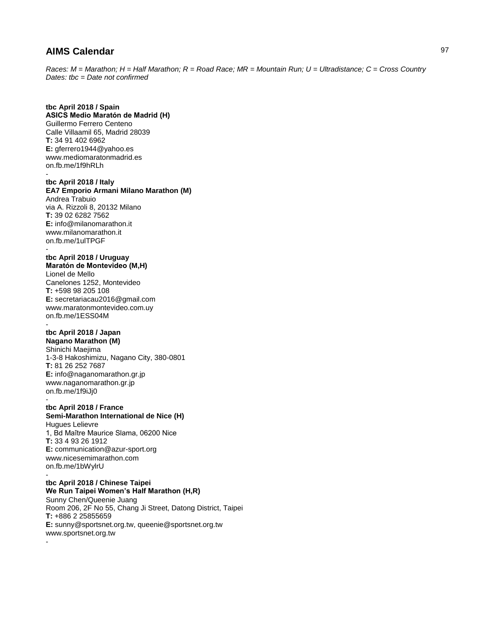*Races: M = Marathon; H = Half Marathon; R = Road Race; MR = Mountain Run; U = Ultradistance; C = Cross Country Dates: tbc = Date not confirmed*

#### **tbc April 2018 / Spain ASICS Medio Maratón de Madrid (H)** Guillermo Ferrero Centeno

Calle Villaamil 65, Madrid 28039 **T:** 34 91 402 6962 **E:** gferrero1944@yahoo.es www.mediomaratonmadrid.es on.fb.me/1f9hRLh -

# **tbc April 2018 / Italy**

**EA7 Emporio Armani Milano Marathon (M)** Andrea Trabuio via A. Rizzoli 8, 20132 Milano **T:** 39 02 6282 7562 **E:** info@milanomarathon.it www.milanomarathon.it on.fb.me/1ulTPGF

# **tbc April 2018 / Uruguay**

-

**Maratón de Montevideo (M,H)** Lionel de Mello Canelones 1252, Montevideo **T:** +598 98 205 108 **E:** secretariacau2016@gmail.com www.maratonmontevideo.com.uy on.fb.me/1ESS04M

#### **tbc April 2018 / Japan Nagano Marathon (M)**

Shinichi Maejima 1-3-8 Hakoshimizu, Nagano City, 380-0801 **T:** 81 26 252 7687 **E:** info@naganomarathon.gr.jp www.naganomarathon.gr.jp on.fb.me/1f9iJj0

#### **tbc April 2018 / France**

### **Semi-Marathon International de Nice (H)** Hugues Lelievre 1, Bd Maître Maurice Slama, 06200 Nice **T:** 33 4 93 26 1912 **E:** communication@azur-sport.org www.nicesemimarathon.com

on.fb.me/1bWylrU

#### **tbc April 2018 / Chinese Taipei We Run Taipei Women's Half Marathon (H,R)**

Sunny Chen/Queenie Juang Room 206, 2F No 55, Chang Ji Street, Datong District, Taipei **T:** +886 2 25855659 **E:** sunny@sportsnet.org.tw, queenie@sportsnet.org.tw www.sportsnet.org.tw -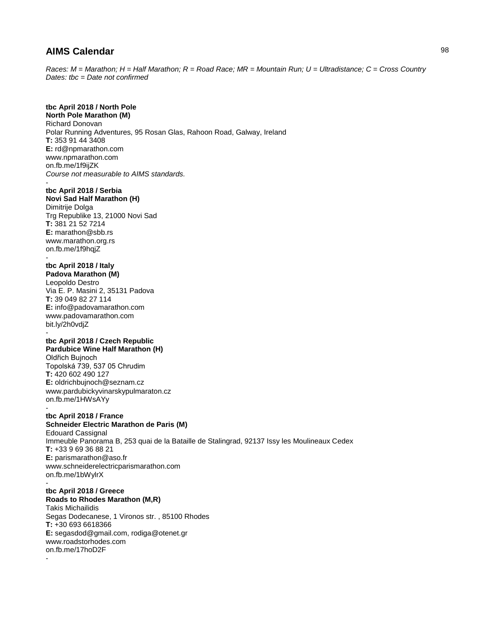*Races: M = Marathon; H = Half Marathon; R = Road Race; MR = Mountain Run; U = Ultradistance; C = Cross Country Dates: tbc = Date not confirmed*

## **tbc April 2018 / North Pole**

**North Pole Marathon (M)** Richard Donovan Polar Running Adventures, 95 Rosan Glas, Rahoon Road, Galway, Ireland **T:** 353 91 44 3408 **E:** rd@npmarathon.com www.npmarathon.com on.fb.me/1f9ijZK *Course not measurable to AIMS standards.* -

## **tbc April 2018 / Serbia**

**Novi Sad Half Marathon (H)** Dimitrije Dolga Trg Republike 13, 21000 Novi Sad **T:** 381 21 52 7214 **E:** marathon@sbb.rs www.marathon.org.rs on.fb.me/1f9hqjZ -

### **tbc April 2018 / Italy**

**Padova Marathon (M)** Leopoldo Destro Via E. P. Masini 2, 35131 Padova **T:** 39 049 82 27 114 **E:** info@padovamarathon.com www.padovamarathon.com bit.ly/2h0vdjZ -

#### **tbc April 2018 / Czech Republic Pardubice Wine Half Marathon (H)**

Oldřich Bujnoch Topolská 739, 537 05 Chrudim **T:** 420 602 490 127 **E:** oldrichbujnoch@seznam.cz www.pardubickyvinarskypulmaraton.cz on.fb.me/1HWsAYy

### **tbc April 2018 / France**

**Schneider Electric Marathon de Paris (M)** Edouard Cassignal Immeuble Panorama B, 253 quai de la Bataille de Stalingrad, 92137 Issy les Moulineaux Cedex **T:** +33 9 69 36 88 21 **E:** parismarathon@aso.fr www.schneiderelectricparismarathon.com on.fb.me/1bWylrX -

## **tbc April 2018 / Greece**

**Roads to Rhodes Marathon (M,R)** Takis Michailidis Segas Dodecanese, 1 Vironos str. , 85100 Rhodes **T:** +30 693 6618366 **E:** segasdod@gmail.com, rodiga@otenet.gr www.roadstorhodes.com on.fb.me/17hoD2F

-

-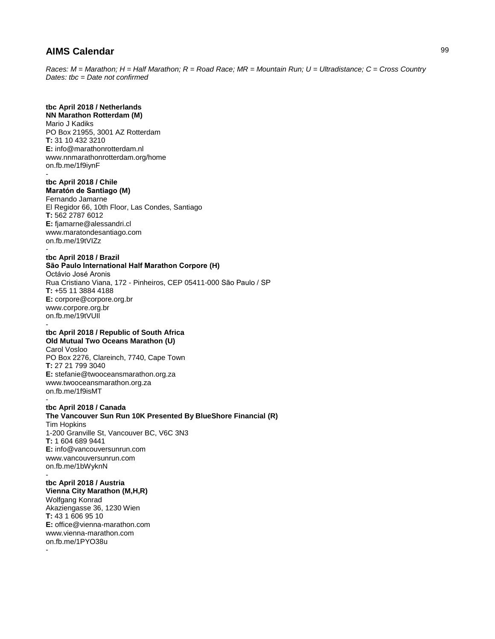*Races: M = Marathon; H = Half Marathon; R = Road Race; MR = Mountain Run; U = Ultradistance; C = Cross Country Dates: tbc = Date not confirmed*

## **tbc April 2018 / Netherlands**

**NN Marathon Rotterdam (M)** Mario J Kadiks PO Box 21955, 3001 AZ Rotterdam **T:** 31 10 432 3210 **E:** info@marathonrotterdam.nl www.nnmarathonrotterdam.org/home on.fb.me/1f9iynF -

### **tbc April 2018 / Chile Maratón de Santiago (M)**

Fernando Jamarne El Regidor 66, 10th Floor, Las Condes, Santiago **T:** 562 2787 6012 **E:** fjamarne@alessandri.cl www.maratondesantiago.com on.fb.me/19tVIZz -

### **tbc April 2018 / Brazil São Paulo International Half Marathon Corpore (H)** Octávio José Aronis Rua Cristiano Viana, 172 - Pinheiros, CEP 05411-000 São Paulo / SP **T:** +55 11 3884 4188 **E:** corpore@corpore.org.br

www.corpore.org.br on.fb.me/19tVUIl -

#### **tbc April 2018 / Republic of South Africa Old Mutual Two Oceans Marathon (U)**

Carol Vosloo PO Box 2276, Clareinch, 7740, Cape Town **T:** 27 21 799 3040 **E:** stefanie@twooceansmarathon.org.za www.twooceansmarathon.org.za on.fb.me/1f9isMT

#### **tbc April 2018 / Canada**

**The Vancouver Sun Run 10K Presented By BlueShore Financial (R)** Tim Hopkins 1-200 Granville St, Vancouver BC, V6C 3N3 **T:** 1 604 689 9441 **E:** info@vancouversunrun.com www.vancouversunrun.com on.fb.me/1bWyknN -

## **tbc April 2018 / Austria**

**Vienna City Marathon (M,H,R)** Wolfgang Konrad Akaziengasse 36, 1230 Wien **T:** 43 1 606 95 10 **E:** office@vienna-marathon.com www.vienna-marathon.com on.fb.me/1PYO38u -

99